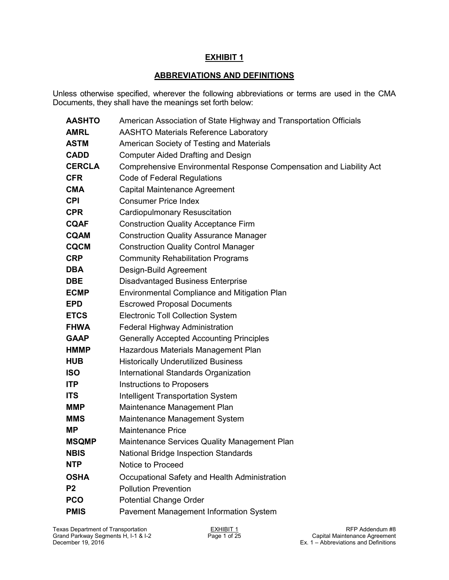# **ABBREVIATIONS AND DEFINITIONS**

Unless otherwise specified, wherever the following abbreviations or terms are used in the CMA Documents, they shall have the meanings set forth below:

| <b>AASHTO</b>  | American Association of State Highway and Transportation Officials  |
|----------------|---------------------------------------------------------------------|
| <b>AMRL</b>    | <b>AASHTO Materials Reference Laboratory</b>                        |
| <b>ASTM</b>    | American Society of Testing and Materials                           |
| <b>CADD</b>    | <b>Computer Aided Drafting and Design</b>                           |
| <b>CERCLA</b>  | Comprehensive Environmental Response Compensation and Liability Act |
| <b>CFR</b>     | <b>Code of Federal Regulations</b>                                  |
| <b>CMA</b>     | Capital Maintenance Agreement                                       |
| <b>CPI</b>     | <b>Consumer Price Index</b>                                         |
| <b>CPR</b>     | Cardiopulmonary Resuscitation                                       |
| <b>CQAF</b>    | <b>Construction Quality Acceptance Firm</b>                         |
| <b>CQAM</b>    | <b>Construction Quality Assurance Manager</b>                       |
| <b>CQCM</b>    | <b>Construction Quality Control Manager</b>                         |
| <b>CRP</b>     | <b>Community Rehabilitation Programs</b>                            |
| <b>DBA</b>     | Design-Build Agreement                                              |
| <b>DBE</b>     | <b>Disadvantaged Business Enterprise</b>                            |
| <b>ECMP</b>    | Environmental Compliance and Mitigation Plan                        |
| <b>EPD</b>     | <b>Escrowed Proposal Documents</b>                                  |
| <b>ETCS</b>    | <b>Electronic Toll Collection System</b>                            |
| <b>FHWA</b>    | Federal Highway Administration                                      |
| <b>GAAP</b>    | <b>Generally Accepted Accounting Principles</b>                     |
| <b>HMMP</b>    | Hazardous Materials Management Plan                                 |
| <b>HUB</b>     | <b>Historically Underutilized Business</b>                          |
| <b>ISO</b>     | International Standards Organization                                |
| <b>ITP</b>     | <b>Instructions to Proposers</b>                                    |
| <b>ITS</b>     | <b>Intelligent Transportation System</b>                            |
| <b>MMP</b>     | Maintenance Management Plan                                         |
| <b>MMS</b>     | Maintenance Management System                                       |
| ΜP             | <b>Maintenance Price</b>                                            |
| <b>MSQMP</b>   | Maintenance Services Quality Management Plan                        |
| <b>NBIS</b>    | <b>National Bridge Inspection Standards</b>                         |
| <b>NTP</b>     | Notice to Proceed                                                   |
| <b>OSHA</b>    | Occupational Safety and Health Administration                       |
| P <sub>2</sub> | <b>Pollution Prevention</b>                                         |
| <b>PCO</b>     | <b>Potential Change Order</b>                                       |
| <b>PMIS</b>    | Pavement Management Information System                              |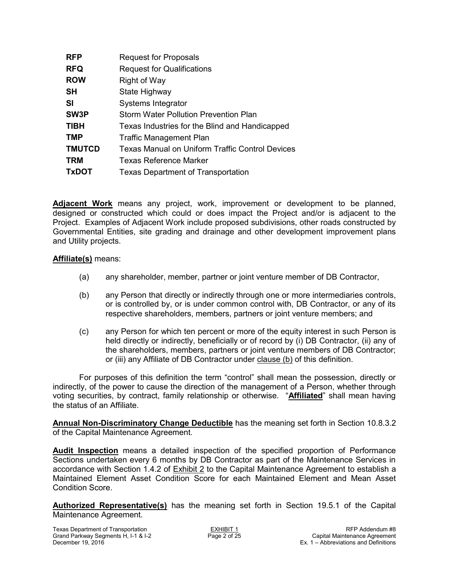| <b>RFP</b>    | <b>Request for Proposals</b>                           |
|---------------|--------------------------------------------------------|
| <b>RFQ</b>    | <b>Request for Qualifications</b>                      |
| <b>ROW</b>    | Right of Way                                           |
| <b>SH</b>     | State Highway                                          |
| <b>SI</b>     | Systems Integrator                                     |
| SW3P          | <b>Storm Water Pollution Prevention Plan</b>           |
| <b>TIBH</b>   | Texas Industries for the Blind and Handicapped         |
| <b>TMP</b>    | <b>Traffic Management Plan</b>                         |
| <b>TMUTCD</b> | <b>Texas Manual on Uniform Traffic Control Devices</b> |
| <b>TRM</b>    | Texas Reference Marker                                 |
| <b>TxDOT</b>  | <b>Texas Department of Transportation</b>              |

**Adjacent Work** means any project, work, improvement or development to be planned, designed or constructed which could or does impact the Project and/or is adjacent to the Project. Examples of Adjacent Work include proposed subdivisions, other roads constructed by Governmental Entities, site grading and drainage and other development improvement plans and Utility projects.

#### **Affiliate(s)** means:

- (a) any shareholder, member, partner or joint venture member of DB Contractor,
- (b) any Person that directly or indirectly through one or more intermediaries controls, or is controlled by, or is under common control with, DB Contractor, or any of its respective shareholders, members, partners or joint venture members; and
- (c) any Person for which ten percent or more of the equity interest in such Person is held directly or indirectly, beneficially or of record by (i) DB Contractor, (ii) any of the shareholders, members, partners or joint venture members of DB Contractor; or (iii) any Affiliate of DB Contractor under clause (b) of this definition.

For purposes of this definition the term "control" shall mean the possession, directly or indirectly, of the power to cause the direction of the management of a Person, whether through voting securities, by contract, family relationship or otherwise. "**Affiliated**" shall mean having the status of an Affiliate.

**Annual Non-Discriminatory Change Deductible** has the meaning set forth in Section 10.8.3.2 of the Capital Maintenance Agreement.

**Audit Inspection** means a detailed inspection of the specified proportion of Performance Sections undertaken every 6 months by DB Contractor as part of the Maintenance Services in accordance with Section 1.4.2 of Exhibit 2 to the Capital Maintenance Agreement to establish a Maintained Element Asset Condition Score for each Maintained Element and Mean Asset Condition Score.

**Authorized Representative(s)** has the meaning set forth in Section 19.5.1 of the Capital Maintenance Agreement.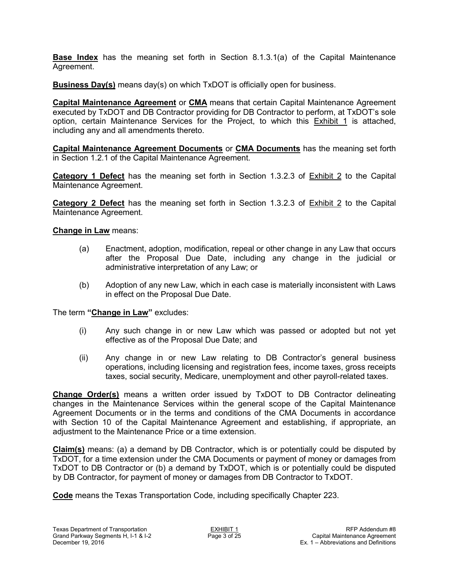**Base Index** has the meaning set forth in Section 8.1.3.1(a) of the Capital Maintenance Agreement.

**Business Day(s)** means day(s) on which TxDOT is officially open for business.

**Capital Maintenance Agreement** or **CMA** means that certain Capital Maintenance Agreement executed by TxDOT and DB Contractor providing for DB Contractor to perform, at TxDOT's sole option, certain Maintenance Services for the Project, to which this Exhibit 1 is attached, including any and all amendments thereto.

**Capital Maintenance Agreement Documents** or **CMA Documents** has the meaning set forth in Section 1.2.1 of the Capital Maintenance Agreement.

**Category 1 Defect** has the meaning set forth in Section 1.3.2.3 of Exhibit 2 to the Capital Maintenance Agreement.

**Category 2 Defect** has the meaning set forth in Section 1.3.2.3 of Exhibit 2 to the Capital Maintenance Agreement.

**Change in Law** means:

- (a) Enactment, adoption, modification, repeal or other change in any Law that occurs after the Proposal Due Date, including any change in the judicial or administrative interpretation of any Law; or
- (b) Adoption of any new Law, which in each case is materially inconsistent with Laws in effect on the Proposal Due Date.

The term **"Change in Law"** excludes:

- (i) Any such change in or new Law which was passed or adopted but not yet effective as of the Proposal Due Date; and
- (ii) Any change in or new Law relating to DB Contractor's general business operations, including licensing and registration fees, income taxes, gross receipts taxes, social security, Medicare, unemployment and other payroll-related taxes.

**Change Order(s)** means a written order issued by TxDOT to DB Contractor delineating changes in the Maintenance Services within the general scope of the Capital Maintenance Agreement Documents or in the terms and conditions of the CMA Documents in accordance with Section 10 of the Capital Maintenance Agreement and establishing, if appropriate, an adjustment to the Maintenance Price or a time extension.

**Claim(s)** means: (a) a demand by DB Contractor, which is or potentially could be disputed by TxDOT, for a time extension under the CMA Documents or payment of money or damages from TxDOT to DB Contractor or (b) a demand by TxDOT, which is or potentially could be disputed by DB Contractor, for payment of money or damages from DB Contractor to TxDOT.

**Code** means the Texas Transportation Code, including specifically Chapter 223.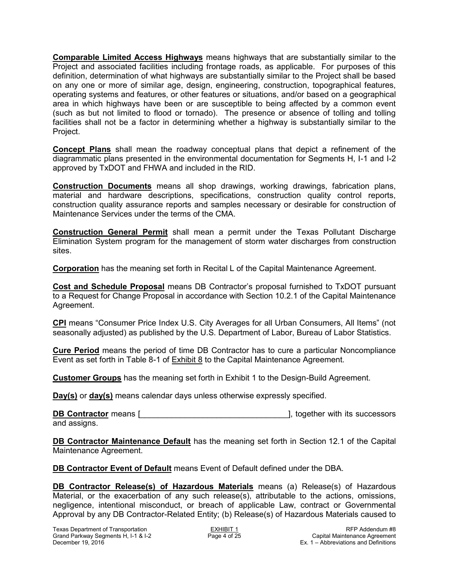**Comparable Limited Access Highways** means highways that are substantially similar to the Project and associated facilities including frontage roads, as applicable. For purposes of this definition, determination of what highways are substantially similar to the Project shall be based on any one or more of similar age, design, engineering, construction, topographical features, operating systems and features, or other features or situations, and/or based on a geographical area in which highways have been or are susceptible to being affected by a common event (such as but not limited to flood or tornado). The presence or absence of tolling and tolling facilities shall not be a factor in determining whether a highway is substantially similar to the Project.

**Concept Plans** shall mean the roadway conceptual plans that depict a refinement of the diagrammatic plans presented in the environmental documentation for Segments H, I-1 and I-2 approved by TxDOT and FHWA and included in the RID.

**Construction Documents** means all shop drawings, working drawings, fabrication plans, material and hardware descriptions, specifications, construction quality control reports, construction quality assurance reports and samples necessary or desirable for construction of Maintenance Services under the terms of the CMA.

**Construction General Permit** shall mean a permit under the Texas Pollutant Discharge Elimination System program for the management of storm water discharges from construction sites.

**Corporation** has the meaning set forth in Recital L of the Capital Maintenance Agreement.

**Cost and Schedule Proposal** means DB Contractor's proposal furnished to TxDOT pursuant to a Request for Change Proposal in accordance with Section 10.2.1 of the Capital Maintenance Agreement.

**CPI** means "Consumer Price Index U.S. City Averages for all Urban Consumers, All Items" (not seasonally adjusted) as published by the U.S. Department of Labor, Bureau of Labor Statistics.

**Cure Period** means the period of time DB Contractor has to cure a particular Noncompliance Event as set forth in Table 8-1 of Exhibit 8 to the Capital Maintenance Agreement.

**Customer Groups** has the meaning set forth in Exhibit 1 to the Design-Build Agreement.

**Day(s)** or **day(s)** means calendar days unless otherwise expressly specified.

**DB Contractor** means [\_\_\_\_\_\_\_\_\_\_\_\_\_\_\_\_\_\_\_\_\_\_\_\_\_\_\_\_\_\_\_\_\_], together with its successors and assigns.

**DB Contractor Maintenance Default** has the meaning set forth in Section 12.1 of the Capital Maintenance Agreement.

**DB Contractor Event of Default** means Event of Default defined under the DBA.

**DB Contractor Release(s) of Hazardous Materials** means (a) Release(s) of Hazardous Material, or the exacerbation of any such release(s), attributable to the actions, omissions, negligence, intentional misconduct, or breach of applicable Law, contract or Governmental Approval by any DB Contractor-Related Entity; (b) Release(s) of Hazardous Materials caused to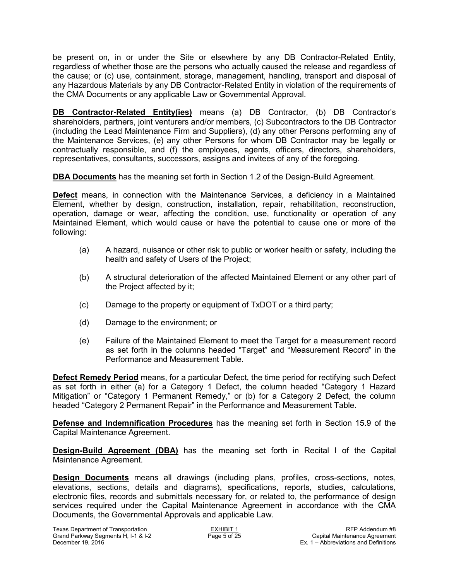be present on, in or under the Site or elsewhere by any DB Contractor-Related Entity, regardless of whether those are the persons who actually caused the release and regardless of the cause; or (c) use, containment, storage, management, handling, transport and disposal of any Hazardous Materials by any DB Contractor-Related Entity in violation of the requirements of the CMA Documents or any applicable Law or Governmental Approval.

**DB Contractor-Related Entity(ies)** means (a) DB Contractor, (b) DB Contractor's shareholders, partners, joint venturers and/or members, (c) Subcontractors to the DB Contractor (including the Lead Maintenance Firm and Suppliers), (d) any other Persons performing any of the Maintenance Services, (e) any other Persons for whom DB Contractor may be legally or contractually responsible, and (f) the employees, agents, officers, directors, shareholders, representatives, consultants, successors, assigns and invitees of any of the foregoing.

**DBA Documents** has the meaning set forth in Section 1.2 of the Design-Build Agreement.

**Defect** means, in connection with the Maintenance Services, a deficiency in a Maintained Element, whether by design, construction, installation, repair, rehabilitation, reconstruction, operation, damage or wear, affecting the condition, use, functionality or operation of any Maintained Element, which would cause or have the potential to cause one or more of the following:

- (a) A hazard, nuisance or other risk to public or worker health or safety, including the health and safety of Users of the Project;
- (b) A structural deterioration of the affected Maintained Element or any other part of the Project affected by it;
- (c) Damage to the property or equipment of TxDOT or a third party;
- (d) Damage to the environment; or
- (e) Failure of the Maintained Element to meet the Target for a measurement record as set forth in the columns headed "Target" and "Measurement Record" in the Performance and Measurement Table.

**Defect Remedy Period** means, for a particular Defect, the time period for rectifying such Defect as set forth in either (a) for a Category 1 Defect, the column headed "Category 1 Hazard Mitigation" or "Category 1 Permanent Remedy," or (b) for a Category 2 Defect, the column headed "Category 2 Permanent Repair" in the Performance and Measurement Table.

**Defense and Indemnification Procedures** has the meaning set forth in Section 15.9 of the Capital Maintenance Agreement.

**Design-Build Agreement (DBA)** has the meaning set forth in Recital I of the Capital Maintenance Agreement.

**Design Documents** means all drawings (including plans, profiles, cross-sections, notes, elevations, sections, details and diagrams), specifications, reports, studies, calculations, electronic files, records and submittals necessary for, or related to, the performance of design services required under the Capital Maintenance Agreement in accordance with the CMA Documents, the Governmental Approvals and applicable Law.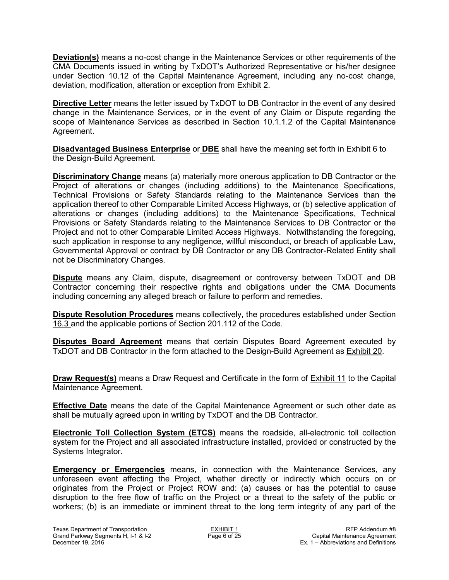**Deviation(s)** means a no-cost change in the Maintenance Services or other requirements of the CMA Documents issued in writing by TxDOT's Authorized Representative or his/her designee under Section 10.12 of the Capital Maintenance Agreement, including any no-cost change, deviation, modification, alteration or exception from Exhibit 2.

**Directive Letter** means the letter issued by TxDOT to DB Contractor in the event of any desired change in the Maintenance Services, or in the event of any Claim or Dispute regarding the scope of Maintenance Services as described in Section 10.1.1.2 of the Capital Maintenance Agreement.

**Disadvantaged Business Enterprise** or **DBE** shall have the meaning set forth in Exhibit 6 to the Design-Build Agreement.

**Discriminatory Change** means (a) materially more onerous application to DB Contractor or the Project of alterations or changes (including additions) to the Maintenance Specifications, Technical Provisions or Safety Standards relating to the Maintenance Services than the application thereof to other Comparable Limited Access Highways, or (b) selective application of alterations or changes (including additions) to the Maintenance Specifications, Technical Provisions or Safety Standards relating to the Maintenance Services to DB Contractor or the Project and not to other Comparable Limited Access Highways. Notwithstanding the foregoing, such application in response to any negligence, willful misconduct, or breach of applicable Law, Governmental Approval or contract by DB Contractor or any DB Contractor-Related Entity shall not be Discriminatory Changes.

**Dispute** means any Claim, dispute, disagreement or controversy between TxDOT and DB Contractor concerning their respective rights and obligations under the CMA Documents including concerning any alleged breach or failure to perform and remedies.

**Dispute Resolution Procedures** means collectively, the procedures established under Section 16.3 and the applicable portions of Section 201.112 of the Code.

**Disputes Board Agreement** means that certain Disputes Board Agreement executed by TxDOT and DB Contractor in the form attached to the Design-Build Agreement as Exhibit 20.

**Draw Request(s)** means a Draw Request and Certificate in the form of **Exhibit 11** to the Capital Maintenance Agreement.

**Effective Date** means the date of the Capital Maintenance Agreement or such other date as shall be mutually agreed upon in writing by TxDOT and the DB Contractor.

**Electronic Toll Collection System (ETCS)** means the roadside, all-electronic toll collection system for the Project and all associated infrastructure installed, provided or constructed by the Systems Integrator.

**Emergency or Emergencies** means, in connection with the Maintenance Services, any unforeseen event affecting the Project, whether directly or indirectly which occurs on or originates from the Project or Project ROW and: (a) causes or has the potential to cause disruption to the free flow of traffic on the Project or a threat to the safety of the public or workers; (b) is an immediate or imminent threat to the long term integrity of any part of the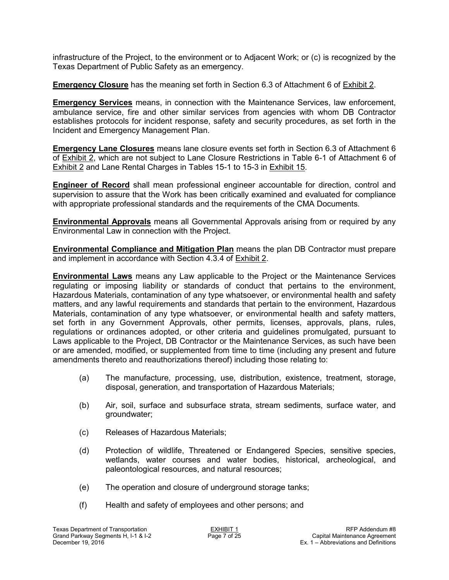infrastructure of the Project, to the environment or to Adjacent Work; or (c) is recognized by the Texas Department of Public Safety as an emergency.

**Emergency Closure** has the meaning set forth in Section 6.3 of Attachment 6 of **Exhibit 2.** 

**Emergency Services** means, in connection with the Maintenance Services, law enforcement, ambulance service, fire and other similar services from agencies with whom DB Contractor establishes protocols for incident response, safety and security procedures, as set forth in the Incident and Emergency Management Plan.

**Emergency Lane Closures** means lane closure events set forth in Section 6.3 of Attachment 6 of Exhibit 2, which are not subject to Lane Closure Restrictions in Table 6-1 of Attachment 6 of Exhibit 2 and Lane Rental Charges in Tables 15-1 to 15-3 in Exhibit 15.

**Engineer of Record** shall mean professional engineer accountable for direction, control and supervision to assure that the Work has been critically examined and evaluated for compliance with appropriate professional standards and the requirements of the CMA Documents.

**Environmental Approvals** means all Governmental Approvals arising from or required by any Environmental Law in connection with the Project.

**Environmental Compliance and Mitigation Plan** means the plan DB Contractor must prepare and implement in accordance with Section 4.3.4 of Exhibit 2.

**Environmental Laws** means any Law applicable to the Project or the Maintenance Services regulating or imposing liability or standards of conduct that pertains to the environment, Hazardous Materials, contamination of any type whatsoever, or environmental health and safety matters, and any lawful requirements and standards that pertain to the environment, Hazardous Materials, contamination of any type whatsoever, or environmental health and safety matters, set forth in any Government Approvals, other permits, licenses, approvals, plans, rules, regulations or ordinances adopted, or other criteria and guidelines promulgated, pursuant to Laws applicable to the Project, DB Contractor or the Maintenance Services, as such have been or are amended, modified, or supplemented from time to time (including any present and future amendments thereto and reauthorizations thereof) including those relating to:

- (a) The manufacture, processing, use, distribution, existence, treatment, storage, disposal, generation, and transportation of Hazardous Materials;
- (b) Air, soil, surface and subsurface strata, stream sediments, surface water, and groundwater;
- (c) Releases of Hazardous Materials;
- (d) Protection of wildlife, Threatened or Endangered Species, sensitive species, wetlands, water courses and water bodies, historical, archeological, and paleontological resources, and natural resources;
- (e) The operation and closure of underground storage tanks;
- (f) Health and safety of employees and other persons; and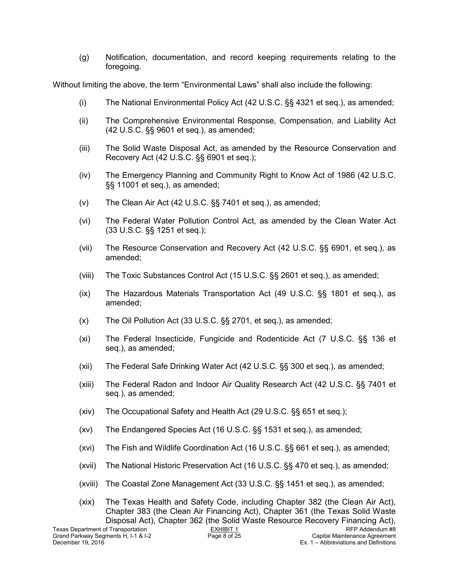(g) Notification, documentation, and record keeping requirements relating to the foregoing.

Without limiting the above, the term "Environmental Laws" shall also include the following:

- (i) The National Environmental Policy Act (42 U.S.C. §§ 4321 et seq.), as amended;
- (ii) The Comprehensive Environmental Response, Compensation, and Liability Act (42 U.S.C. §§ 9601 et seq.), as amended;
- (iii) The Solid Waste Disposal Act, as amended by the Resource Conservation and Recovery Act (42 U.S.C. §§ 6901 et seq.);
- (iv) The Emergency Planning and Community Right to Know Act of 1986 (42 U.S.C. §§ 11001 et seq.), as amended;
- (v) The Clean Air Act (42 U.S.C. §§ 7401 et seq.), as amended;
- (vi) The Federal Water Pollution Control Act, as amended by the Clean Water Act (33 U.S.C. §§ 1251 et seq.);
- (vii) The Resource Conservation and Recovery Act (42 U.S.C. §§ 6901, et seq.), as amended;
- (viii) The Toxic Substances Control Act (15 U.S.C. §§ 2601 et seq.), as amended;
- (ix) The Hazardous Materials Transportation Act (49 U.S.C. §§ 1801 et seq.), as amended;
- (x) The Oil Pollution Act (33 U.S.C. §§ 2701, et seq.), as amended;
- (xi) The Federal Insecticide, Fungicide and Rodenticide Act (7 U.S.C. §§ 136 et seq.), as amended;
- (xii) The Federal Safe Drinking Water Act (42 U.S.C. §§ 300 et seq.), as amended;
- (xiii) The Federal Radon and Indoor Air Quality Research Act (42 U.S.C. §§ 7401 et seq.), as amended;
- (xiv) The Occupational Safety and Health Act (29 U.S.C. §§ 651 et seq.);
- (xv) The Endangered Species Act (16 U.S.C. §§ 1531 et seq.), as amended;
- (xvi) The Fish and Wildlife Coordination Act (16 U.S.C. §§ 661 et seq.), as amended;
- (xvii) The National Historic Preservation Act (16 U.S.C. §§ 470 et seq.), as amended;
- (xviii) The Coastal Zone Management Act (33 U.S.C. §§ 1451 et seq.), as amended;

Texas Department of Transportation <br>Grand Parkway Segments H, I-1 & I-2 <br>Page 8 of 25 **Page 8 of 25** Capital Maintenance Agreement (xix) The Texas Health and Safety Code, including Chapter 382 (the Clean Air Act), Chapter 383 (the Clean Air Financing Act), Chapter 361 (the Texas Solid Waste Disposal Act), Chapter 362 (the Solid Waste Resource Recovery Financing Act),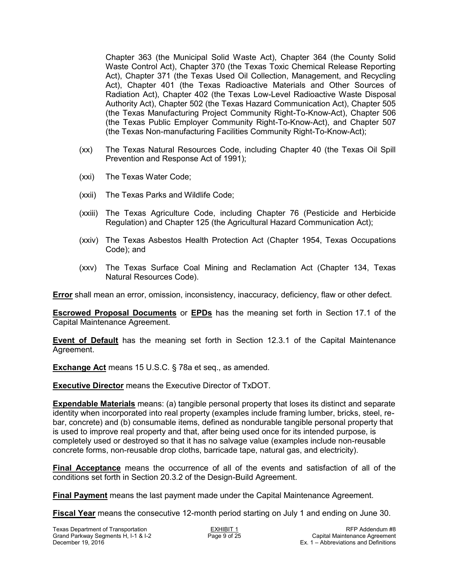Chapter 363 (the Municipal Solid Waste Act), Chapter 364 (the County Solid Waste Control Act), Chapter 370 (the Texas Toxic Chemical Release Reporting Act), Chapter 371 (the Texas Used Oil Collection, Management, and Recycling Act), Chapter 401 (the Texas Radioactive Materials and Other Sources of Radiation Act), Chapter 402 (the Texas Low-Level Radioactive Waste Disposal Authority Act), Chapter 502 (the Texas Hazard Communication Act), Chapter 505 (the Texas Manufacturing Project Community Right-To-Know-Act), Chapter 506 (the Texas Public Employer Community Right-To-Know-Act), and Chapter 507 (the Texas Non-manufacturing Facilities Community Right-To-Know-Act);

- (xx) The Texas Natural Resources Code, including Chapter 40 (the Texas Oil Spill Prevention and Response Act of 1991);
- (xxi) The Texas Water Code;
- (xxii) The Texas Parks and Wildlife Code;
- (xxiii) The Texas Agriculture Code, including Chapter 76 (Pesticide and Herbicide Regulation) and Chapter 125 (the Agricultural Hazard Communication Act);
- (xxiv) The Texas Asbestos Health Protection Act (Chapter 1954, Texas Occupations Code); and
- (xxv) The Texas Surface Coal Mining and Reclamation Act (Chapter 134, Texas Natural Resources Code).

**Error** shall mean an error, omission, inconsistency, inaccuracy, deficiency, flaw or other defect.

**Escrowed Proposal Documents** or **EPDs** has the meaning set forth in Section 17.1 of the Capital Maintenance Agreement.

**Event of Default** has the meaning set forth in Section 12.3.1 of the Capital Maintenance Agreement.

**Exchange Act** means 15 U.S.C. § 78a et seq., as amended.

**Executive Director** means the Executive Director of TxDOT.

**Expendable Materials** means: (a) tangible personal property that loses its distinct and separate identity when incorporated into real property (examples include framing lumber, bricks, steel, rebar, concrete) and (b) consumable items, defined as nondurable tangible personal property that is used to improve real property and that, after being used once for its intended purpose, is completely used or destroyed so that it has no salvage value (examples include non-reusable concrete forms, non-reusable drop cloths, barricade tape, natural gas, and electricity).

**Final Acceptance** means the occurrence of all of the events and satisfaction of all of the conditions set forth in Section 20.3.2 of the Design-Build Agreement.

**Final Payment** means the last payment made under the Capital Maintenance Agreement.

**Fiscal Year** means the consecutive 12-month period starting on July 1 and ending on June 30.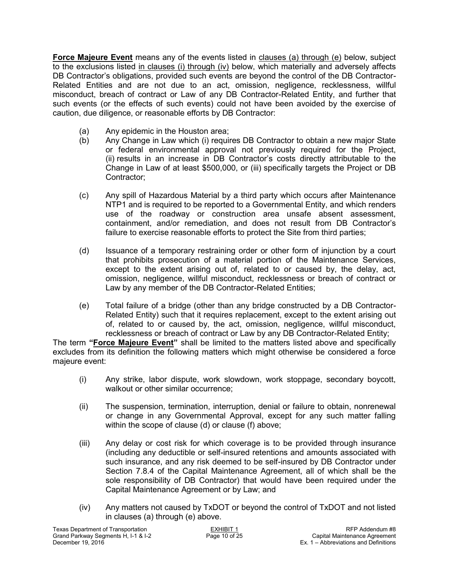**Force Majeure Event** means any of the events listed in clauses (a) through (e) below, subject to the exclusions listed in clauses (i) through (iv) below, which materially and adversely affects DB Contractor's obligations, provided such events are beyond the control of the DB Contractor-Related Entities and are not due to an act, omission, negligence, recklessness, willful misconduct, breach of contract or Law of any DB Contractor-Related Entity, and further that such events (or the effects of such events) could not have been avoided by the exercise of caution, due diligence, or reasonable efforts by DB Contractor:

- (a) Any epidemic in the Houston area;
- (b) Any Change in Law which (i) requires DB Contractor to obtain a new major State or federal environmental approval not previously required for the Project, (ii) results in an increase in DB Contractor's costs directly attributable to the Change in Law of at least \$500,000, or (iii) specifically targets the Project or DB Contractor;
- (c) Any spill of Hazardous Material by a third party which occurs after Maintenance NTP1 and is required to be reported to a Governmental Entity, and which renders use of the roadway or construction area unsafe absent assessment, containment, and/or remediation, and does not result from DB Contractor's failure to exercise reasonable efforts to protect the Site from third parties;
- (d) Issuance of a temporary restraining order or other form of injunction by a court that prohibits prosecution of a material portion of the Maintenance Services, except to the extent arising out of, related to or caused by, the delay, act, omission, negligence, willful misconduct, recklessness or breach of contract or Law by any member of the DB Contractor-Related Entities;
- (e) Total failure of a bridge (other than any bridge constructed by a DB Contractor-Related Entity) such that it requires replacement, except to the extent arising out of, related to or caused by, the act, omission, negligence, willful misconduct, recklessness or breach of contract or Law by any DB Contractor-Related Entity;

The term **"Force Majeure Event"** shall be limited to the matters listed above and specifically excludes from its definition the following matters which might otherwise be considered a force majeure event:

- (i) Any strike, labor dispute, work slowdown, work stoppage, secondary boycott, walkout or other similar occurrence;
- (ii) The suspension, termination, interruption, denial or failure to obtain, nonrenewal or change in any Governmental Approval, except for any such matter falling within the scope of clause (d) or clause (f) above;
- (iii) Any delay or cost risk for which coverage is to be provided through insurance (including any deductible or self-insured retentions and amounts associated with such insurance, and any risk deemed to be self-insured by DB Contractor under Section 7.8.4 of the Capital Maintenance Agreement, all of which shall be the sole responsibility of DB Contractor) that would have been required under the Capital Maintenance Agreement or by Law; and
- (iv) Any matters not caused by TxDOT or beyond the control of TxDOT and not listed in clauses (a) through (e) above.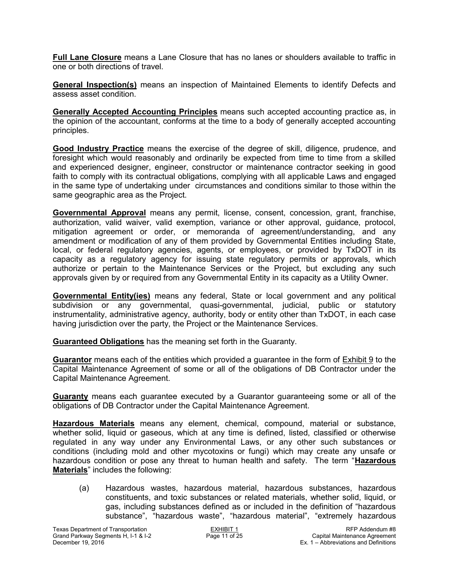**Full Lane Closure** means a Lane Closure that has no lanes or shoulders available to traffic in one or both directions of travel.

**General Inspection(s)** means an inspection of Maintained Elements to identify Defects and assess asset condition.

**Generally Accepted Accounting Principles** means such accepted accounting practice as, in the opinion of the accountant, conforms at the time to a body of generally accepted accounting principles.

**Good Industry Practice** means the exercise of the degree of skill, diligence, prudence, and foresight which would reasonably and ordinarily be expected from time to time from a skilled and experienced designer, engineer, constructor or maintenance contractor seeking in good faith to comply with its contractual obligations, complying with all applicable Laws and engaged in the same type of undertaking under circumstances and conditions similar to those within the same geographic area as the Project.

**Governmental Approval** means any permit, license, consent, concession, grant, franchise, authorization, valid waiver, valid exemption, variance or other approval, guidance, protocol, mitigation agreement or order, or memoranda of agreement/understanding, and any amendment or modification of any of them provided by Governmental Entities including State, local, or federal regulatory agencies, agents, or employees, or provided by TxDOT in its capacity as a regulatory agency for issuing state regulatory permits or approvals, which authorize or pertain to the Maintenance Services or the Project, but excluding any such approvals given by or required from any Governmental Entity in its capacity as a Utility Owner.

**Governmental Entity(ies)** means any federal, State or local government and any political subdivision or any governmental, quasi-governmental, judicial, public or statutory instrumentality, administrative agency, authority, body or entity other than TxDOT, in each case having jurisdiction over the party, the Project or the Maintenance Services.

**Guaranteed Obligations** has the meaning set forth in the Guaranty.

**Guarantor** means each of the entities which provided a guarantee in the form of Exhibit 9 to the Capital Maintenance Agreement of some or all of the obligations of DB Contractor under the Capital Maintenance Agreement.

**Guaranty** means each guarantee executed by a Guarantor guaranteeing some or all of the obligations of DB Contractor under the Capital Maintenance Agreement.

**Hazardous Materials** means any element, chemical, compound, material or substance, whether solid, liquid or gaseous, which at any time is defined, listed, classified or otherwise regulated in any way under any Environmental Laws, or any other such substances or conditions (including mold and other mycotoxins or fungi) which may create any unsafe or hazardous condition or pose any threat to human health and safety. The term "**Hazardous Materials**" includes the following:

(a) Hazardous wastes, hazardous material, hazardous substances, hazardous constituents, and toxic substances or related materials, whether solid, liquid, or gas, including substances defined as or included in the definition of "hazardous substance", "hazardous waste", "hazardous material", "extremely hazardous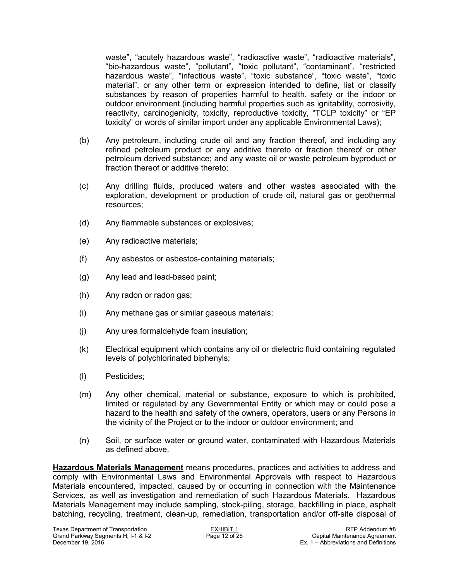waste", "acutely hazardous waste", "radioactive waste", "radioactive materials", "bio-hazardous waste", "pollutant", "toxic pollutant", "contaminant", "restricted hazardous waste", "infectious waste", "toxic substance", "toxic waste", "toxic material", or any other term or expression intended to define, list or classify substances by reason of properties harmful to health, safety or the indoor or outdoor environment (including harmful properties such as ignitability, corrosivity, reactivity, carcinogenicity, toxicity, reproductive toxicity, "TCLP toxicity" or "EP toxicity" or words of similar import under any applicable Environmental Laws);

- (b) Any petroleum, including crude oil and any fraction thereof, and including any refined petroleum product or any additive thereto or fraction thereof or other petroleum derived substance; and any waste oil or waste petroleum byproduct or fraction thereof or additive thereto;
- (c) Any drilling fluids, produced waters and other wastes associated with the exploration, development or production of crude oil, natural gas or geothermal resources;
- (d) Any flammable substances or explosives;
- (e) Any radioactive materials;
- (f) Any asbestos or asbestos-containing materials;
- (g) Any lead and lead-based paint;
- (h) Any radon or radon gas;
- (i) Any methane gas or similar gaseous materials;
- (j) Any urea formaldehyde foam insulation;
- (k) Electrical equipment which contains any oil or dielectric fluid containing regulated levels of polychlorinated biphenyls;
- (l) Pesticides;
- (m) Any other chemical, material or substance, exposure to which is prohibited, limited or regulated by any Governmental Entity or which may or could pose a hazard to the health and safety of the owners, operators, users or any Persons in the vicinity of the Project or to the indoor or outdoor environment; and
- (n) Soil, or surface water or ground water, contaminated with Hazardous Materials as defined above.

**Hazardous Materials Management** means procedures, practices and activities to address and comply with Environmental Laws and Environmental Approvals with respect to Hazardous Materials encountered, impacted, caused by or occurring in connection with the Maintenance Services, as well as investigation and remediation of such Hazardous Materials. Hazardous Materials Management may include sampling, stock-piling, storage, backfilling in place, asphalt batching, recycling, treatment, clean-up, remediation, transportation and/or off-site disposal of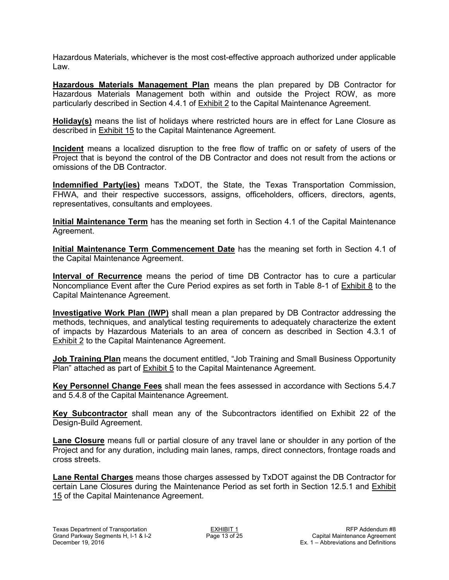Hazardous Materials, whichever is the most cost-effective approach authorized under applicable Law.

**Hazardous Materials Management Plan** means the plan prepared by DB Contractor for Hazardous Materials Management both within and outside the Project ROW, as more particularly described in Section 4.4.1 of Exhibit 2 to the Capital Maintenance Agreement.

**Holiday(s)** means the list of holidays where restricted hours are in effect for Lane Closure as described in Exhibit 15 to the Capital Maintenance Agreement.

**Incident** means a localized disruption to the free flow of traffic on or safety of users of the Project that is beyond the control of the DB Contractor and does not result from the actions or omissions of the DB Contractor.

**Indemnified Party(ies)** means TxDOT, the State, the Texas Transportation Commission, FHWA, and their respective successors, assigns, officeholders, officers, directors, agents, representatives, consultants and employees.

**Initial Maintenance Term** has the meaning set forth in Section 4.1 of the Capital Maintenance Agreement.

**Initial Maintenance Term Commencement Date** has the meaning set forth in Section 4.1 of the Capital Maintenance Agreement.

**Interval of Recurrence** means the period of time DB Contractor has to cure a particular Noncompliance Event after the Cure Period expires as set forth in Table 8-1 of Exhibit 8 to the Capital Maintenance Agreement.

**Investigative Work Plan (IWP)** shall mean a plan prepared by DB Contractor addressing the methods, techniques, and analytical testing requirements to adequately characterize the extent of impacts by Hazardous Materials to an area of concern as described in Section 4.3.1 of **Exhibit 2** to the Capital Maintenance Agreement.

**Job Training Plan** means the document entitled, "Job Training and Small Business Opportunity Plan" attached as part of Exhibit 5 to the Capital Maintenance Agreement.

**Key Personnel Change Fees** shall mean the fees assessed in accordance with Sections 5.4.7 and 5.4.8 of the Capital Maintenance Agreement.

**Key Subcontractor** shall mean any of the Subcontractors identified on Exhibit 22 of the Design-Build Agreement.

**Lane Closure** means full or partial closure of any travel lane or shoulder in any portion of the Project and for any duration, including main lanes, ramps, direct connectors, frontage roads and cross streets.

**Lane Rental Charges** means those charges assessed by TxDOT against the DB Contractor for certain Lane Closures during the Maintenance Period as set forth in Section 12.5.1 and Exhibit 15 of the Capital Maintenance Agreement.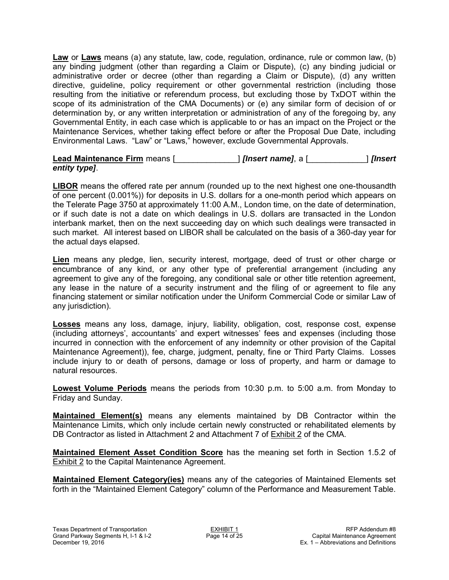**Law** or **Laws** means (a) any statute, law, code, regulation, ordinance, rule or common law, (b) any binding judgment (other than regarding a Claim or Dispute), (c) any binding judicial or administrative order or decree (other than regarding a Claim or Dispute), (d) any written directive, guideline, policy requirement or other governmental restriction (including those resulting from the initiative or referendum process, but excluding those by TxDOT within the scope of its administration of the CMA Documents) or (e) any similar form of decision of or determination by, or any written interpretation or administration of any of the foregoing by, any Governmental Entity, in each case which is applicable to or has an impact on the Project or the Maintenance Services, whether taking effect before or after the Proposal Due Date, including Environmental Laws. "Law" or "Laws," however, exclude Governmental Approvals.

#### **Lead Maintenance Firm** means [\_\_\_\_\_\_\_\_\_\_\_\_\_\_] *[Insert name]*, a [\_\_\_\_\_\_\_\_\_\_\_\_\_] *[Insert entity type]*.

**LIBOR** means the offered rate per annum (rounded up to the next highest one one-thousandth of one percent (0.001%)) for deposits in U.S. dollars for a one-month period which appears on the Telerate Page 3750 at approximately 11:00 A.M., London time, on the date of determination, or if such date is not a date on which dealings in U.S. dollars are transacted in the London interbank market, then on the next succeeding day on which such dealings were transacted in such market. All interest based on LIBOR shall be calculated on the basis of a 360-day year for the actual days elapsed.

**Lien** means any pledge, lien, security interest, mortgage, deed of trust or other charge or encumbrance of any kind, or any other type of preferential arrangement (including any agreement to give any of the foregoing, any conditional sale or other title retention agreement, any lease in the nature of a security instrument and the filing of or agreement to file any financing statement or similar notification under the Uniform Commercial Code or similar Law of any jurisdiction).

**Losses** means any loss, damage, injury, liability, obligation, cost, response cost, expense (including attorneys', accountants' and expert witnesses' fees and expenses (including those incurred in connection with the enforcement of any indemnity or other provision of the Capital Maintenance Agreement)), fee, charge, judgment, penalty, fine or Third Party Claims. Losses include injury to or death of persons, damage or loss of property, and harm or damage to natural resources.

**Lowest Volume Periods** means the periods from 10:30 p.m. to 5:00 a.m. from Monday to Friday and Sunday.

**Maintained Element(s)** means any elements maintained by DB Contractor within the Maintenance Limits, which only include certain newly constructed or rehabilitated elements by DB Contractor as listed in Attachment 2 and Attachment 7 of Exhibit 2 of the CMA.

**Maintained Element Asset Condition Score** has the meaning set forth in Section 1.5.2 of Exhibit 2 to the Capital Maintenance Agreement.

**Maintained Element Category(ies)** means any of the categories of Maintained Elements set forth in the "Maintained Element Category" column of the Performance and Measurement Table.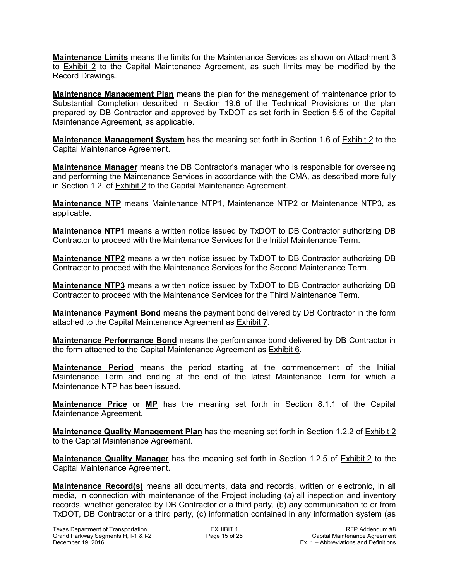**Maintenance Limits** means the limits for the Maintenance Services as shown on Attachment 3 to Exhibit 2 to the Capital Maintenance Agreement, as such limits may be modified by the Record Drawings.

**Maintenance Management Plan** means the plan for the management of maintenance prior to Substantial Completion described in Section 19.6 of the Technical Provisions or the plan prepared by DB Contractor and approved by TxDOT as set forth in Section 5.5 of the Capital Maintenance Agreement, as applicable.

**Maintenance Management System** has the meaning set forth in Section 1.6 of Exhibit 2 to the Capital Maintenance Agreement.

**Maintenance Manager** means the DB Contractor's manager who is responsible for overseeing and performing the Maintenance Services in accordance with the CMA, as described more fully in Section 1.2. of Exhibit 2 to the Capital Maintenance Agreement.

**Maintenance NTP** means Maintenance NTP1, Maintenance NTP2 or Maintenance NTP3, as applicable.

**Maintenance NTP1** means a written notice issued by TxDOT to DB Contractor authorizing DB Contractor to proceed with the Maintenance Services for the Initial Maintenance Term.

**Maintenance NTP2** means a written notice issued by TxDOT to DB Contractor authorizing DB Contractor to proceed with the Maintenance Services for the Second Maintenance Term.

**Maintenance NTP3** means a written notice issued by TxDOT to DB Contractor authorizing DB Contractor to proceed with the Maintenance Services for the Third Maintenance Term.

**Maintenance Payment Bond** means the payment bond delivered by DB Contractor in the form attached to the Capital Maintenance Agreement as Exhibit 7.

**Maintenance Performance Bond** means the performance bond delivered by DB Contractor in the form attached to the Capital Maintenance Agreement as Exhibit 6.

**Maintenance Period** means the period starting at the commencement of the Initial Maintenance Term and ending at the end of the latest Maintenance Term for which a Maintenance NTP has been issued.

**Maintenance Price** or **MP** has the meaning set forth in Section 8.1.1 of the Capital Maintenance Agreement.

**Maintenance Quality Management Plan** has the meaning set forth in Section 1.2.2 of Exhibit 2 to the Capital Maintenance Agreement.

**Maintenance Quality Manager** has the meaning set forth in Section 1.2.5 of Exhibit 2 to the Capital Maintenance Agreement.

**Maintenance Record(s)** means all documents, data and records, written or electronic, in all media, in connection with maintenance of the Project including (a) all inspection and inventory records, whether generated by DB Contractor or a third party, (b) any communication to or from TxDOT, DB Contractor or a third party, (c) information contained in any information system (as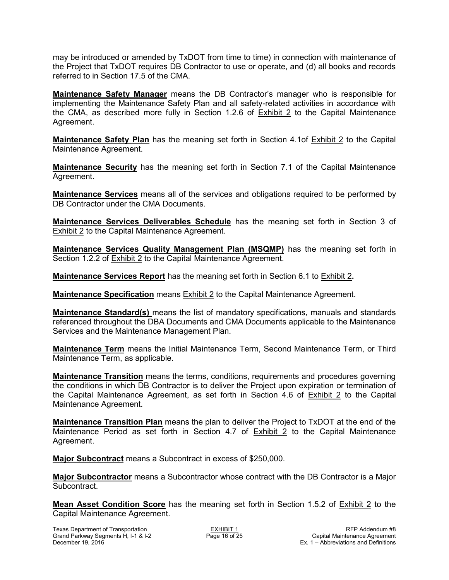may be introduced or amended by TxDOT from time to time) in connection with maintenance of the Project that TxDOT requires DB Contractor to use or operate, and (d) all books and records referred to in Section 17.5 of the CMA.

**Maintenance Safety Manager** means the DB Contractor's manager who is responsible for implementing the Maintenance Safety Plan and all safety-related activities in accordance with the CMA, as described more fully in Section 1.2.6 of **Exhibit 2** to the Capital Maintenance Agreement.

**Maintenance Safety Plan** has the meaning set forth in Section 4.1of **Exhibit 2** to the Capital Maintenance Agreement.

**Maintenance Security** has the meaning set forth in Section 7.1 of the Capital Maintenance Agreement.

**Maintenance Services** means all of the services and obligations required to be performed by DB Contractor under the CMA Documents.

**Maintenance Services Deliverables Schedule** has the meaning set forth in Section 3 of Exhibit 2 to the Capital Maintenance Agreement.

**Maintenance Services Quality Management Plan (MSQMP)** has the meaning set forth in Section 1.2.2 of Exhibit 2 to the Capital Maintenance Agreement.

**Maintenance Services Report** has the meaning set forth in Section 6.1 to Exhibit 2**.** 

**Maintenance Specification** means Exhibit 2 to the Capital Maintenance Agreement.

**Maintenance Standard(s)** means the list of mandatory specifications, manuals and standards referenced throughout the DBA Documents and CMA Documents applicable to the Maintenance Services and the Maintenance Management Plan.

**Maintenance Term** means the Initial Maintenance Term, Second Maintenance Term, or Third Maintenance Term, as applicable.

**Maintenance Transition** means the terms, conditions, requirements and procedures governing the conditions in which DB Contractor is to deliver the Project upon expiration or termination of the Capital Maintenance Agreement, as set forth in Section 4.6 of Exhibit 2 to the Capital Maintenance Agreement.

**Maintenance Transition Plan** means the plan to deliver the Project to TxDOT at the end of the Maintenance Period as set forth in Section 4.7 of Exhibit 2 to the Capital Maintenance Agreement.

**Major Subcontract** means a Subcontract in excess of \$250,000.

**Major Subcontractor** means a Subcontractor whose contract with the DB Contractor is a Major Subcontract.

**Mean Asset Condition Score** has the meaning set forth in Section 1.5.2 of Exhibit 2 to the Capital Maintenance Agreement.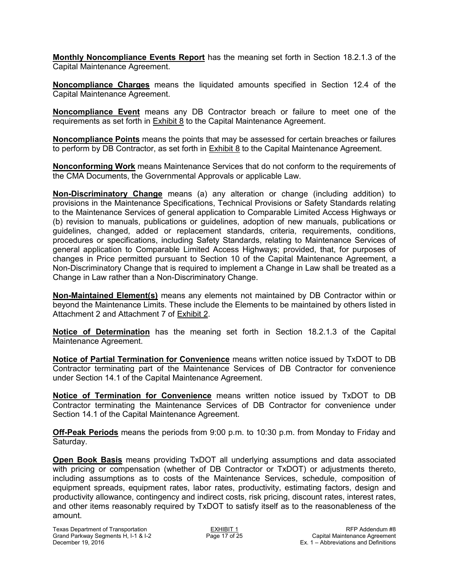**Monthly Noncompliance Events Report** has the meaning set forth in Section 18.2.1.3 of the Capital Maintenance Agreement.

**Noncompliance Charges** means the liquidated amounts specified in Section 12.4 of the Capital Maintenance Agreement.

**Noncompliance Event** means any DB Contractor breach or failure to meet one of the requirements as set forth in Exhibit 8 to the Capital Maintenance Agreement.

**Noncompliance Points** means the points that may be assessed for certain breaches or failures to perform by DB Contractor, as set forth in Exhibit 8 to the Capital Maintenance Agreement.

**Nonconforming Work** means Maintenance Services that do not conform to the requirements of the CMA Documents, the Governmental Approvals or applicable Law.

**Non-Discriminatory Change** means (a) any alteration or change (including addition) to provisions in the Maintenance Specifications, Technical Provisions or Safety Standards relating to the Maintenance Services of general application to Comparable Limited Access Highways or (b) revision to manuals, publications or guidelines, adoption of new manuals, publications or guidelines, changed, added or replacement standards, criteria, requirements, conditions, procedures or specifications, including Safety Standards, relating to Maintenance Services of general application to Comparable Limited Access Highways; provided, that, for purposes of changes in Price permitted pursuant to Section 10 of the Capital Maintenance Agreement, a Non-Discriminatory Change that is required to implement a Change in Law shall be treated as a Change in Law rather than a Non-Discriminatory Change.

**Non-Maintained Element(s)** means any elements not maintained by DB Contractor within or beyond the Maintenance Limits. These include the Elements to be maintained by others listed in Attachment 2 and Attachment 7 of Exhibit 2.

**Notice of Determination** has the meaning set forth in Section 18.2.1.3 of the Capital Maintenance Agreement.

**Notice of Partial Termination for Convenience** means written notice issued by TxDOT to DB Contractor terminating part of the Maintenance Services of DB Contractor for convenience under Section 14.1 of the Capital Maintenance Agreement.

**Notice of Termination for Convenience** means written notice issued by TxDOT to DB Contractor terminating the Maintenance Services of DB Contractor for convenience under Section 14.1 of the Capital Maintenance Agreement.

**Off-Peak Periods** means the periods from 9:00 p.m. to 10:30 p.m. from Monday to Friday and Saturday.

**Open Book Basis** means providing TxDOT all underlying assumptions and data associated with pricing or compensation (whether of DB Contractor or TxDOT) or adjustments thereto, including assumptions as to costs of the Maintenance Services, schedule, composition of equipment spreads, equipment rates, labor rates, productivity, estimating factors, design and productivity allowance, contingency and indirect costs, risk pricing, discount rates, interest rates, and other items reasonably required by TxDOT to satisfy itself as to the reasonableness of the amount.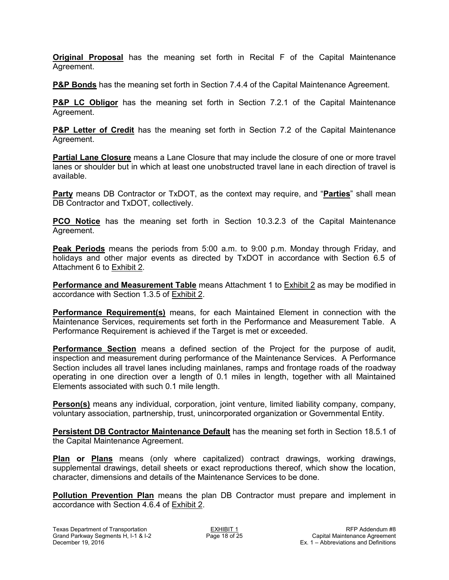**Original Proposal** has the meaning set forth in Recital F of the Capital Maintenance Agreement.

**P&P Bonds** has the meaning set forth in Section 7.4.4 of the Capital Maintenance Agreement.

**P&P LC Obligor** has the meaning set forth in Section 7.2.1 of the Capital Maintenance Agreement.

**P&P Letter of Credit** has the meaning set forth in Section 7.2 of the Capital Maintenance Agreement.

**Partial Lane Closure** means a Lane Closure that may include the closure of one or more travel lanes or shoulder but in which at least one unobstructed travel lane in each direction of travel is available.

**Party** means DB Contractor or TxDOT, as the context may require, and "**Parties**" shall mean DB Contractor and TxDOT, collectively.

**PCO Notice** has the meaning set forth in Section 10.3.2.3 of the Capital Maintenance Agreement.

**Peak Periods** means the periods from 5:00 a.m. to 9:00 p.m. Monday through Friday, and holidays and other major events as directed by TxDOT in accordance with Section 6.5 of Attachment 6 to Exhibit 2.

**Performance and Measurement Table** means Attachment 1 to **Exhibit 2** as may be modified in accordance with Section 1.3.5 of Exhibit 2.

**Performance Requirement(s)** means, for each Maintained Element in connection with the Maintenance Services, requirements set forth in the Performance and Measurement Table. A Performance Requirement is achieved if the Target is met or exceeded.

**Performance Section** means a defined section of the Project for the purpose of audit, inspection and measurement during performance of the Maintenance Services. A Performance Section includes all travel lanes including mainlanes, ramps and frontage roads of the roadway operating in one direction over a length of 0.1 miles in length, together with all Maintained Elements associated with such 0.1 mile length.

**Person(s)** means any individual, corporation, joint venture, limited liability company, company, voluntary association, partnership, trust, unincorporated organization or Governmental Entity.

**Persistent DB Contractor Maintenance Default** has the meaning set forth in Section 18.5.1 of the Capital Maintenance Agreement.

**Plan or Plans** means (only where capitalized) contract drawings, working drawings, supplemental drawings, detail sheets or exact reproductions thereof, which show the location, character, dimensions and details of the Maintenance Services to be done.

**Pollution Prevention Plan** means the plan DB Contractor must prepare and implement in accordance with Section 4.6.4 of Exhibit 2.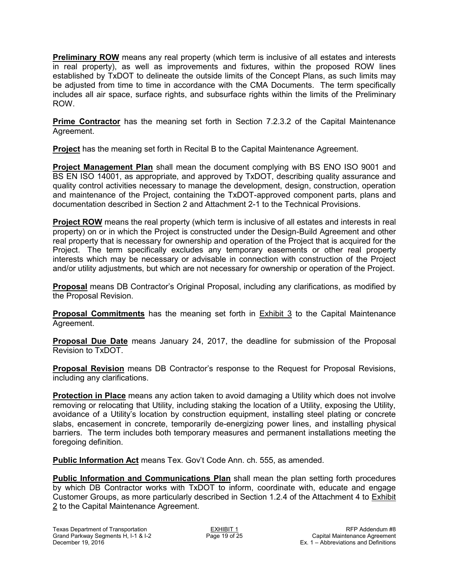**Preliminary ROW** means any real property (which term is inclusive of all estates and interests in real property), as well as improvements and fixtures, within the proposed ROW lines established by TxDOT to delineate the outside limits of the Concept Plans, as such limits may be adjusted from time to time in accordance with the CMA Documents. The term specifically includes all air space, surface rights, and subsurface rights within the limits of the Preliminary ROW.

**Prime Contractor** has the meaning set forth in Section 7.2.3.2 of the Capital Maintenance Agreement.

**Project** has the meaning set forth in Recital B to the Capital Maintenance Agreement.

**Project Management Plan** shall mean the document complying with BS ENO ISO 9001 and BS EN ISO 14001, as appropriate, and approved by TxDOT, describing quality assurance and quality control activities necessary to manage the development, design, construction, operation and maintenance of the Project, containing the TxDOT-approved component parts, plans and documentation described in Section 2 and Attachment 2-1 to the Technical Provisions.

**Project ROW** means the real property (which term is inclusive of all estates and interests in real property) on or in which the Project is constructed under the Design-Build Agreement and other real property that is necessary for ownership and operation of the Project that is acquired for the Project. The term specifically excludes any temporary easements or other real property interests which may be necessary or advisable in connection with construction of the Project and/or utility adjustments, but which are not necessary for ownership or operation of the Project.

**Proposal** means DB Contractor's Original Proposal, including any clarifications, as modified by the Proposal Revision.

**Proposal Commitments** has the meaning set forth in **Exhibit 3** to the Capital Maintenance Agreement.

**Proposal Due Date** means January 24, 2017, the deadline for submission of the Proposal Revision to TxDOT.

**Proposal Revision** means DB Contractor's response to the Request for Proposal Revisions, including any clarifications.

**Protection in Place** means any action taken to avoid damaging a Utility which does not involve removing or relocating that Utility, including staking the location of a Utility, exposing the Utility, avoidance of a Utility's location by construction equipment, installing steel plating or concrete slabs, encasement in concrete, temporarily de-energizing power lines, and installing physical barriers. The term includes both temporary measures and permanent installations meeting the foregoing definition.

**Public Information Act** means Tex. Gov't Code Ann. ch. 555, as amended.

**Public Information and Communications Plan** shall mean the plan setting forth procedures by which DB Contractor works with TxDOT to inform, coordinate with, educate and engage Customer Groups, as more particularly described in Section 1.2.4 of the Attachment 4 to Exhibit 2 to the Capital Maintenance Agreement.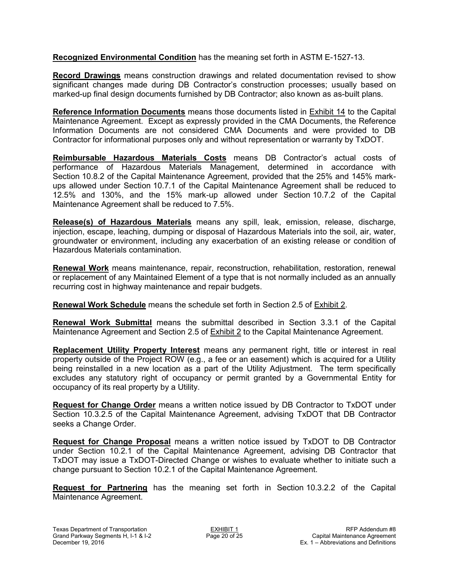**Recognized Environmental Condition** has the meaning set forth in ASTM E-1527-13.

**Record Drawings** means construction drawings and related documentation revised to show significant changes made during DB Contractor's construction processes; usually based on marked-up final design documents furnished by DB Contractor; also known as as-built plans.

**Reference Information Documents** means those documents listed in Exhibit 14 to the Capital Maintenance Agreement. Except as expressly provided in the CMA Documents, the Reference Information Documents are not considered CMA Documents and were provided to DB Contractor for informational purposes only and without representation or warranty by TxDOT.

**Reimbursable Hazardous Materials Costs** means DB Contractor's actual costs of performance of Hazardous Materials Management, determined in accordance with Section 10.8.2 of the Capital Maintenance Agreement, provided that the 25% and 145% markups allowed under Section 10.7.1 of the Capital Maintenance Agreement shall be reduced to 12.5% and 130%, and the 15% mark-up allowed under Section 10.7.2 of the Capital Maintenance Agreement shall be reduced to 7.5%.

**Release(s) of Hazardous Materials** means any spill, leak, emission, release, discharge, injection, escape, leaching, dumping or disposal of Hazardous Materials into the soil, air, water, groundwater or environment, including any exacerbation of an existing release or condition of Hazardous Materials contamination.

**Renewal Work** means maintenance, repair, reconstruction, rehabilitation, restoration, renewal or replacement of any Maintained Element of a type that is not normally included as an annually recurring cost in highway maintenance and repair budgets.

**Renewal Work Schedule** means the schedule set forth in Section 2.5 of Exhibit 2.

**Renewal Work Submittal** means the submittal described in Section 3.3.1 of the Capital Maintenance Agreement and Section 2.5 of Exhibit 2 to the Capital Maintenance Agreement.

**Replacement Utility Property Interest** means any permanent right, title or interest in real property outside of the Project ROW (e.g., a fee or an easement) which is acquired for a Utility being reinstalled in a new location as a part of the Utility Adjustment. The term specifically excludes any statutory right of occupancy or permit granted by a Governmental Entity for occupancy of its real property by a Utility.

**Request for Change Order** means a written notice issued by DB Contractor to TxDOT under Section 10.3.2.5 of the Capital Maintenance Agreement, advising TxDOT that DB Contractor seeks a Change Order.

**Request for Change Proposal** means a written notice issued by TxDOT to DB Contractor under Section 10.2.1 of the Capital Maintenance Agreement, advising DB Contractor that TxDOT may issue a TxDOT-Directed Change or wishes to evaluate whether to initiate such a change pursuant to Section 10.2.1 of the Capital Maintenance Agreement.

**Request for Partnering** has the meaning set forth in Section 10.3.2.2 of the Capital Maintenance Agreement.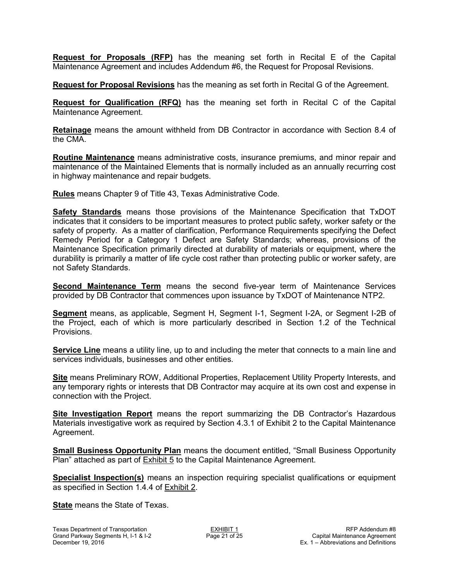**Request for Proposals (RFP)** has the meaning set forth in Recital E of the Capital Maintenance Agreement and includes Addendum #6, the Request for Proposal Revisions.

**Request for Proposal Revisions** has the meaning as set forth in Recital G of the Agreement.

**Request for Qualification (RFQ)** has the meaning set forth in Recital C of the Capital Maintenance Agreement.

**Retainage** means the amount withheld from DB Contractor in accordance with Section 8.4 of the CMA.

**Routine Maintenance** means administrative costs, insurance premiums, and minor repair and maintenance of the Maintained Elements that is normally included as an annually recurring cost in highway maintenance and repair budgets.

**Rules** means Chapter 9 of Title 43, Texas Administrative Code.

**Safety Standards** means those provisions of the Maintenance Specification that TxDOT indicates that it considers to be important measures to protect public safety, worker safety or the safety of property. As a matter of clarification, Performance Requirements specifying the Defect Remedy Period for a Category 1 Defect are Safety Standards; whereas, provisions of the Maintenance Specification primarily directed at durability of materials or equipment, where the durability is primarily a matter of life cycle cost rather than protecting public or worker safety, are not Safety Standards.

**Second Maintenance Term** means the second five-year term of Maintenance Services provided by DB Contractor that commences upon issuance by TxDOT of Maintenance NTP2.

**Segment** means, as applicable, Segment H, Segment I-1, Segment I-2A, or Segment I-2B of the Project, each of which is more particularly described in Section 1.2 of the Technical Provisions.

**Service Line** means a utility line, up to and including the meter that connects to a main line and services individuals, businesses and other entities.

**Site** means Preliminary ROW, Additional Properties, Replacement Utility Property Interests, and any temporary rights or interests that DB Contractor may acquire at its own cost and expense in connection with the Project.

**Site Investigation Report** means the report summarizing the DB Contractor's Hazardous Materials investigative work as required by Section 4.3.1 of Exhibit 2 to the Capital Maintenance Agreement.

**Small Business Opportunity Plan** means the document entitled, "Small Business Opportunity Plan" attached as part of Exhibit 5 to the Capital Maintenance Agreement.

**Specialist Inspection(s)** means an inspection requiring specialist qualifications or equipment as specified in Section 1.4.4 of Exhibit 2.

**State** means the State of Texas.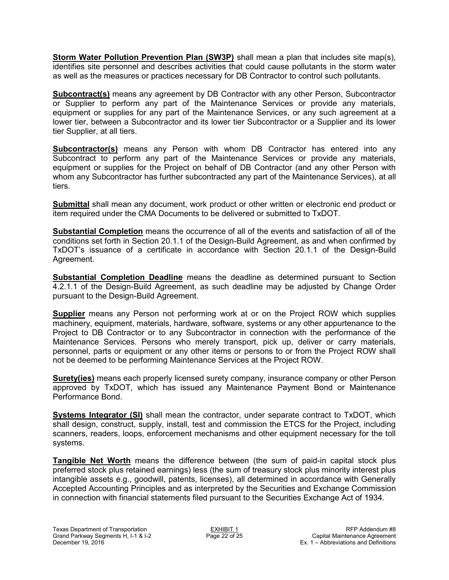**Storm Water Pollution Prevention Plan (SW3P)** shall mean a plan that includes site map(s), identifies site personnel and describes activities that could cause pollutants in the storm water as well as the measures or practices necessary for DB Contractor to control such pollutants.

**Subcontract(s)** means any agreement by DB Contractor with any other Person, Subcontractor or Supplier to perform any part of the Maintenance Services or provide any materials, equipment or supplies for any part of the Maintenance Services, or any such agreement at a lower tier, between a Subcontractor and its lower tier Subcontractor or a Supplier and its lower tier Supplier, at all tiers.

**Subcontractor(s)** means any Person with whom DB Contractor has entered into any Subcontract to perform any part of the Maintenance Services or provide any materials, equipment or supplies for the Project on behalf of DB Contractor (and any other Person with whom any Subcontractor has further subcontracted any part of the Maintenance Services), at all tiers.

**Submittal** shall mean any document, work product or other written or electronic end product or item required under the CMA Documents to be delivered or submitted to TxDOT.

**Substantial Completion** means the occurrence of all of the events and satisfaction of all of the conditions set forth in Section 20.1.1 of the Design-Build Agreement, as and when confirmed by TxDOT's issuance of a certificate in accordance with Section 20.1.1 of the Design-Build Agreement.

**Substantial Completion Deadline** means the deadline as determined pursuant to Section 4.2.1.1 of the Design-Build Agreement, as such deadline may be adjusted by Change Order pursuant to the Design-Build Agreement.

**Supplier** means any Person not performing work at or on the Project ROW which supplies machinery, equipment, materials, hardware, software, systems or any other appurtenance to the Project to DB Contractor or to any Subcontractor in connection with the performance of the Maintenance Services. Persons who merely transport, pick up, deliver or carry materials, personnel, parts or equipment or any other items or persons to or from the Project ROW shall not be deemed to be performing Maintenance Services at the Project ROW.

**Surety(ies)** means each properly licensed surety company, insurance company or other Person approved by TxDOT, which has issued any Maintenance Payment Bond or Maintenance Performance Bond.

**Systems Integrator (SI)** shall mean the contractor, under separate contract to TxDOT, which shall design, construct, supply, install, test and commission the ETCS for the Project, including scanners, readers, loops, enforcement mechanisms and other equipment necessary for the toll systems.

**Tangible Net Worth** means the difference between (the sum of paid-in capital stock plus preferred stock plus retained earnings) less (the sum of treasury stock plus minority interest plus intangible assets e.g., goodwill, patents, licenses), all determined in accordance with Generally Accepted Accounting Principles and as interpreted by the Securities and Exchange Commission in connection with financial statements filed pursuant to the Securities Exchange Act of 1934.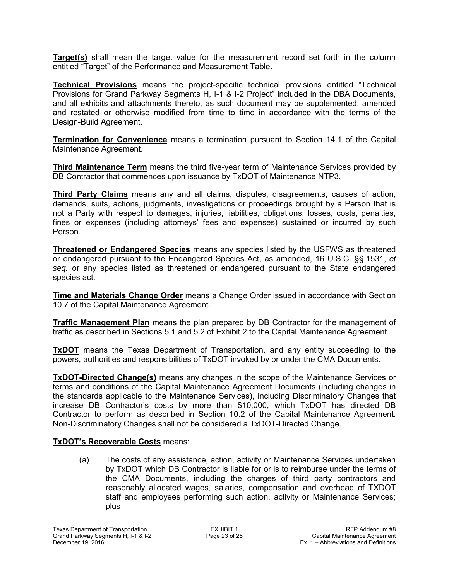**Target(s)** shall mean the target value for the measurement record set forth in the column entitled "Target" of the Performance and Measurement Table.

**Technical Provisions** means the project-specific technical provisions entitled "Technical Provisions for Grand Parkway Segments H, I-1 & I-2 Project" included in the DBA Documents, and all exhibits and attachments thereto, as such document may be supplemented, amended and restated or otherwise modified from time to time in accordance with the terms of the Design-Build Agreement.

**Termination for Convenience** means a termination pursuant to Section 14.1 of the Capital Maintenance Agreement.

**Third Maintenance Term** means the third five-year term of Maintenance Services provided by DB Contractor that commences upon issuance by TxDOT of Maintenance NTP3.

**Third Party Claims** means any and all claims, disputes, disagreements, causes of action, demands, suits, actions, judgments, investigations or proceedings brought by a Person that is not a Party with respect to damages, injuries, liabilities, obligations, losses, costs, penalties, fines or expenses (including attorneys' fees and expenses) sustained or incurred by such Person.

**Threatened or Endangered Species** means any species listed by the USFWS as threatened or endangered pursuant to the Endangered Species Act, as amended, 16 U.S.C. §§ 1531, *et seq.* or any species listed as threatened or endangered pursuant to the State endangered species act.

**Time and Materials Change Order** means a Change Order issued in accordance with Section 10.7 of the Capital Maintenance Agreement.

**Traffic Management Plan** means the plan prepared by DB Contractor for the management of traffic as described in Sections 5.1 and 5.2 of Exhibit 2 to the Capital Maintenance Agreement.

**TxDOT** means the Texas Department of Transportation, and any entity succeeding to the powers, authorities and responsibilities of TxDOT invoked by or under the CMA Documents.

**TxDOT-Directed Change(s)** means any changes in the scope of the Maintenance Services or terms and conditions of the Capital Maintenance Agreement Documents (including changes in the standards applicable to the Maintenance Services), including Discriminatory Changes that increase DB Contractor's costs by more than \$10,000, which TxDOT has directed DB Contractor to perform as described in Section 10.2 of the Capital Maintenance Agreement. Non-Discriminatory Changes shall not be considered a TxDOT-Directed Change.

#### **TxDOT's Recoverable Costs** means:

(a) The costs of any assistance, action, activity or Maintenance Services undertaken by TxDOT which DB Contractor is liable for or is to reimburse under the terms of the CMA Documents, including the charges of third party contractors and reasonably allocated wages, salaries, compensation and overhead of TXDOT staff and employees performing such action, activity or Maintenance Services; plus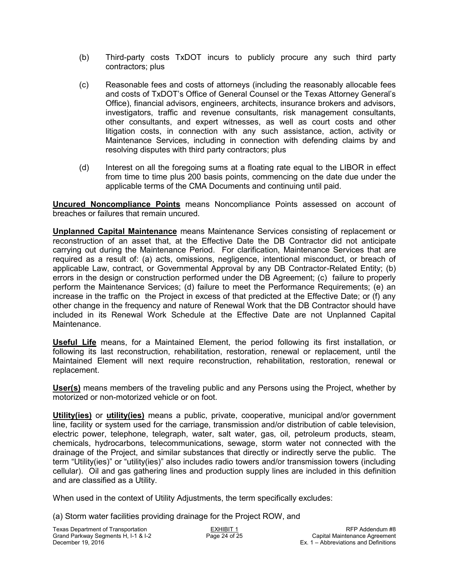- (b) Third-party costs TxDOT incurs to publicly procure any such third party contractors; plus
- (c) Reasonable fees and costs of attorneys (including the reasonably allocable fees and costs of TxDOT's Office of General Counsel or the Texas Attorney General's Office), financial advisors, engineers, architects, insurance brokers and advisors, investigators, traffic and revenue consultants, risk management consultants, other consultants, and expert witnesses, as well as court costs and other litigation costs, in connection with any such assistance, action, activity or Maintenance Services, including in connection with defending claims by and resolving disputes with third party contractors; plus
- (d) Interest on all the foregoing sums at a floating rate equal to the LIBOR in effect from time to time plus 200 basis points, commencing on the date due under the applicable terms of the CMA Documents and continuing until paid.

**Uncured Noncompliance Points** means Noncompliance Points assessed on account of breaches or failures that remain uncured.

**Unplanned Capital Maintenance** means Maintenance Services consisting of replacement or reconstruction of an asset that, at the Effective Date the DB Contractor did not anticipate carrying out during the Maintenance Period. For clarification, Maintenance Services that are required as a result of: (a) acts, omissions, negligence, intentional misconduct, or breach of applicable Law, contract, or Governmental Approval by any DB Contractor-Related Entity; (b) errors in the design or construction performed under the DB Agreement; (c) failure to properly perform the Maintenance Services; (d) failure to meet the Performance Requirements; (e) an increase in the traffic on the Project in excess of that predicted at the Effective Date; or (f) any other change in the frequency and nature of Renewal Work that the DB Contractor should have included in its Renewal Work Schedule at the Effective Date are not Unplanned Capital Maintenance.

**Useful Life** means, for a Maintained Element, the period following its first installation, or following its last reconstruction, rehabilitation, restoration, renewal or replacement, until the Maintained Element will next require reconstruction, rehabilitation, restoration, renewal or replacement.

**User(s)** means members of the traveling public and any Persons using the Project, whether by motorized or non-motorized vehicle or on foot.

**Utility(ies)** or **utility(ies)** means a public, private, cooperative, municipal and/or government line, facility or system used for the carriage, transmission and/or distribution of cable television, electric power, telephone, telegraph, water, salt water, gas, oil, petroleum products, steam, chemicals, hydrocarbons, telecommunications, sewage, storm water not connected with the drainage of the Project, and similar substances that directly or indirectly serve the public. The term "Utility(ies)" or "utility(ies)" also includes radio towers and/or transmission towers (including cellular). Oil and gas gathering lines and production supply lines are included in this definition and are classified as a Utility.

When used in the context of Utility Adjustments, the term specifically excludes:

(a) Storm water facilities providing drainage for the Project ROW, and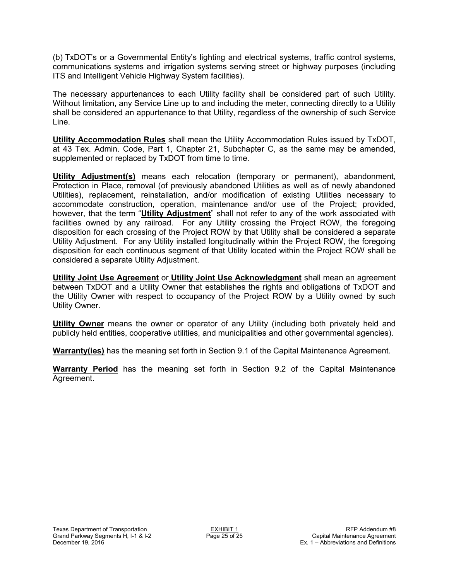(b) TxDOT's or a Governmental Entity's lighting and electrical systems, traffic control systems, communications systems and irrigation systems serving street or highway purposes (including ITS and Intelligent Vehicle Highway System facilities).

The necessary appurtenances to each Utility facility shall be considered part of such Utility. Without limitation, any Service Line up to and including the meter, connecting directly to a Utility shall be considered an appurtenance to that Utility, regardless of the ownership of such Service Line.

**Utility Accommodation Rules** shall mean the Utility Accommodation Rules issued by TxDOT, at 43 Tex. Admin. Code, Part 1, Chapter 21, Subchapter C, as the same may be amended, supplemented or replaced by TxDOT from time to time.

**Utility Adjustment(s)** means each relocation (temporary or permanent), abandonment, Protection in Place, removal (of previously abandoned Utilities as well as of newly abandoned Utilities), replacement, reinstallation, and/or modification of existing Utilities necessary to accommodate construction, operation, maintenance and/or use of the Project; provided, however, that the term "**Utility Adjustment**" shall not refer to any of the work associated with facilities owned by any railroad. For any Utility crossing the Project ROW, the foregoing disposition for each crossing of the Project ROW by that Utility shall be considered a separate Utility Adjustment. For any Utility installed longitudinally within the Project ROW, the foregoing disposition for each continuous segment of that Utility located within the Project ROW shall be considered a separate Utility Adjustment.

**Utility Joint Use Agreement** or **Utility Joint Use Acknowledgment** shall mean an agreement between TxDOT and a Utility Owner that establishes the rights and obligations of TxDOT and the Utility Owner with respect to occupancy of the Project ROW by a Utility owned by such Utility Owner.

**Utility Owner** means the owner or operator of any Utility (including both privately held and publicly held entities, cooperative utilities, and municipalities and other governmental agencies).

**Warranty(ies)** has the meaning set forth in Section 9.1 of the Capital Maintenance Agreement.

**Warranty Period** has the meaning set forth in Section 9.2 of the Capital Maintenance Agreement.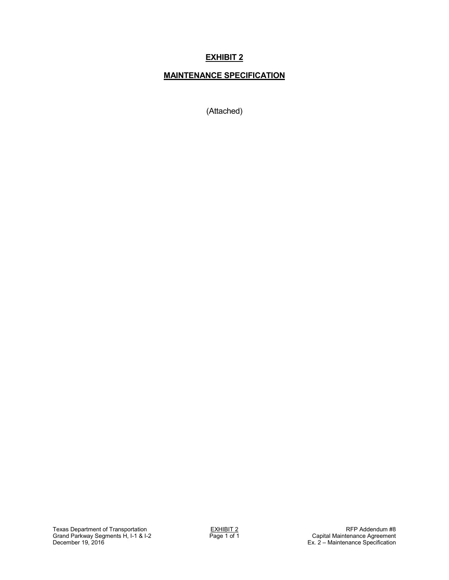# **MAINTENANCE SPECIFICATION**

(Attached)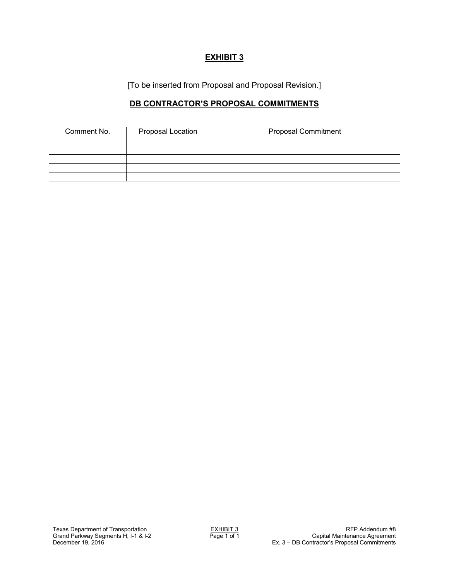[To be inserted from Proposal and Proposal Revision.]

## **DB CONTRACTOR'S PROPOSAL COMMITMENTS**

| Comment No. | Proposal Location | <b>Proposal Commitment</b> |
|-------------|-------------------|----------------------------|
|             |                   |                            |
|             |                   |                            |
|             |                   |                            |
|             |                   |                            |
|             |                   |                            |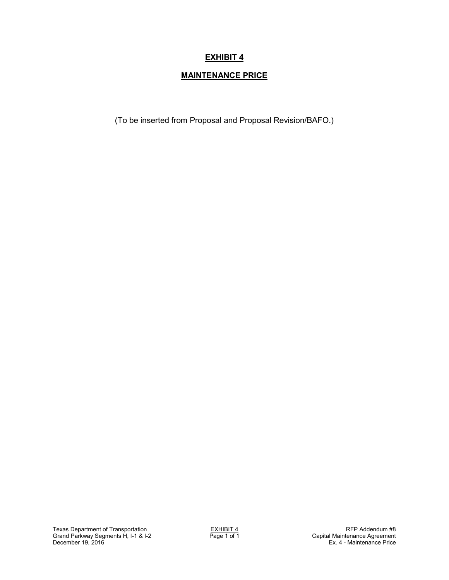# **MAINTENANCE PRICE**

(To be inserted from Proposal and Proposal Revision/BAFO.)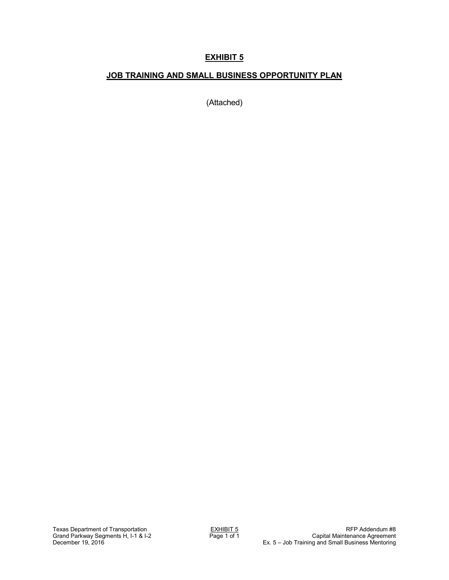## **JOB TRAINING AND SMALL BUSINESS OPPORTUNITY PLAN**

(Attached)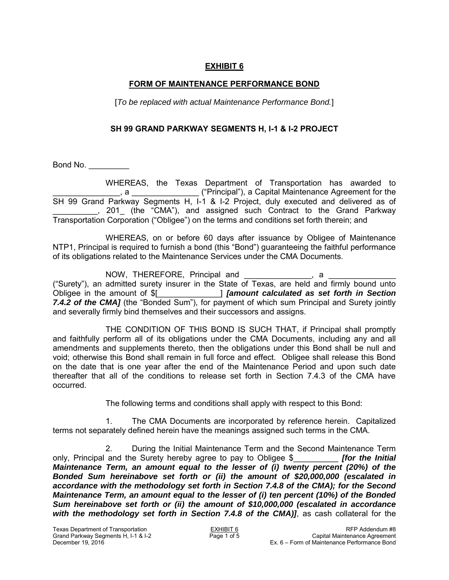### **FORM OF MAINTENANCE PERFORMANCE BOND**

[*To be replaced with actual Maintenance Performance Bond.*]

### **SH 99 GRAND PARKWAY SEGMENTS H, I-1 & I-2 PROJECT**

Bond No. \_\_\_\_\_\_\_\_\_\_

WHEREAS, the Texas Department of Transportation has awarded to \_\_\_\_\_\_\_\_\_\_\_\_\_\_\_, a \_\_\_\_\_\_\_\_\_\_\_\_\_\_\_ ("Principal"), a Capital Maintenance Agreement for the SH 99 Grand Parkway Segments H, I-1 & I-2 Project, duly executed and delivered as of \_\_\_\_\_\_\_\_\_\_, 201\_ (the "CMA"), and assigned such Contract to the Grand Parkway Transportation Corporation ("Obligee") on the terms and conditions set forth therein; and

WHEREAS, on or before 60 days after issuance by Obligee of Maintenance NTP1, Principal is required to furnish a bond (this "Bond") guaranteeing the faithful performance of its obligations related to the Maintenance Services under the CMA Documents.

NOW, THEREFORE, Principal and \_\_\_\_\_\_\_\_\_\_\_\_\_\_, a ("Surety"), an admitted surety insurer in the State of Texas, are held and firmly bound unto Obligee in the amount of \$[\_\_\_\_\_\_\_\_\_\_\_\_\_\_] *[amount calculated as set forth in Section*  7.4.2 of the CMA] (the "Bonded Sum"), for payment of which sum Principal and Surety jointly and severally firmly bind themselves and their successors and assigns.

THE CONDITION OF THIS BOND IS SUCH THAT, if Principal shall promptly and faithfully perform all of its obligations under the CMA Documents, including any and all amendments and supplements thereto, then the obligations under this Bond shall be null and void; otherwise this Bond shall remain in full force and effect. Obligee shall release this Bond on the date that is one year after the end of the Maintenance Period and upon such date thereafter that all of the conditions to release set forth in Section 7.4.3 of the CMA have occurred.

The following terms and conditions shall apply with respect to this Bond:

1. The CMA Documents are incorporated by reference herein. Capitalized terms not separately defined herein have the meanings assigned such terms in the CMA.

2. During the Initial Maintenance Term and the Second Maintenance Term only, Principal and the Surety hereby agree to pay to Obligee \$\_\_\_\_\_\_\_\_\_\_ *[for the Initial Maintenance Term, an amount equal to the lesser of (i) twenty percent (20%) of the Bonded Sum hereinabove set forth or (ii) the amount of \$20,000,000 (escalated in accordance with the methodology set forth in Section 7.4.8 of the CMA); for the Second Maintenance Term, an amount equal to the lesser of (i) ten percent (10%) of the Bonded Sum hereinabove set forth or (ii) the amount of \$10,000,000 (escalated in accordance with the methodology set forth in Section 7.4.8 of the CMA)]*, as cash collateral for the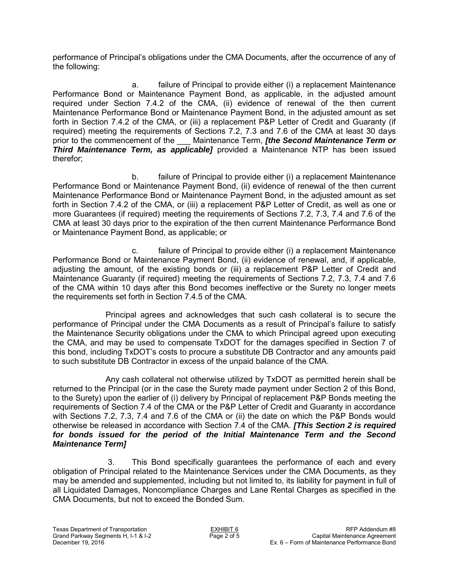performance of Principal's obligations under the CMA Documents, after the occurrence of any of the following:

a. failure of Principal to provide either (i) a replacement Maintenance Performance Bond or Maintenance Payment Bond, as applicable, in the adjusted amount required under Section 7.4.2 of the CMA, (ii) evidence of renewal of the then current Maintenance Performance Bond or Maintenance Payment Bond, in the adjusted amount as set forth in Section 7.4.2 of the CMA, or (iii) a replacement P&P Letter of Credit and Guaranty (if required) meeting the requirements of Sections 7.2, 7.3 and 7.6 of the CMA at least 30 days prior to the commencement of the \_\_\_ Maintenance Term, *[the Second Maintenance Term or Third Maintenance Term, as applicable]* provided a Maintenance NTP has been issued therefor;

 b. failure of Principal to provide either (i) a replacement Maintenance Performance Bond or Maintenance Payment Bond, (ii) evidence of renewal of the then current Maintenance Performance Bond or Maintenance Payment Bond, in the adjusted amount as set forth in Section 7.4.2 of the CMA, or (iii) a replacement P&P Letter of Credit, as well as one or more Guarantees (if required) meeting the requirements of Sections 7.2, 7.3, 7.4 and 7.6 of the CMA at least 30 days prior to the expiration of the then current Maintenance Performance Bond or Maintenance Payment Bond, as applicable; or

 c. failure of Principal to provide either (i) a replacement Maintenance Performance Bond or Maintenance Payment Bond, (ii) evidence of renewal, and, if applicable, adjusting the amount, of the existing bonds or (iii) a replacement P&P Letter of Credit and Maintenance Guaranty (if required) meeting the requirements of Sections 7.2, 7.3, 7.4 and 7.6 of the CMA within 10 days after this Bond becomes ineffective or the Surety no longer meets the requirements set forth in Section 7.4.5 of the CMA.

Principal agrees and acknowledges that such cash collateral is to secure the performance of Principal under the CMA Documents as a result of Principal's failure to satisfy the Maintenance Security obligations under the CMA to which Principal agreed upon executing the CMA, and may be used to compensate TxDOT for the damages specified in Section 7 of this bond, including TxDOT's costs to procure a substitute DB Contractor and any amounts paid to such substitute DB Contractor in excess of the unpaid balance of the CMA.

Any cash collateral not otherwise utilized by TxDOT as permitted herein shall be returned to the Principal (or in the case the Surety made payment under Section 2 of this Bond, to the Surety) upon the earlier of (i) delivery by Principal of replacement P&P Bonds meeting the requirements of Section 7.4 of the CMA or the P&P Letter of Credit and Guaranty in accordance with Sections 7.2, 7.3, 7.4 and 7.6 of the CMA or (ii) the date on which the P&P Bonds would otherwise be released in accordance with Section 7.4 of the CMA. *[This Section 2 is required*  for bonds issued for the period of the Initial Maintenance Term and the Second *Maintenance Term]*

3. This Bond specifically guarantees the performance of each and every obligation of Principal related to the Maintenance Services under the CMA Documents, as they may be amended and supplemented, including but not limited to, its liability for payment in full of all Liquidated Damages, Noncompliance Charges and Lane Rental Charges as specified in the CMA Documents, but not to exceed the Bonded Sum.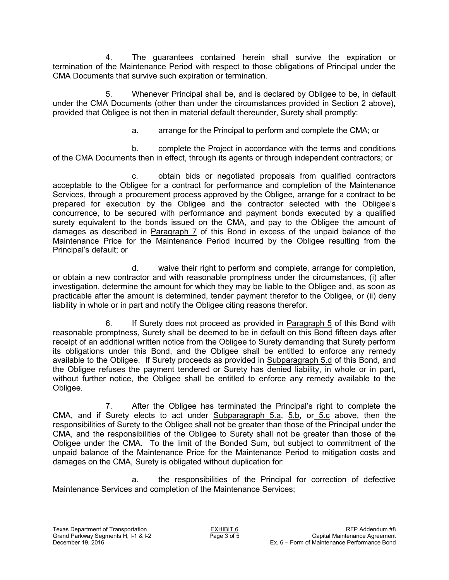4. The guarantees contained herein shall survive the expiration or termination of the Maintenance Period with respect to those obligations of Principal under the CMA Documents that survive such expiration or termination.

5. Whenever Principal shall be, and is declared by Obligee to be, in default under the CMA Documents (other than under the circumstances provided in Section 2 above), provided that Obligee is not then in material default thereunder, Surety shall promptly:

a. arrange for the Principal to perform and complete the CMA; or

b. complete the Project in accordance with the terms and conditions of the CMA Documents then in effect, through its agents or through independent contractors; or

c. obtain bids or negotiated proposals from qualified contractors acceptable to the Obligee for a contract for performance and completion of the Maintenance Services, through a procurement process approved by the Obligee, arrange for a contract to be prepared for execution by the Obligee and the contractor selected with the Obligee's concurrence, to be secured with performance and payment bonds executed by a qualified surety equivalent to the bonds issued on the CMA, and pay to the Obligee the amount of damages as described in Paragraph 7 of this Bond in excess of the unpaid balance of the Maintenance Price for the Maintenance Period incurred by the Obligee resulting from the Principal's default; or

d. waive their right to perform and complete, arrange for completion, or obtain a new contractor and with reasonable promptness under the circumstances, (i) after investigation, determine the amount for which they may be liable to the Obligee and, as soon as practicable after the amount is determined, tender payment therefor to the Obligee, or (ii) deny liability in whole or in part and notify the Obligee citing reasons therefor.

6. If Surety does not proceed as provided in Paragraph 5 of this Bond with reasonable promptness, Surety shall be deemed to be in default on this Bond fifteen days after receipt of an additional written notice from the Obligee to Surety demanding that Surety perform its obligations under this Bond, and the Obligee shall be entitled to enforce any remedy available to the Obligee. If Surety proceeds as provided in Subparagraph 5.d of this Bond, and the Obligee refuses the payment tendered or Surety has denied liability, in whole or in part, without further notice, the Obligee shall be entitled to enforce any remedy available to the Obligee.

7. After the Obligee has terminated the Principal's right to complete the CMA, and if Surety elects to act under Subparagraph 5.a, 5.b, or 5.c above, then the responsibilities of Surety to the Obligee shall not be greater than those of the Principal under the CMA, and the responsibilities of the Obligee to Surety shall not be greater than those of the Obligee under the CMA. To the limit of the Bonded Sum, but subject to commitment of the unpaid balance of the Maintenance Price for the Maintenance Period to mitigation costs and damages on the CMA, Surety is obligated without duplication for:

a. the responsibilities of the Principal for correction of defective Maintenance Services and completion of the Maintenance Services;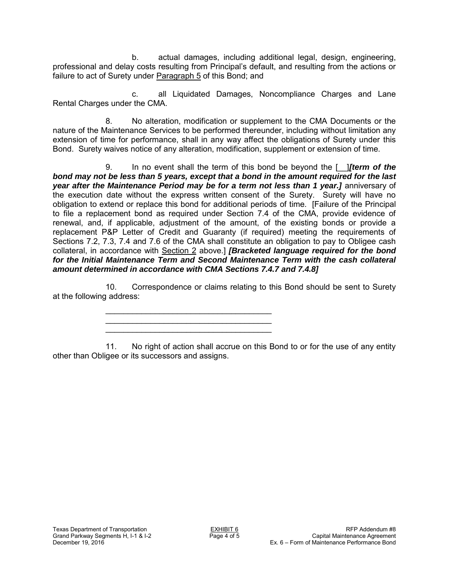b. actual damages, including additional legal, design, engineering, professional and delay costs resulting from Principal's default, and resulting from the actions or failure to act of Surety under Paragraph 5 of this Bond; and

c. all Liquidated Damages, Noncompliance Charges and Lane Rental Charges under the CMA.

8. No alteration, modification or supplement to the CMA Documents or the nature of the Maintenance Services to be performed thereunder, including without limitation any extension of time for performance, shall in any way affect the obligations of Surety under this Bond. Surety waives notice of any alteration, modification, supplement or extension of time.

9. In no event shall the term of this bond be beyond the [\_\_]*[term of the bond may not be less than 5 years, except that a bond in the amount required for the last year after the Maintenance Period may be for a term not less than 1 year.]* anniversary of the execution date without the express written consent of the Surety. Surety will have no obligation to extend or replace this bond for additional periods of time. [Failure of the Principal to file a replacement bond as required under Section 7.4 of the CMA, provide evidence of renewal, and, if applicable, adjustment of the amount, of the existing bonds or provide a replacement P&P Letter of Credit and Guaranty (if required) meeting the requirements of Sections 7.2, 7.3, 7.4 and 7.6 of the CMA shall constitute an obligation to pay to Obligee cash collateral, in accordance with Section 2 above.] *[Bracketed language required for the bond*  for the Initial Maintenance Term and Second Maintenance Term with the cash collateral *amount determined in accordance with CMA Sections 7.4.7 and 7.4.8]*

10. Correspondence or claims relating to this Bond should be sent to Surety at the following address:

> \_\_\_\_\_\_\_\_\_\_\_\_\_\_\_\_\_\_\_\_\_\_\_\_\_\_\_\_\_\_\_\_\_\_\_\_\_ \_\_\_\_\_\_\_\_\_\_\_\_\_\_\_\_\_\_\_\_\_\_\_\_\_\_\_\_\_\_\_\_\_\_\_\_\_ \_\_\_\_\_\_\_\_\_\_\_\_\_\_\_\_\_\_\_\_\_\_\_\_\_\_\_\_\_\_\_\_\_\_\_\_\_

11. No right of action shall accrue on this Bond to or for the use of any entity other than Obligee or its successors and assigns.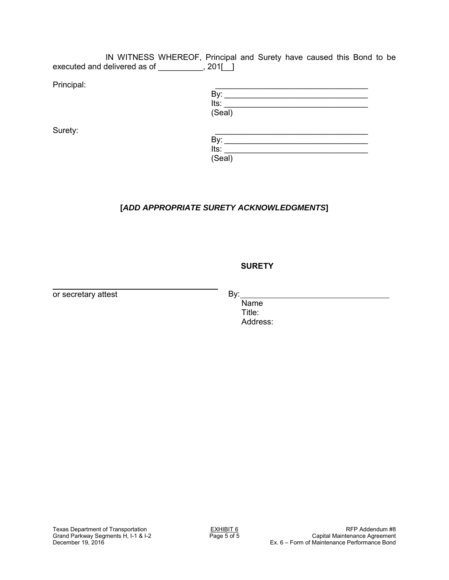IN WITNESS WHEREOF, Principal and Surety have caused this Bond to be executed and delivered as of \_\_\_\_\_\_\_\_, 201[1]

| Principal: |        |  |
|------------|--------|--|
|            | By:    |  |
|            | Its:   |  |
|            | (Seal) |  |

| Surety: |        |
|---------|--------|
|         | Bv:    |
|         | Its:   |
|         | (Seal) |

# **[***ADD APPROPRIATE SURETY ACKNOWLEDGMENTS***]**

## **SURETY**

or secretary attest

By:

Name Title: Address: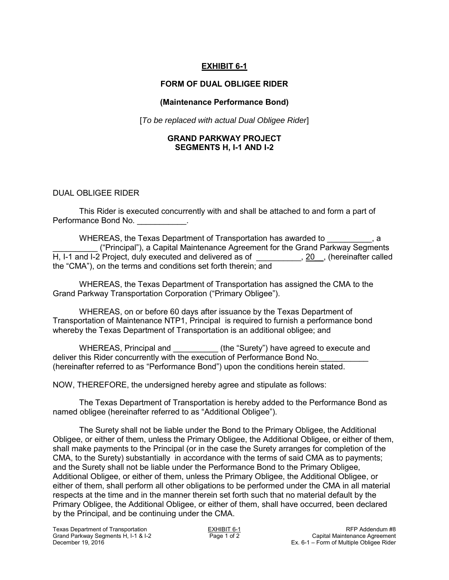## **EXHIBIT 6-1**

#### **FORM OF DUAL OBLIGEE RIDER**

#### **(Maintenance Performance Bond)**

[*To be replaced with actual Dual Obligee Rider*]

#### **GRAND PARKWAY PROJECT SEGMENTS H, I-1 AND I-2**

#### DUAL OBLIGEE RIDER

This Rider is executed concurrently with and shall be attached to and form a part of Performance Bond No.

WHEREAS, the Texas Department of Transportation has awarded to \_\_\_\_\_\_\_\_\_\_ ("Principal"), a Capital Maintenance Agreement for the Grand Parkway Segments H, I-1 and I-2 Project, duly executed and delivered as of \_\_\_\_\_\_\_\_\_\_, 20\_, (hereinafter called the "CMA"), on the terms and conditions set forth therein; and

WHEREAS, the Texas Department of Transportation has assigned the CMA to the Grand Parkway Transportation Corporation ("Primary Obligee").

WHEREAS, on or before 60 days after issuance by the Texas Department of Transportation of Maintenance NTP1, Principal is required to furnish a performance bond whereby the Texas Department of Transportation is an additional obligee; and

WHEREAS, Principal and **Example 20** (the "Surety") have agreed to execute and deliver this Rider concurrently with the execution of Performance Bond No. (hereinafter referred to as "Performance Bond") upon the conditions herein stated.

NOW, THEREFORE, the undersigned hereby agree and stipulate as follows:

The Texas Department of Transportation is hereby added to the Performance Bond as named obligee (hereinafter referred to as "Additional Obligee").

The Surety shall not be liable under the Bond to the Primary Obligee, the Additional Obligee, or either of them, unless the Primary Obligee, the Additional Obligee, or either of them, shall make payments to the Principal (or in the case the Surety arranges for completion of the CMA, to the Surety) substantially in accordance with the terms of said CMA as to payments; and the Surety shall not be liable under the Performance Bond to the Primary Obligee, Additional Obligee, or either of them, unless the Primary Obligee, the Additional Obligee, or either of them, shall perform all other obligations to be performed under the CMA in all material respects at the time and in the manner therein set forth such that no material default by the Primary Obligee, the Additional Obligee, or either of them, shall have occurred, been declared by the Principal, and be continuing under the CMA.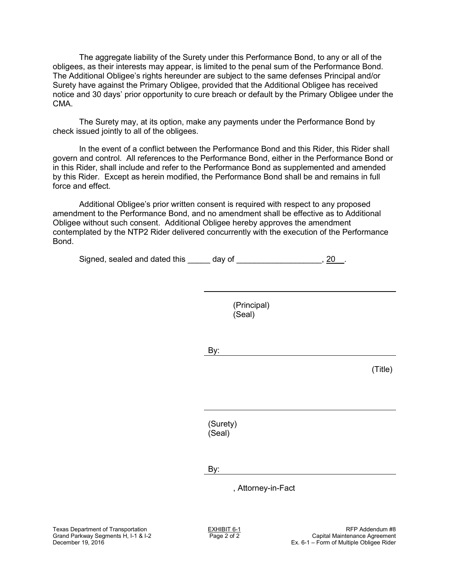The aggregate liability of the Surety under this Performance Bond, to any or all of the obligees, as their interests may appear, is limited to the penal sum of the Performance Bond. The Additional Obligee's rights hereunder are subject to the same defenses Principal and/or Surety have against the Primary Obligee, provided that the Additional Obligee has received notice and 30 days' prior opportunity to cure breach or default by the Primary Obligee under the CMA.

The Surety may, at its option, make any payments under the Performance Bond by check issued jointly to all of the obligees.

In the event of a conflict between the Performance Bond and this Rider, this Rider shall govern and control. All references to the Performance Bond, either in the Performance Bond or in this Rider, shall include and refer to the Performance Bond as supplemented and amended by this Rider. Except as herein modified, the Performance Bond shall be and remains in full force and effect.

Additional Obligee's prior written consent is required with respect to any proposed amendment to the Performance Bond, and no amendment shall be effective as to Additional Obligee without such consent. Additional Obligee hereby approves the amendment contemplated by the NTP2 Rider delivered concurrently with the execution of the Performance Bond.

Signed, sealed and dated this \_\_\_\_\_ day of \_\_\_\_\_\_\_\_\_\_\_\_\_\_\_\_\_\_\_\_, 20\_\_.

(Principal) (Seal)

By:

(Title)

(Surety) (Seal)

By:

, Attorney-in-Fact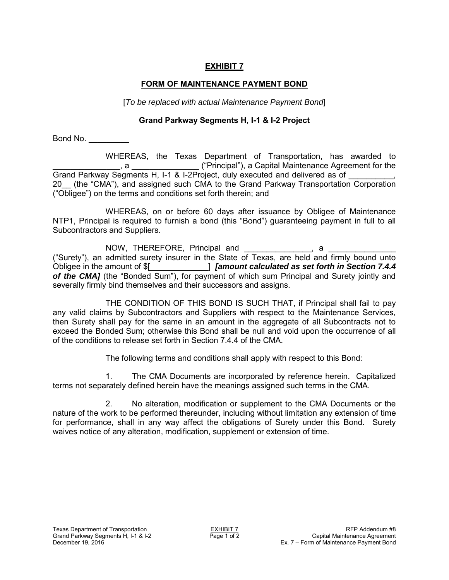# **FORM OF MAINTENANCE PAYMENT BOND**

[*To be replaced with actual Maintenance Payment Bond*]

## **Grand Parkway Segments H, I-1 & I-2 Project**

Bond No. \_\_\_\_\_\_\_\_\_

WHEREAS, the Texas Department of Transportation, has awarded to \_\_\_\_\_\_\_\_\_\_\_\_\_\_\_, a \_\_\_\_\_\_\_\_\_\_\_\_\_\_\_ ("Principal"), a Capital Maintenance Agreement for the Grand Parkway Segments H, I-1 & I-2Project, duly executed and delivered as of 20\_\_ (the "CMA"), and assigned such CMA to the Grand Parkway Transportation Corporation ("Obligee") on the terms and conditions set forth therein; and

WHEREAS, on or before 60 days after issuance by Obligee of Maintenance NTP1, Principal is required to furnish a bond (this "Bond") guaranteeing payment in full to all Subcontractors and Suppliers.

NOW, THEREFORE, Principal and \_\_\_\_\_\_\_\_\_\_\_\_\_\_\_, a ("Surety"), an admitted surety insurer in the State of Texas, are held and firmly bound unto Obligee in the amount of \$[\_\_\_\_\_\_\_\_\_\_\_\_\_] *[amount calculated as set forth in Section 7.4.4*  of the CMA] (the "Bonded Sum"), for payment of which sum Principal and Surety jointly and severally firmly bind themselves and their successors and assigns.

THE CONDITION OF THIS BOND IS SUCH THAT, if Principal shall fail to pay any valid claims by Subcontractors and Suppliers with respect to the Maintenance Services, then Surety shall pay for the same in an amount in the aggregate of all Subcontracts not to exceed the Bonded Sum; otherwise this Bond shall be null and void upon the occurrence of all of the conditions to release set forth in Section 7.4.4 of the CMA.

The following terms and conditions shall apply with respect to this Bond:

1. The CMA Documents are incorporated by reference herein. Capitalized terms not separately defined herein have the meanings assigned such terms in the CMA.

2. No alteration, modification or supplement to the CMA Documents or the nature of the work to be performed thereunder, including without limitation any extension of time for performance, shall in any way affect the obligations of Surety under this Bond. Surety waives notice of any alteration, modification, supplement or extension of time.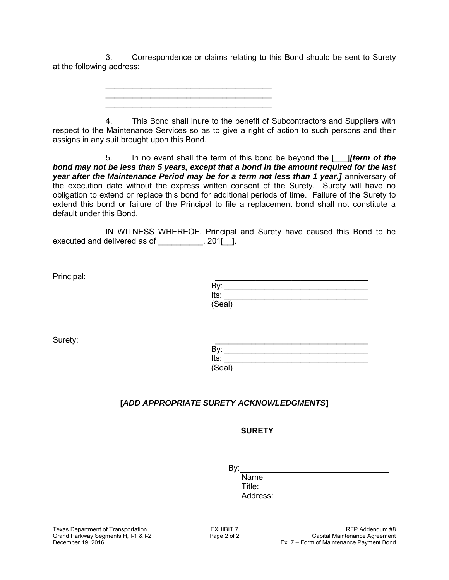3. Correspondence or claims relating to this Bond should be sent to Surety at the following address:

> \_\_\_\_\_\_\_\_\_\_\_\_\_\_\_\_\_\_\_\_\_\_\_\_\_\_\_\_\_\_\_\_\_\_\_\_\_ \_\_\_\_\_\_\_\_\_\_\_\_\_\_\_\_\_\_\_\_\_\_\_\_\_\_\_\_\_\_\_\_\_\_\_\_\_ \_\_\_\_\_\_\_\_\_\_\_\_\_\_\_\_\_\_\_\_\_\_\_\_\_\_\_\_\_\_\_\_\_\_\_\_\_

4. This Bond shall inure to the benefit of Subcontractors and Suppliers with respect to the Maintenance Services so as to give a right of action to such persons and their assigns in any suit brought upon this Bond.

5. In no event shall the term of this bond be beyond the [\_\_\_]*[term of the bond may not be less than 5 years, except that a bond in the amount required for the last year after the Maintenance Period may be for a term not less than 1 year.]* anniversary of the execution date without the express written consent of the Surety. Surety will have no obligation to extend or replace this bond for additional periods of time. Failure of the Surety to extend this bond or failure of the Principal to file a replacement bond shall not constitute a default under this Bond.

IN WITNESS WHEREOF, Principal and Surety have caused this Bond to be executed and delivered as of \_\_\_\_\_\_\_\_\_, 201[\_].

| Principal: |        |
|------------|--------|
|            | Bv:    |
|            | Its:   |
|            | (Seal) |

| Surety: |        |  |
|---------|--------|--|
|         | By:    |  |
|         | Its:   |  |
|         | (Seal) |  |

# **[***ADD APPROPRIATE SURETY ACKNOWLEDGMENTS***]**

# **SURETY**

By:

Name Title: Address: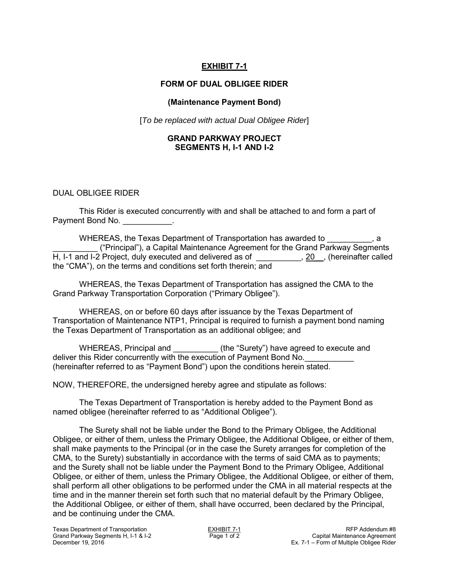# **EXHIBIT 7-1**

## **FORM OF DUAL OBLIGEE RIDER**

### **(Maintenance Payment Bond)**

[*To be replaced with actual Dual Obligee Rider*]

#### **GRAND PARKWAY PROJECT SEGMENTS H, I-1 AND I-2**

#### DUAL OBLIGEE RIDER

This Rider is executed concurrently with and shall be attached to and form a part of Payment Bond No. **Example 1** 

WHEREAS, the Texas Department of Transportation has awarded to  $\qquad \qquad$ , a \_\_\_\_\_\_\_\_\_\_ ("Principal"), a Capital Maintenance Agreement for the Grand Parkway Segments H, I-1 and I-2 Project, duly executed and delivered as of \_\_\_\_\_\_\_\_\_\_, 20\_, (hereinafter called the "CMA"), on the terms and conditions set forth therein; and

WHEREAS, the Texas Department of Transportation has assigned the CMA to the Grand Parkway Transportation Corporation ("Primary Obligee").

WHEREAS, on or before 60 days after issuance by the Texas Department of Transportation of Maintenance NTP1, Principal is required to furnish a payment bond naming the Texas Department of Transportation as an additional obligee; and

WHEREAS, Principal and \_\_\_\_\_\_\_\_\_\_\_ (the "Surety") have agreed to execute and deliver this Rider concurrently with the execution of Payment Bond No. (hereinafter referred to as "Payment Bond") upon the conditions herein stated.

NOW, THEREFORE, the undersigned hereby agree and stipulate as follows:

The Texas Department of Transportation is hereby added to the Payment Bond as named obligee (hereinafter referred to as "Additional Obligee").

The Surety shall not be liable under the Bond to the Primary Obligee, the Additional Obligee, or either of them, unless the Primary Obligee, the Additional Obligee, or either of them, shall make payments to the Principal (or in the case the Surety arranges for completion of the CMA, to the Surety) substantially in accordance with the terms of said CMA as to payments; and the Surety shall not be liable under the Payment Bond to the Primary Obligee, Additional Obligee, or either of them, unless the Primary Obligee, the Additional Obligee, or either of them, shall perform all other obligations to be performed under the CMA in all material respects at the time and in the manner therein set forth such that no material default by the Primary Obligee, the Additional Obligee, or either of them, shall have occurred, been declared by the Principal, and be continuing under the CMA.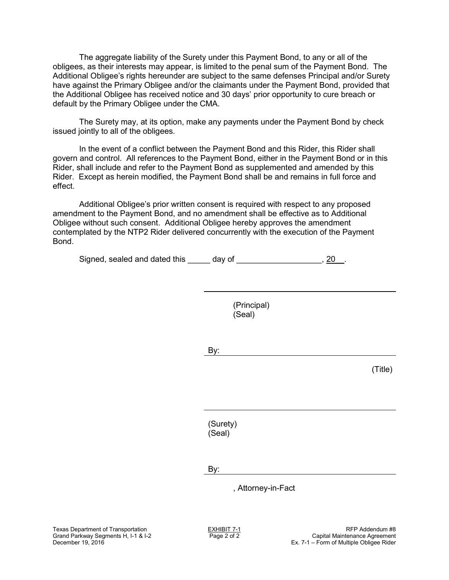The aggregate liability of the Surety under this Payment Bond, to any or all of the obligees, as their interests may appear, is limited to the penal sum of the Payment Bond. The Additional Obligee's rights hereunder are subject to the same defenses Principal and/or Surety have against the Primary Obligee and/or the claimants under the Payment Bond, provided that the Additional Obligee has received notice and 30 days' prior opportunity to cure breach or default by the Primary Obligee under the CMA.

The Surety may, at its option, make any payments under the Payment Bond by check issued jointly to all of the obligees.

In the event of a conflict between the Payment Bond and this Rider, this Rider shall govern and control. All references to the Payment Bond, either in the Payment Bond or in this Rider, shall include and refer to the Payment Bond as supplemented and amended by this Rider. Except as herein modified, the Payment Bond shall be and remains in full force and effect.

Additional Obligee's prior written consent is required with respect to any proposed amendment to the Payment Bond, and no amendment shall be effective as to Additional Obligee without such consent. Additional Obligee hereby approves the amendment contemplated by the NTP2 Rider delivered concurrently with the execution of the Payment Bond.

Signed, sealed and dated this \_\_\_\_\_ day of \_\_\_\_\_\_\_\_\_\_\_\_\_\_\_\_\_\_\_\_, 20\_\_.

(Principal) (Seal)

By:

(Title)

(Surety) (Seal)

By:

, Attorney-in-Fact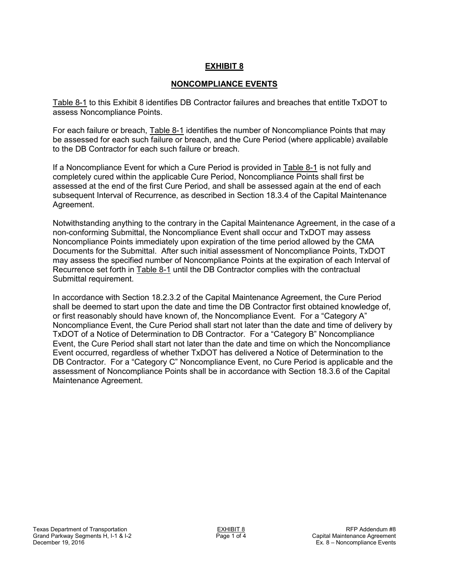# **NONCOMPLIANCE EVENTS**

Table 8-1 to this Exhibit 8 identifies DB Contractor failures and breaches that entitle TxDOT to assess Noncompliance Points.

For each failure or breach, Table 8-1 identifies the number of Noncompliance Points that may be assessed for each such failure or breach, and the Cure Period (where applicable) available to the DB Contractor for each such failure or breach.

If a Noncompliance Event for which a Cure Period is provided in Table 8-1 is not fully and completely cured within the applicable Cure Period, Noncompliance Points shall first be assessed at the end of the first Cure Period, and shall be assessed again at the end of each subsequent Interval of Recurrence, as described in Section 18.3.4 of the Capital Maintenance Agreement.

Notwithstanding anything to the contrary in the Capital Maintenance Agreement, in the case of a non-conforming Submittal, the Noncompliance Event shall occur and TxDOT may assess Noncompliance Points immediately upon expiration of the time period allowed by the CMA Documents for the Submittal. After such initial assessment of Noncompliance Points, TxDOT may assess the specified number of Noncompliance Points at the expiration of each Interval of Recurrence set forth in Table 8-1 until the DB Contractor complies with the contractual Submittal requirement.

In accordance with Section 18.2.3.2 of the Capital Maintenance Agreement, the Cure Period shall be deemed to start upon the date and time the DB Contractor first obtained knowledge of, or first reasonably should have known of, the Noncompliance Event. For a "Category A" Noncompliance Event, the Cure Period shall start not later than the date and time of delivery by TxDOT of a Notice of Determination to DB Contractor. For a "Category B" Noncompliance Event, the Cure Period shall start not later than the date and time on which the Noncompliance Event occurred, regardless of whether TxDOT has delivered a Notice of Determination to the DB Contractor. For a "Category C" Noncompliance Event, no Cure Period is applicable and the assessment of Noncompliance Points shall be in accordance with Section 18.3.6 of the Capital Maintenance Agreement.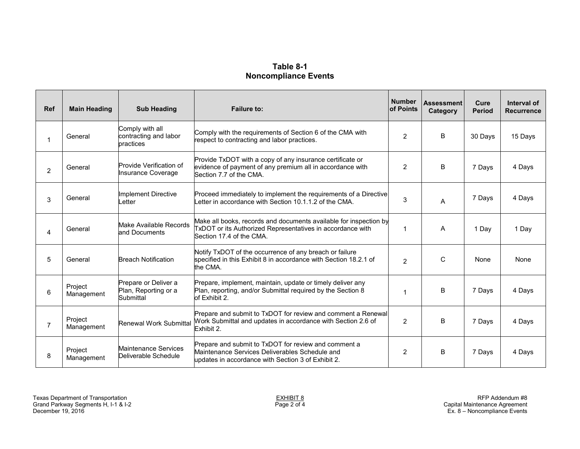# **Table 8-1 Noncompliance Events**

| Ref            | <b>Main Heading</b>   | <b>Sub Heading</b>                                        | <b>Number</b><br><b>Failure to:</b><br>of Points                                                                                                             |                | <b>Assessment</b><br>Category | Cure<br><b>Period</b> | Interval of<br><b>Recurrence</b> |
|----------------|-----------------------|-----------------------------------------------------------|--------------------------------------------------------------------------------------------------------------------------------------------------------------|----------------|-------------------------------|-----------------------|----------------------------------|
|                | General               | Comply with all<br>contracting and labor<br>practices     | Comply with the requirements of Section 6 of the CMA with<br>respect to contracting and labor practices.                                                     | $\overline{2}$ | B                             | 30 Days               | 15 Days                          |
| $\overline{2}$ | General               | Provide Verification of<br>Insurance Coverage             | Provide TxDOT with a copy of any insurance certificate or<br>evidence of payment of any premium all in accordance with<br>Section 7.7 of the CMA.            |                | B                             | 7 Days                | 4 Days                           |
| 3              | General               | Implement Directive<br>Letter                             | Proceed immediately to implement the requirements of a Directive<br>etter in accordance with Section 10.1.1.2 of the CMA.                                    |                | A                             | 7 Days                | 4 Days                           |
| 4              | General               | Make Available Records<br>and Documents                   | Make all books, records and documents available for inspection by<br>TxDOT or its Authorized Representatives in accordance with<br>Section 17.4 of the CMA.  |                | A                             | 1 Day                 | 1 Day                            |
| 5              | General               | <b>Breach Notification</b>                                | Notify TxDOT of the occurrence of any breach or failure<br>specified in this Exhibit 8 in accordance with Section 18.2.1 of<br>the CMA.                      |                | C                             | None                  | None                             |
| 6              | Project<br>Management | Prepare or Deliver a<br>Plan, Reporting or a<br>Submittal | Prepare, implement, maintain, update or timely deliver any<br>Plan, reporting, and/or Submittal required by the Section 8<br>of Exhibit 2.                   |                | B                             | 7 Days                | 4 Days                           |
| 7              | Project<br>Management | Renewal Work Submittal                                    | Prepare and submit to TxDOT for review and comment a Renewal<br>Work Submittal and updates in accordance with Section 2.6 of<br>Exhibit 2.                   |                | B                             | 7 Days                | 4 Days                           |
| 8              | Project<br>Management | Maintenance Services<br>Deliverable Schedule              | Prepare and submit to TxDOT for review and comment a<br>Maintenance Services Deliverables Schedule and<br>updates in accordance with Section 3 of Exhibit 2. | 2              | B                             | 7 Days                | 4 Days                           |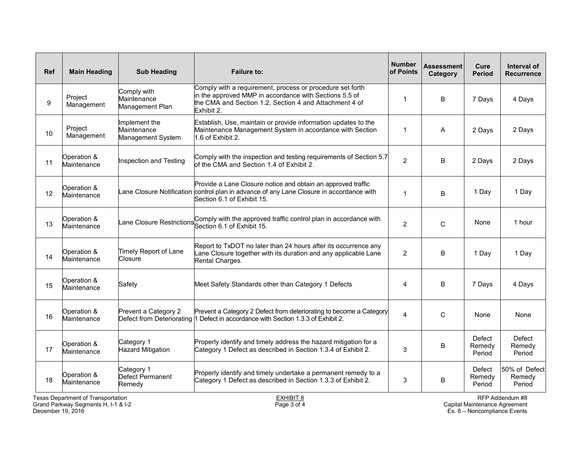| Ref | <b>Main Heading</b>                | <b>Sub Heading</b>                                | <b>Failure to:</b>                                                                                                                                                                          | <b>Number</b><br>of Points | <b>Assessment</b><br>Category | Cure<br><b>Period</b>      | Interval of<br><b>Recurrence</b>  |
|-----|------------------------------------|---------------------------------------------------|---------------------------------------------------------------------------------------------------------------------------------------------------------------------------------------------|----------------------------|-------------------------------|----------------------------|-----------------------------------|
| 9   | Project<br>Management              | Comply with<br>Maintenance<br>Management Plan     | Comply with a requirement, process or procedure set forth<br>in the approved MMP in accordance with Sections 5.5 of<br>the CMA and Section 1.2, Section 4 and Attachment 4 of<br>Exhibit 2. |                            | B                             | 7 Days                     | 4 Days                            |
| 10  | Project<br>Management              | Implement the<br>Maintenance<br>Management System | Establish, Use, maintain or provide information updates to the<br>Maintenance Management System in accordance with Section<br>1.6 of Exhibit 2.                                             | 1                          | A                             | 2 Days                     | 2 Days                            |
| 11  | Operation &<br>Maintenance         | Inspection and Testing                            | Comply with the inspection and testing requirements of Section 5.7<br>of the CMA and Section 1.4 of Exhibit 2.                                                                              | $\overline{2}$             | B                             | 2 Days                     | 2 Days                            |
| 12  | Operation &<br>Maintenance         |                                                   | Provide a Lane Closure notice and obtain an approved traffic<br>ane Closure Notification control plan in advance of any Lane Closure in accordance with<br>Section 6.1 of Exhibit 15.       | 1                          | B                             | 1 Day                      | 1 Day                             |
| 13  | Operation &<br>Maintenance         | ane Closure Restrictions                          | Comply with the approved traffic control plan in accordance with<br>Section 6.1 of Exhibit 15.                                                                                              |                            | $\mathsf{C}$                  | None                       | 1 hour                            |
| 14  | Operation &<br>Maintenance         | Timely Report of Lane<br>Closure                  | Report to TxDOT no later than 24 hours after its occurrence any<br>Lane Closure together with its duration and any applicable Lane<br>Rental Charges.                                       | $\overline{2}$             | B                             | 1 Day                      | 1 Day                             |
| 15  | Operation &<br>Maintenance         | Safety                                            | Meet Safety Standards other than Category 1 Defects                                                                                                                                         | 4                          | B                             | 7 Days                     | 4 Days                            |
| 16  | Operation &<br>Maintenance         | Prevent a Category 2                              | Prevent a Category 2 Defect from deteriorating to become a Category<br>Defect from Deteriorating 1 Defect in accordance with Section 1.3.3 of Exhibit 2.                                    | 4                          | $\mathsf C$                   | None                       | None                              |
| 17  | Operation &<br>Maintenance         | Category 1<br><b>Hazard Mitigation</b>            | Properly identify and timely address the hazard mitigation for a<br>Category 1 Defect as described in Section 1.3.4 of Exhibit 2.                                                           | 3                          | B                             | Defect<br>Remedy<br>Period | Defect<br>Remedy<br>Period        |
| 18  | Operation &<br>Maintenance         | Category 1<br>Defect Permanent<br>Remedy          | Properly identify and timely undertake a permanent remedy to a<br>Category 1 Defect as described in Section 1.3.3 of Exhibit 2.                                                             | 3                          | B                             | Defect<br>Remedy<br>Period | 50% of Defect<br>Remedy<br>Period |
|     | Texas Department of Transportation |                                                   | <b>EXHIBIT 8</b>                                                                                                                                                                            |                            |                               |                            | RFP Addendum #8                   |

Grand Parkway Segments H, I-1 & I-2  $\qquad \qquad \qquad \qquad$  Page 3 of 4  $\qquad \qquad$  Page 3 of 4 Capital Maintenance Agreement December 19, 2016 Ex. 8 – Noncompliance Events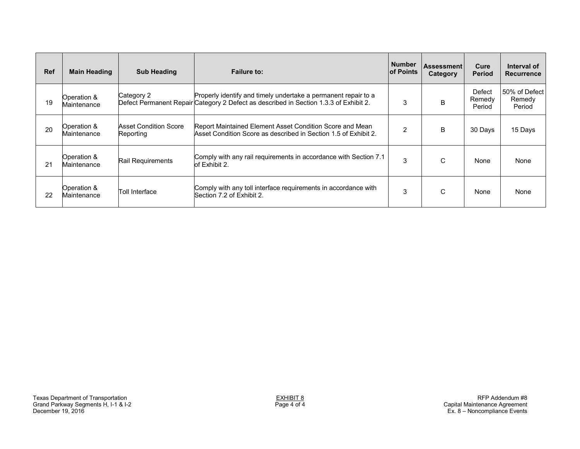| <b>Ref</b> | <b>Main Heading</b>        | <b>Sub Heading</b>                        | <b>Failure to:</b>                                                                                                                                      | <b>Number</b><br><b>lof Points</b> | <b>Assessment</b><br>Category | Cure<br><b>Period</b>      | Interval of<br><b>Recurrence</b>  |
|------------|----------------------------|-------------------------------------------|---------------------------------------------------------------------------------------------------------------------------------------------------------|------------------------------------|-------------------------------|----------------------------|-----------------------------------|
| 19         | Operation &<br>Maintenance | Category 2                                | Properly identify and timely undertake a permanent repair to a<br>Defect Permanent Repair Category 2 Defect as described in Section 1.3.3 of Exhibit 2. | 3                                  | B                             | Defect<br>Remedy<br>Period | 50% of Defect<br>Remedy<br>Period |
| 20         | Operation &<br>Maintenance | <b>Asset Condition Score</b><br>Reporting | Report Maintained Element Asset Condition Score and Mean<br>Asset Condition Score as described in Section 1.5 of Exhibit 2.                             | 2                                  | B                             | 30 Days                    | 15 Days                           |
| 21         | Operation &<br>Maintenance | Rail Requirements                         | Comply with any rail requirements in accordance with Section 7.1<br>of Exhibit 2.                                                                       | 3                                  | C                             | None                       | None                              |
| 22         | Operation &<br>Maintenance | Toll Interface                            | Comply with any toll interface requirements in accordance with<br>Section 7.2 of Exhibit 2.                                                             | 3                                  | C                             | None                       | None                              |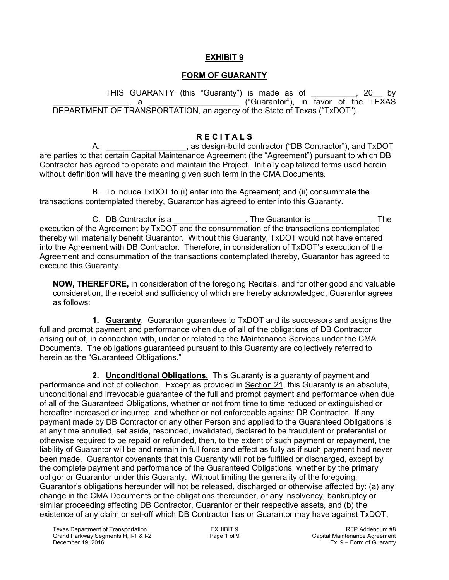## **FORM OF GUARANTY**

THIS GUARANTY (this "Guaranty") is made as of \_\_\_\_\_\_\_\_\_\_, 20\_\_ by **EXALLET ("Guarantor"), in favor of the TEXAS** DEPARTMENT OF TRANSPORTATION, an agency of the State of Texas ("TxDOT").

## **R E C I T A L S**

A. \_\_\_\_\_\_\_\_\_\_\_\_\_\_\_\_\_\_, as design-build contractor ("DB Contractor"), and TxDOT are parties to that certain Capital Maintenance Agreement (the "Agreement") pursuant to which DB Contractor has agreed to operate and maintain the Project. Initially capitalized terms used herein without definition will have the meaning given such term in the CMA Documents.

B. To induce TxDOT to (i) enter into the Agreement; and (ii) consummate the transactions contemplated thereby, Guarantor has agreed to enter into this Guaranty.

C. DB Contractor is a contractor is a contractor is the Guarantor is the set of the set of the set of the Suarantor is the set of the Suarantor is the set of the set of the Suarantor is contractor is set of the set of the execution of the Agreement by TxDOT and the consummation of the transactions contemplated thereby will materially benefit Guarantor. Without this Guaranty, TxDOT would not have entered into the Agreement with DB Contractor. Therefore, in consideration of TxDOT's execution of the Agreement and consummation of the transactions contemplated thereby, Guarantor has agreed to execute this Guaranty.

**NOW, THEREFORE,** in consideration of the foregoing Recitals, and for other good and valuable consideration, the receipt and sufficiency of which are hereby acknowledged, Guarantor agrees as follows:

**1. Guaranty**. Guarantor guarantees to TxDOT and its successors and assigns the full and prompt payment and performance when due of all of the obligations of DB Contractor arising out of, in connection with, under or related to the Maintenance Services under the CMA Documents. The obligations guaranteed pursuant to this Guaranty are collectively referred to herein as the "Guaranteed Obligations."

**2. Unconditional Obligations.** This Guaranty is a guaranty of payment and performance and not of collection. Except as provided in Section 21, this Guaranty is an absolute, unconditional and irrevocable guarantee of the full and prompt payment and performance when due of all of the Guaranteed Obligations, whether or not from time to time reduced or extinguished or hereafter increased or incurred, and whether or not enforceable against DB Contractor. If any payment made by DB Contractor or any other Person and applied to the Guaranteed Obligations is at any time annulled, set aside, rescinded, invalidated, declared to be fraudulent or preferential or otherwise required to be repaid or refunded, then, to the extent of such payment or repayment, the liability of Guarantor will be and remain in full force and effect as fully as if such payment had never been made. Guarantor covenants that this Guaranty will not be fulfilled or discharged, except by the complete payment and performance of the Guaranteed Obligations, whether by the primary obligor or Guarantor under this Guaranty. Without limiting the generality of the foregoing, Guarantor's obligations hereunder will not be released, discharged or otherwise affected by: (a) any change in the CMA Documents or the obligations thereunder, or any insolvency, bankruptcy or similar proceeding affecting DB Contractor, Guarantor or their respective assets, and (b) the existence of any claim or set-off which DB Contractor has or Guarantor may have against TxDOT,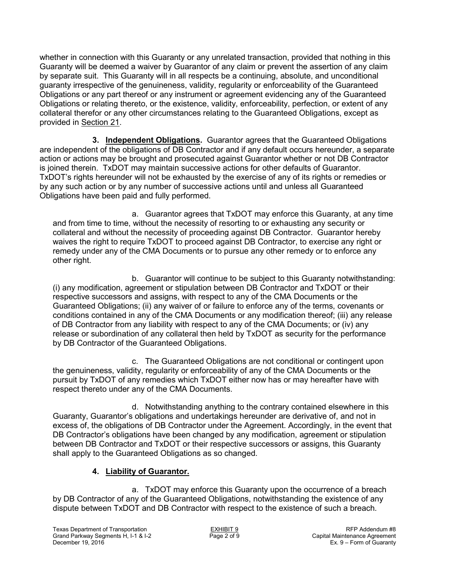whether in connection with this Guaranty or any unrelated transaction, provided that nothing in this Guaranty will be deemed a waiver by Guarantor of any claim or prevent the assertion of any claim by separate suit. This Guaranty will in all respects be a continuing, absolute, and unconditional guaranty irrespective of the genuineness, validity, regularity or enforceability of the Guaranteed Obligations or any part thereof or any instrument or agreement evidencing any of the Guaranteed Obligations or relating thereto, or the existence, validity, enforceability, perfection, or extent of any collateral therefor or any other circumstances relating to the Guaranteed Obligations, except as provided in Section 21.

**3. Independent Obligations.** Guarantor agrees that the Guaranteed Obligations are independent of the obligations of DB Contractor and if any default occurs hereunder, a separate action or actions may be brought and prosecuted against Guarantor whether or not DB Contractor is joined therein. TxDOT may maintain successive actions for other defaults of Guarantor. TxDOT's rights hereunder will not be exhausted by the exercise of any of its rights or remedies or by any such action or by any number of successive actions until and unless all Guaranteed Obligations have been paid and fully performed.

a. Guarantor agrees that TxDOT may enforce this Guaranty, at any time and from time to time, without the necessity of resorting to or exhausting any security or collateral and without the necessity of proceeding against DB Contractor. Guarantor hereby waives the right to require TxDOT to proceed against DB Contractor, to exercise any right or remedy under any of the CMA Documents or to pursue any other remedy or to enforce any other right.

b. Guarantor will continue to be subject to this Guaranty notwithstanding: (i) any modification, agreement or stipulation between DB Contractor and TxDOT or their respective successors and assigns, with respect to any of the CMA Documents or the Guaranteed Obligations; (ii) any waiver of or failure to enforce any of the terms, covenants or conditions contained in any of the CMA Documents or any modification thereof; (iii) any release of DB Contractor from any liability with respect to any of the CMA Documents; or (iv) any release or subordination of any collateral then held by TxDOT as security for the performance by DB Contractor of the Guaranteed Obligations.

c. The Guaranteed Obligations are not conditional or contingent upon the genuineness, validity, regularity or enforceability of any of the CMA Documents or the pursuit by TxDOT of any remedies which TxDOT either now has or may hereafter have with respect thereto under any of the CMA Documents.

d. Notwithstanding anything to the contrary contained elsewhere in this Guaranty, Guarantor's obligations and undertakings hereunder are derivative of, and not in excess of, the obligations of DB Contractor under the Agreement. Accordingly, in the event that DB Contractor's obligations have been changed by any modification, agreement or stipulation between DB Contractor and TxDOT or their respective successors or assigns, this Guaranty shall apply to the Guaranteed Obligations as so changed.

# **4. Liability of Guarantor.**

a. TxDOT may enforce this Guaranty upon the occurrence of a breach by DB Contractor of any of the Guaranteed Obligations, notwithstanding the existence of any dispute between TxDOT and DB Contractor with respect to the existence of such a breach.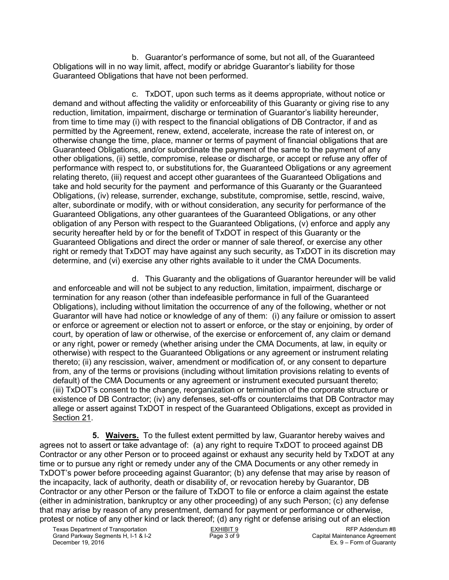b. Guarantor's performance of some, but not all, of the Guaranteed Obligations will in no way limit, affect, modify or abridge Guarantor's liability for those Guaranteed Obligations that have not been performed.

c. TxDOT, upon such terms as it deems appropriate, without notice or demand and without affecting the validity or enforceability of this Guaranty or giving rise to any reduction, limitation, impairment, discharge or termination of Guarantor's liability hereunder, from time to time may (i) with respect to the financial obligations of DB Contractor, if and as permitted by the Agreement, renew, extend, accelerate, increase the rate of interest on, or otherwise change the time, place, manner or terms of payment of financial obligations that are Guaranteed Obligations, and/or subordinate the payment of the same to the payment of any other obligations, (ii) settle, compromise, release or discharge, or accept or refuse any offer of performance with respect to, or substitutions for, the Guaranteed Obligations or any agreement relating thereto, (iii) request and accept other guarantees of the Guaranteed Obligations and take and hold security for the payment and performance of this Guaranty or the Guaranteed Obligations, (iv) release, surrender, exchange, substitute, compromise, settle, rescind, waive, alter, subordinate or modify, with or without consideration, any security for performance of the Guaranteed Obligations, any other guarantees of the Guaranteed Obligations, or any other obligation of any Person with respect to the Guaranteed Obligations, (v) enforce and apply any security hereafter held by or for the benefit of TxDOT in respect of this Guaranty or the Guaranteed Obligations and direct the order or manner of sale thereof, or exercise any other right or remedy that TxDOT may have against any such security, as TxDOT in its discretion may determine, and (vi) exercise any other rights available to it under the CMA Documents.

d. This Guaranty and the obligations of Guarantor hereunder will be valid and enforceable and will not be subject to any reduction, limitation, impairment, discharge or termination for any reason (other than indefeasible performance in full of the Guaranteed Obligations), including without limitation the occurrence of any of the following, whether or not Guarantor will have had notice or knowledge of any of them: (i) any failure or omission to assert or enforce or agreement or election not to assert or enforce, or the stay or enjoining, by order of court, by operation of law or otherwise, of the exercise or enforcement of, any claim or demand or any right, power or remedy (whether arising under the CMA Documents, at law, in equity or otherwise) with respect to the Guaranteed Obligations or any agreement or instrument relating thereto; (ii) any rescission, waiver, amendment or modification of, or any consent to departure from, any of the terms or provisions (including without limitation provisions relating to events of default) of the CMA Documents or any agreement or instrument executed pursuant thereto; (iii) TxDOT's consent to the change, reorganization or termination of the corporate structure or existence of DB Contractor; (iv) any defenses, set-offs or counterclaims that DB Contractor may allege or assert against TxDOT in respect of the Guaranteed Obligations, except as provided in Section 21.

**5. Waivers.** To the fullest extent permitted by law, Guarantor hereby waives and agrees not to assert or take advantage of: (a) any right to require TxDOT to proceed against DB Contractor or any other Person or to proceed against or exhaust any security held by TxDOT at any time or to pursue any right or remedy under any of the CMA Documents or any other remedy in TxDOT's power before proceeding against Guarantor; (b) any defense that may arise by reason of the incapacity, lack of authority, death or disability of, or revocation hereby by Guarantor, DB Contractor or any other Person or the failure of TxDOT to file or enforce a claim against the estate (either in administration, bankruptcy or any other proceeding) of any such Person; (c) any defense that may arise by reason of any presentment, demand for payment or performance or otherwise, protest or notice of any other kind or lack thereof; (d) any right or defense arising out of an election

Texas Department of Transportation and EXHIBIT 9 EXHIBIT 9<br>Grand Parkway Segments H, I-1 & I-2 **Rage 3 of 9** Rege 3 of 9 Capital Maintenance Agreement Grand Parkway Segments H, I-1 & I-2<br>December 19, 2016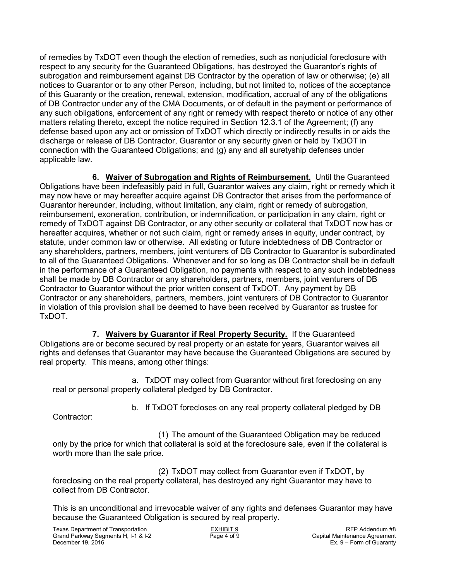of remedies by TxDOT even though the election of remedies, such as nonjudicial foreclosure with respect to any security for the Guaranteed Obligations, has destroyed the Guarantor's rights of subrogation and reimbursement against DB Contractor by the operation of law or otherwise; (e) all notices to Guarantor or to any other Person, including, but not limited to, notices of the acceptance of this Guaranty or the creation, renewal, extension, modification, accrual of any of the obligations of DB Contractor under any of the CMA Documents, or of default in the payment or performance of any such obligations, enforcement of any right or remedy with respect thereto or notice of any other matters relating thereto, except the notice required in Section 12.3.1 of the Agreement; (f) any defense based upon any act or omission of TxDOT which directly or indirectly results in or aids the discharge or release of DB Contractor, Guarantor or any security given or held by TxDOT in connection with the Guaranteed Obligations; and (g) any and all suretyship defenses under applicable law.

**6. Waiver of Subrogation and Rights of Reimbursement.** Until the Guaranteed Obligations have been indefeasibly paid in full, Guarantor waives any claim, right or remedy which it may now have or may hereafter acquire against DB Contractor that arises from the performance of Guarantor hereunder, including, without limitation, any claim, right or remedy of subrogation, reimbursement, exoneration, contribution, or indemnification, or participation in any claim, right or remedy of TxDOT against DB Contractor, or any other security or collateral that TxDOT now has or hereafter acquires, whether or not such claim, right or remedy arises in equity, under contract, by statute, under common law or otherwise. All existing or future indebtedness of DB Contractor or any shareholders, partners, members, joint venturers of DB Contractor to Guarantor is subordinated to all of the Guaranteed Obligations. Whenever and for so long as DB Contractor shall be in default in the performance of a Guaranteed Obligation, no payments with respect to any such indebtedness shall be made by DB Contractor or any shareholders, partners, members, joint venturers of DB Contractor to Guarantor without the prior written consent of TxDOT. Any payment by DB Contractor or any shareholders, partners, members, joint venturers of DB Contractor to Guarantor in violation of this provision shall be deemed to have been received by Guarantor as trustee for TxDOT.

**7. Waivers by Guarantor if Real Property Security.** If the Guaranteed Obligations are or become secured by real property or an estate for years, Guarantor waives all rights and defenses that Guarantor may have because the Guaranteed Obligations are secured by real property. This means, among other things:

a. TxDOT may collect from Guarantor without first foreclosing on any real or personal property collateral pledged by DB Contractor.

b. If TxDOT forecloses on any real property collateral pledged by DB

Contractor:

(1) The amount of the Guaranteed Obligation may be reduced only by the price for which that collateral is sold at the foreclosure sale, even if the collateral is worth more than the sale price.

(2) TxDOT may collect from Guarantor even if TxDOT, by foreclosing on the real property collateral, has destroyed any right Guarantor may have to collect from DB Contractor.

This is an unconditional and irrevocable waiver of any rights and defenses Guarantor may have because the Guaranteed Obligation is secured by real property.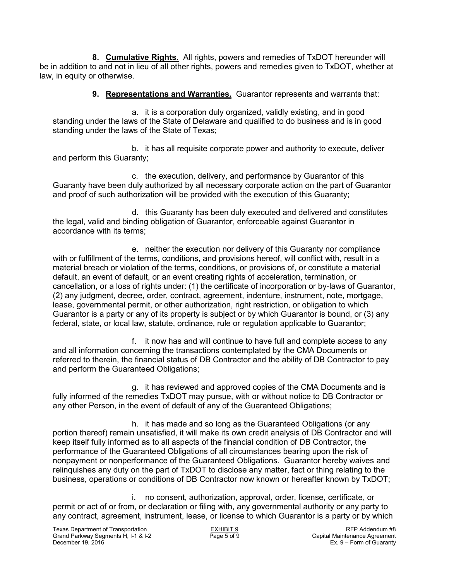**8. Cumulative Rights**. All rights, powers and remedies of TxDOT hereunder will be in addition to and not in lieu of all other rights, powers and remedies given to TxDOT, whether at law, in equity or otherwise.

**9. Representations and Warranties.** Guarantor represents and warrants that:

a. it is a corporation duly organized, validly existing, and in good standing under the laws of the State of Delaware and qualified to do business and is in good standing under the laws of the State of Texas;

b. it has all requisite corporate power and authority to execute, deliver and perform this Guaranty;

c. the execution, delivery, and performance by Guarantor of this Guaranty have been duly authorized by all necessary corporate action on the part of Guarantor and proof of such authorization will be provided with the execution of this Guaranty;

d. this Guaranty has been duly executed and delivered and constitutes the legal, valid and binding obligation of Guarantor, enforceable against Guarantor in accordance with its terms;

e. neither the execution nor delivery of this Guaranty nor compliance with or fulfillment of the terms, conditions, and provisions hereof, will conflict with, result in a material breach or violation of the terms, conditions, or provisions of, or constitute a material default, an event of default, or an event creating rights of acceleration, termination, or cancellation, or a loss of rights under: (1) the certificate of incorporation or by-laws of Guarantor, (2) any judgment, decree, order, contract, agreement, indenture, instrument, note, mortgage, lease, governmental permit, or other authorization, right restriction, or obligation to which Guarantor is a party or any of its property is subject or by which Guarantor is bound, or (3) any federal, state, or local law, statute, ordinance, rule or regulation applicable to Guarantor;

f. it now has and will continue to have full and complete access to any and all information concerning the transactions contemplated by the CMA Documents or referred to therein, the financial status of DB Contractor and the ability of DB Contractor to pay and perform the Guaranteed Obligations;

g. it has reviewed and approved copies of the CMA Documents and is fully informed of the remedies TxDOT may pursue, with or without notice to DB Contractor or any other Person, in the event of default of any of the Guaranteed Obligations;

h. it has made and so long as the Guaranteed Obligations (or any portion thereof) remain unsatisfied, it will make its own credit analysis of DB Contractor and will keep itself fully informed as to all aspects of the financial condition of DB Contractor, the performance of the Guaranteed Obligations of all circumstances bearing upon the risk of nonpayment or nonperformance of the Guaranteed Obligations. Guarantor hereby waives and relinquishes any duty on the part of TxDOT to disclose any matter, fact or thing relating to the business, operations or conditions of DB Contractor now known or hereafter known by TxDOT;

i. no consent, authorization, approval, order, license, certificate, or permit or act of or from, or declaration or filing with, any governmental authority or any party to any contract, agreement, instrument, lease, or license to which Guarantor is a party or by which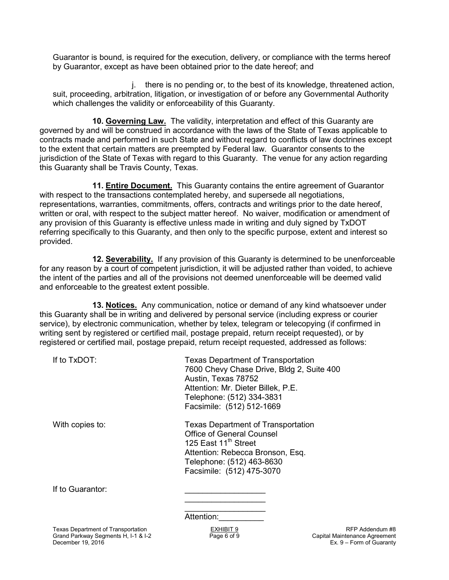Guarantor is bound, is required for the execution, delivery, or compliance with the terms hereof by Guarantor, except as have been obtained prior to the date hereof; and

j. there is no pending or, to the best of its knowledge, threatened action, suit, proceeding, arbitration, litigation, or investigation of or before any Governmental Authority which challenges the validity or enforceability of this Guaranty.

**10. Governing Law.** The validity, interpretation and effect of this Guaranty are governed by and will be construed in accordance with the laws of the State of Texas applicable to contracts made and performed in such State and without regard to conflicts of law doctrines except to the extent that certain matters are preempted by Federal law. Guarantor consents to the jurisdiction of the State of Texas with regard to this Guaranty. The venue for any action regarding this Guaranty shall be Travis County, Texas.

**11. Entire Document.** This Guaranty contains the entire agreement of Guarantor with respect to the transactions contemplated hereby, and supersede all negotiations, representations, warranties, commitments, offers, contracts and writings prior to the date hereof, written or oral, with respect to the subject matter hereof. No waiver, modification or amendment of any provision of this Guaranty is effective unless made in writing and duly signed by TxDOT referring specifically to this Guaranty, and then only to the specific purpose, extent and interest so provided.

**12. Severability.** If any provision of this Guaranty is determined to be unenforceable for any reason by a court of competent jurisdiction, it will be adjusted rather than voided, to achieve the intent of the parties and all of the provisions not deemed unenforceable will be deemed valid and enforceable to the greatest extent possible.

**13. Notices.** Any communication, notice or demand of any kind whatsoever under this Guaranty shall be in writing and delivered by personal service (including express or courier service), by electronic communication, whether by telex, telegram or telecopying (if confirmed in writing sent by registered or certified mail, postage prepaid, return receipt requested), or by registered or certified mail, postage prepaid, return receipt requested, addressed as follows:

| If to TxDOT:     | <b>Texas Department of Transportation</b><br>7600 Chevy Chase Drive, Bldg 2, Suite 400<br>Austin, Texas 78752<br>Attention: Mr. Dieter Billek, P.E.<br>Telephone: (512) 334-3831<br>Facsimile: (512) 512-1669   |
|------------------|-----------------------------------------------------------------------------------------------------------------------------------------------------------------------------------------------------------------|
| With copies to:  | <b>Texas Department of Transportation</b><br><b>Office of General Counsel</b><br>125 East 11 <sup>th</sup> Street<br>Attention: Rebecca Bronson, Esq.<br>Telephone: (512) 463-8630<br>Facsimile: (512) 475-3070 |
| If to Guarantor: |                                                                                                                                                                                                                 |

Attention:

 $\mathcal{L}_\text{max}$  , which is a set of the set of the set of the set of the set of the set of the set of the set of the set of the set of the set of the set of the set of the set of the set of the set of the set of the set of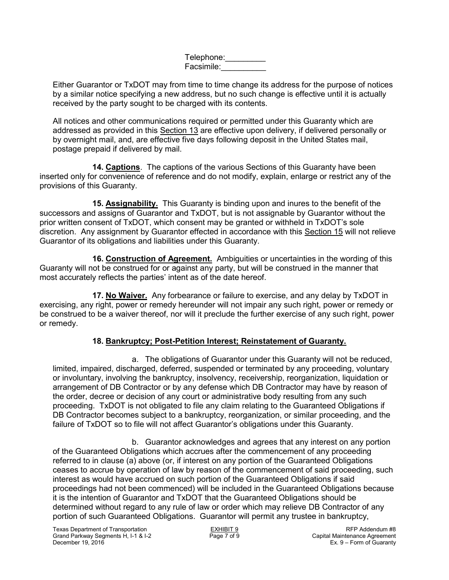Telephone:\_\_\_\_\_\_\_\_\_\_ Facsimile:\_\_\_\_\_\_\_\_\_\_

Either Guarantor or TxDOT may from time to time change its address for the purpose of notices by a similar notice specifying a new address, but no such change is effective until it is actually received by the party sought to be charged with its contents.

All notices and other communications required or permitted under this Guaranty which are addressed as provided in this Section 13 are effective upon delivery, if delivered personally or by overnight mail, and, are effective five days following deposit in the United States mail, postage prepaid if delivered by mail.

**14. Captions**. The captions of the various Sections of this Guaranty have been inserted only for convenience of reference and do not modify, explain, enlarge or restrict any of the provisions of this Guaranty.

**15. Assignability.** This Guaranty is binding upon and inures to the benefit of the successors and assigns of Guarantor and TxDOT, but is not assignable by Guarantor without the prior written consent of TxDOT, which consent may be granted or withheld in TxDOT's sole discretion. Any assignment by Guarantor effected in accordance with this Section 15 will not relieve Guarantor of its obligations and liabilities under this Guaranty.

**16. Construction of Agreement.** Ambiguities or uncertainties in the wording of this Guaranty will not be construed for or against any party, but will be construed in the manner that most accurately reflects the parties' intent as of the date hereof.

**17. No Waiver.** Any forbearance or failure to exercise, and any delay by TxDOT in exercising, any right, power or remedy hereunder will not impair any such right, power or remedy or be construed to be a waiver thereof, nor will it preclude the further exercise of any such right, power or remedy.

# **18. Bankruptcy; Post-Petition Interest; Reinstatement of Guaranty.**

a. The obligations of Guarantor under this Guaranty will not be reduced, limited, impaired, discharged, deferred, suspended or terminated by any proceeding, voluntary or involuntary, involving the bankruptcy, insolvency, receivership, reorganization, liquidation or arrangement of DB Contractor or by any defense which DB Contractor may have by reason of the order, decree or decision of any court or administrative body resulting from any such proceeding. TxDOT is not obligated to file any claim relating to the Guaranteed Obligations if DB Contractor becomes subject to a bankruptcy, reorganization, or similar proceeding, and the failure of TxDOT so to file will not affect Guarantor's obligations under this Guaranty.

b. Guarantor acknowledges and agrees that any interest on any portion of the Guaranteed Obligations which accrues after the commencement of any proceeding referred to in clause (a) above (or, if interest on any portion of the Guaranteed Obligations ceases to accrue by operation of law by reason of the commencement of said proceeding, such interest as would have accrued on such portion of the Guaranteed Obligations if said proceedings had not been commenced) will be included in the Guaranteed Obligations because it is the intention of Guarantor and TxDOT that the Guaranteed Obligations should be determined without regard to any rule of law or order which may relieve DB Contractor of any portion of such Guaranteed Obligations. Guarantor will permit any trustee in bankruptcy,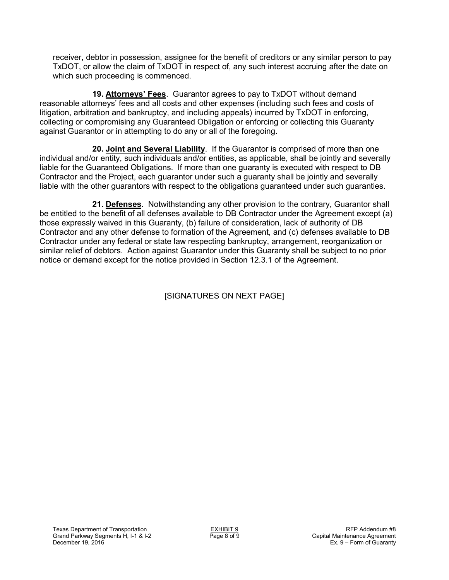receiver, debtor in possession, assignee for the benefit of creditors or any similar person to pay TxDOT, or allow the claim of TxDOT in respect of, any such interest accruing after the date on which such proceeding is commenced.

**19. Attorneys' Fees**. Guarantor agrees to pay to TxDOT without demand reasonable attorneys' fees and all costs and other expenses (including such fees and costs of litigation, arbitration and bankruptcy, and including appeals) incurred by TxDOT in enforcing, collecting or compromising any Guaranteed Obligation or enforcing or collecting this Guaranty against Guarantor or in attempting to do any or all of the foregoing.

**20. Joint and Several Liability**. If the Guarantor is comprised of more than one individual and/or entity, such individuals and/or entities, as applicable, shall be jointly and severally liable for the Guaranteed Obligations. If more than one guaranty is executed with respect to DB Contractor and the Project, each guarantor under such a guaranty shall be jointly and severally liable with the other guarantors with respect to the obligations guaranteed under such guaranties.

**21. Defenses**. Notwithstanding any other provision to the contrary, Guarantor shall be entitled to the benefit of all defenses available to DB Contractor under the Agreement except (a) those expressly waived in this Guaranty, (b) failure of consideration, lack of authority of DB Contractor and any other defense to formation of the Agreement, and (c) defenses available to DB Contractor under any federal or state law respecting bankruptcy, arrangement, reorganization or similar relief of debtors. Action against Guarantor under this Guaranty shall be subject to no prior notice or demand except for the notice provided in Section 12.3.1 of the Agreement.

[SIGNATURES ON NEXT PAGE]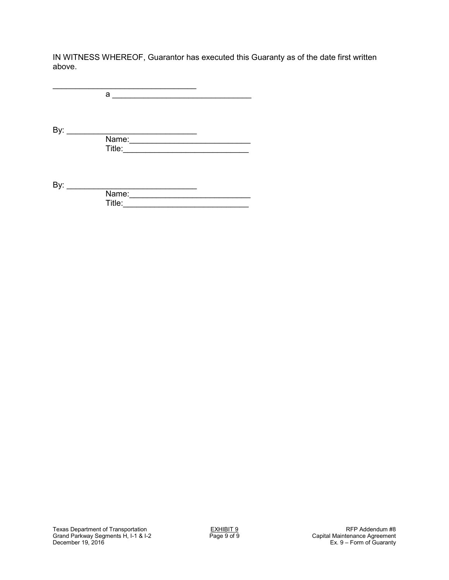IN WITNESS WHEREOF, Guarantor has executed this Guaranty as of the date first written above.

\_\_\_\_\_\_\_\_\_\_\_\_\_\_\_\_\_\_\_\_\_\_\_\_\_\_\_\_\_\_\_\_ a \_\_\_\_\_\_\_\_\_\_\_\_\_\_\_\_\_\_\_\_\_\_\_\_\_\_\_\_\_\_\_ By: \_\_\_\_\_\_\_\_\_\_\_\_\_\_\_\_\_\_\_\_\_\_\_\_\_\_\_\_\_ Name:\_\_\_\_\_\_\_\_\_\_\_\_\_\_\_\_\_\_\_\_\_\_\_\_\_\_\_ Title:\_\_\_\_\_\_\_\_\_\_\_\_\_\_\_\_\_\_\_\_\_\_\_\_\_\_\_\_ By: \_\_\_\_\_\_\_\_\_\_\_\_\_\_\_\_\_\_\_\_\_\_\_\_\_\_\_\_\_ **Name:** 2008. **Name:** 2008. **Name:** 2008. **Name:** 2008. **Name:** 2008. **Name:** 2008. **Name:** 2008. **Name:** 2008. **Name:** 2008. **Name:** 2008. **Name:** 2008. **Name:** 2008. **Name:** 2008. **Name:** 2008. **Name:** 2008. **Name:** 2008 Title:\_\_\_\_\_\_\_\_\_\_\_\_\_\_\_\_\_\_\_\_\_\_\_\_\_\_\_\_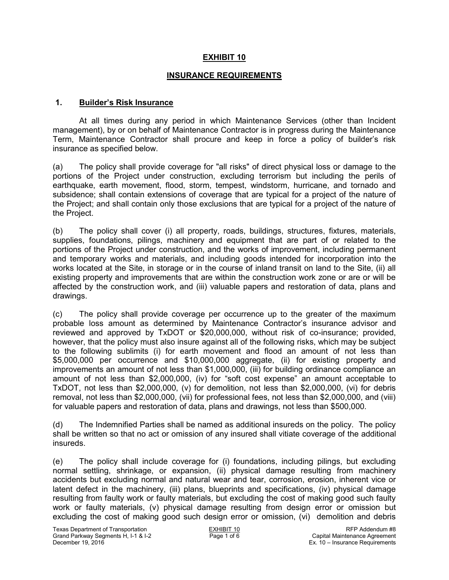### **INSURANCE REQUIREMENTS**

#### **1. Builder's Risk Insurance**

 At all times during any period in which Maintenance Services (other than Incident management), by or on behalf of Maintenance Contractor is in progress during the Maintenance Term, Maintenance Contractor shall procure and keep in force a policy of builder's risk insurance as specified below.

(a) The policy shall provide coverage for "all risks" of direct physical loss or damage to the portions of the Project under construction, excluding terrorism but including the perils of earthquake, earth movement, flood, storm, tempest, windstorm, hurricane, and tornado and subsidence; shall contain extensions of coverage that are typical for a project of the nature of the Project; and shall contain only those exclusions that are typical for a project of the nature of the Project.

(b) The policy shall cover (i) all property, roads, buildings, structures, fixtures, materials, supplies, foundations, pilings, machinery and equipment that are part of or related to the portions of the Project under construction, and the works of improvement, including permanent and temporary works and materials, and including goods intended for incorporation into the works located at the Site, in storage or in the course of inland transit on land to the Site, (ii) all existing property and improvements that are within the construction work zone or are or will be affected by the construction work, and (iii) valuable papers and restoration of data, plans and drawings.

(c) The policy shall provide coverage per occurrence up to the greater of the maximum probable loss amount as determined by Maintenance Contractor's insurance advisor and reviewed and approved by TxDOT or \$20,000,000, without risk of co-insurance; provided, however, that the policy must also insure against all of the following risks, which may be subject to the following sublimits (i) for earth movement and flood an amount of not less than \$5,000,000 per occurrence and \$10,000,000 aggregate, (ii) for existing property and improvements an amount of not less than \$1,000,000, (iii) for building ordinance compliance an amount of not less than \$2,000,000, (iv) for "soft cost expense" an amount acceptable to TxDOT, not less than \$2,000,000, (v) for demolition, not less than \$2,000,000, (vi) for debris removal, not less than \$2,000,000, (vii) for professional fees, not less than \$2,000,000, and (viii) for valuable papers and restoration of data, plans and drawings, not less than \$500,000.

(d) The Indemnified Parties shall be named as additional insureds on the policy. The policy shall be written so that no act or omission of any insured shall vitiate coverage of the additional insureds.

(e) The policy shall include coverage for (i) foundations, including pilings, but excluding normal settling, shrinkage, or expansion, (ii) physical damage resulting from machinery accidents but excluding normal and natural wear and tear, corrosion, erosion, inherent vice or latent defect in the machinery, (iii) plans, blueprints and specifications, (iv) physical damage resulting from faulty work or faulty materials, but excluding the cost of making good such faulty work or faulty materials, (v) physical damage resulting from design error or omission but excluding the cost of making good such design error or omission, (vi) demolition and debris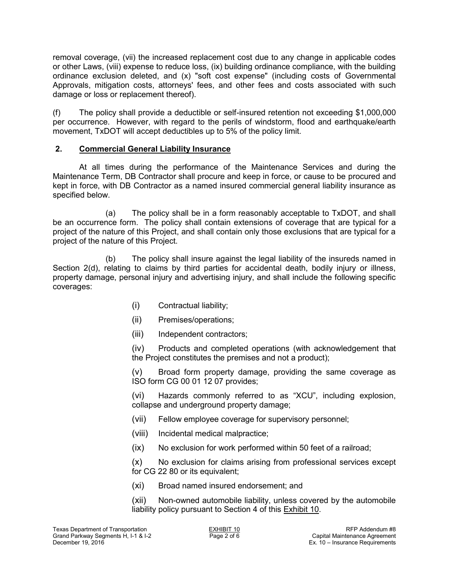removal coverage, (vii) the increased replacement cost due to any change in applicable codes or other Laws, (viii) expense to reduce loss, (ix) building ordinance compliance, with the building ordinance exclusion deleted, and (x) "soft cost expense" (including costs of Governmental Approvals, mitigation costs, attorneys' fees, and other fees and costs associated with such damage or loss or replacement thereof).

(f) The policy shall provide a deductible or self-insured retention not exceeding \$1,000,000 per occurrence. However, with regard to the perils of windstorm, flood and earthquake/earth movement, TxDOT will accept deductibles up to 5% of the policy limit.

# **2. Commercial General Liability Insurance**

 At all times during the performance of the Maintenance Services and during the Maintenance Term, DB Contractor shall procure and keep in force, or cause to be procured and kept in force, with DB Contractor as a named insured commercial general liability insurance as specified below.

(a) The policy shall be in a form reasonably acceptable to TxDOT, and shall be an occurrence form. The policy shall contain extensions of coverage that are typical for a project of the nature of this Project, and shall contain only those exclusions that are typical for a project of the nature of this Project.

(b) The policy shall insure against the legal liability of the insureds named in Section 2(d), relating to claims by third parties for accidental death, bodily injury or illness, property damage, personal injury and advertising injury, and shall include the following specific coverages:

- (i) Contractual liability;
- (ii) Premises/operations;
- (iii) Independent contractors;

(iv) Products and completed operations (with acknowledgement that the Project constitutes the premises and not a product);

(v) Broad form property damage, providing the same coverage as ISO form CG 00 01 12 07 provides;

(vi) Hazards commonly referred to as "XCU", including explosion, collapse and underground property damage;

- (vii) Fellow employee coverage for supervisory personnel;
- (viii) Incidental medical malpractice;
- (ix) No exclusion for work performed within 50 feet of a railroad;

(x) No exclusion for claims arising from professional services except for CG 22 80 or its equivalent;

(xi) Broad named insured endorsement; and

(xii) Non-owned automobile liability, unless covered by the automobile liability policy pursuant to Section 4 of this Exhibit 10.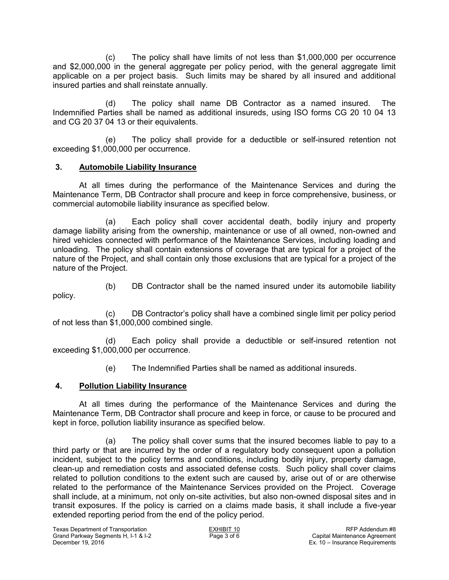(c) The policy shall have limits of not less than \$1,000,000 per occurrence and \$2,000,000 in the general aggregate per policy period, with the general aggregate limit applicable on a per project basis. Such limits may be shared by all insured and additional insured parties and shall reinstate annually.

(d) The policy shall name DB Contractor as a named insured. The Indemnified Parties shall be named as additional insureds, using ISO forms CG 20 10 04 13 and CG 20 37 04 13 or their equivalents.

(e) The policy shall provide for a deductible or self-insured retention not exceeding \$1,000,000 per occurrence.

# **3. Automobile Liability Insurance**

 At all times during the performance of the Maintenance Services and during the Maintenance Term, DB Contractor shall procure and keep in force comprehensive, business, or commercial automobile liability insurance as specified below.

(a) Each policy shall cover accidental death, bodily injury and property damage liability arising from the ownership, maintenance or use of all owned, non-owned and hired vehicles connected with performance of the Maintenance Services, including loading and unloading. The policy shall contain extensions of coverage that are typical for a project of the nature of the Project, and shall contain only those exclusions that are typical for a project of the nature of the Project.

(b) DB Contractor shall be the named insured under its automobile liability policy.

(c) DB Contractor's policy shall have a combined single limit per policy period of not less than \$1,000,000 combined single.

(d) Each policy shall provide a deductible or self-insured retention not exceeding \$1,000,000 per occurrence.

(e) The Indemnified Parties shall be named as additional insureds.

# **4. Pollution Liability Insurance**

 At all times during the performance of the Maintenance Services and during the Maintenance Term, DB Contractor shall procure and keep in force, or cause to be procured and kept in force, pollution liability insurance as specified below.

(a) The policy shall cover sums that the insured becomes liable to pay to a third party or that are incurred by the order of a regulatory body consequent upon a pollution incident, subject to the policy terms and conditions, including bodily injury, property damage, clean-up and remediation costs and associated defense costs. Such policy shall cover claims related to pollution conditions to the extent such are caused by, arise out of or are otherwise related to the performance of the Maintenance Services provided on the Project. Coverage shall include, at a minimum, not only on-site activities, but also non-owned disposal sites and in transit exposures. If the policy is carried on a claims made basis, it shall include a five-year extended reporting period from the end of the policy period.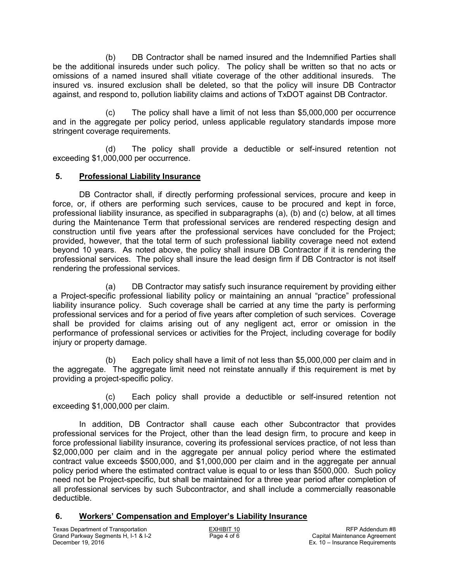(b) DB Contractor shall be named insured and the Indemnified Parties shall be the additional insureds under such policy. The policy shall be written so that no acts or omissions of a named insured shall vitiate coverage of the other additional insureds. The insured vs. insured exclusion shall be deleted, so that the policy will insure DB Contractor against, and respond to, pollution liability claims and actions of TxDOT against DB Contractor.

(c) The policy shall have a limit of not less than \$5,000,000 per occurrence and in the aggregate per policy period, unless applicable regulatory standards impose more stringent coverage requirements.

(d) The policy shall provide a deductible or self-insured retention not exceeding \$1,000,000 per occurrence.

# **5. Professional Liability Insurance**

 DB Contractor shall, if directly performing professional services, procure and keep in force, or, if others are performing such services, cause to be procured and kept in force, professional liability insurance, as specified in subparagraphs (a), (b) and (c) below, at all times during the Maintenance Term that professional services are rendered respecting design and construction until five years after the professional services have concluded for the Project; provided, however, that the total term of such professional liability coverage need not extend beyond 10 years. As noted above, the policy shall insure DB Contractor if it is rendering the professional services. The policy shall insure the lead design firm if DB Contractor is not itself rendering the professional services.

(a) DB Contractor may satisfy such insurance requirement by providing either a Project-specific professional liability policy or maintaining an annual "practice" professional liability insurance policy. Such coverage shall be carried at any time the party is performing professional services and for a period of five years after completion of such services. Coverage shall be provided for claims arising out of any negligent act, error or omission in the performance of professional services or activities for the Project, including coverage for bodily injury or property damage.

(b) Each policy shall have a limit of not less than \$5,000,000 per claim and in the aggregate. The aggregate limit need not reinstate annually if this requirement is met by providing a project-specific policy.

(c) Each policy shall provide a deductible or self-insured retention not exceeding \$1,000,000 per claim.

 In addition, DB Contractor shall cause each other Subcontractor that provides professional services for the Project, other than the lead design firm, to procure and keep in force professional liability insurance, covering its professional services practice, of not less than \$2,000,000 per claim and in the aggregate per annual policy period where the estimated contract value exceeds \$500,000, and \$1,000,000 per claim and in the aggregate per annual policy period where the estimated contract value is equal to or less than \$500,000. Such policy need not be Project-specific, but shall be maintained for a three year period after completion of all professional services by such Subcontractor, and shall include a commercially reasonable deductible.

# **6. Workers' Compensation and Employer's Liability Insurance**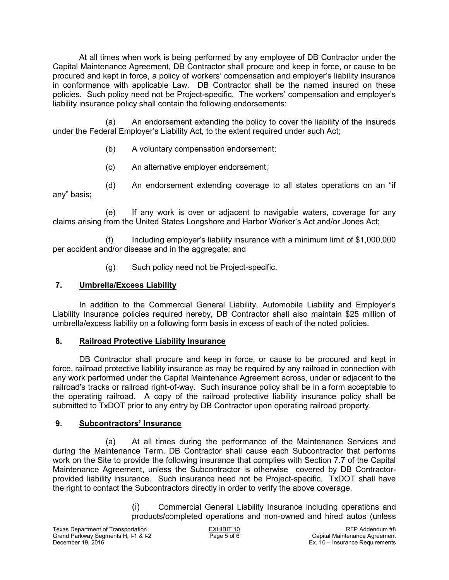At all times when work is being performed by any employee of DB Contractor under the Capital Maintenance Agreement, DB Contractor shall procure and keep in force, or cause to be procured and kept in force, a policy of workers' compensation and employer's liability insurance in conformance with applicable Law. DB Contractor shall be the named insured on these policies. Such policy need not be Project-specific. The workers' compensation and employer's liability insurance policy shall contain the following endorsements:

(a) An endorsement extending the policy to cover the liability of the insureds under the Federal Employer's Liability Act, to the extent required under such Act;

(b) A voluntary compensation endorsement;

(c) An alternative employer endorsement;

(d) An endorsement extending coverage to all states operations on an "if any" basis;

(e) If any work is over or adjacent to navigable waters, coverage for any claims arising from the United States Longshore and Harbor Worker's Act and/or Jones Act;

(f) Including employer's liability insurance with a minimum limit of \$1,000,000 per accident and/or disease and in the aggregate; and

(g) Such policy need not be Project-specific.

# **7. Umbrella/Excess Liability**

 In addition to the Commercial General Liability, Automobile Liability and Employer's Liability Insurance policies required hereby, DB Contractor shall also maintain \$25 million of umbrella/excess liability on a following form basis in excess of each of the noted policies.

# **8. Railroad Protective Liability Insurance**

 DB Contractor shall procure and keep in force, or cause to be procured and kept in force, railroad protective liability insurance as may be required by any railroad in connection with any work performed under the Capital Maintenance Agreement across, under or adjacent to the railroad's tracks or railroad right-of-way. Such insurance policy shall be in a form acceptable to the operating railroad. A copy of the railroad protective liability insurance policy shall be submitted to TxDOT prior to any entry by DB Contractor upon operating railroad property.

# **9. Subcontractors' Insurance**

(a) At all times during the performance of the Maintenance Services and during the Maintenance Term, DB Contractor shall cause each Subcontractor that performs work on the Site to provide the following insurance that complies with Section 7.7 of the Capital Maintenance Agreement, unless the Subcontractor is otherwise covered by DB Contractorprovided liability insurance. Such insurance need not be Project-specific. TxDOT shall have the right to contact the Subcontractors directly in order to verify the above coverage.

> (i) Commercial General Liability Insurance including operations and products/completed operations and non-owned and hired autos (unless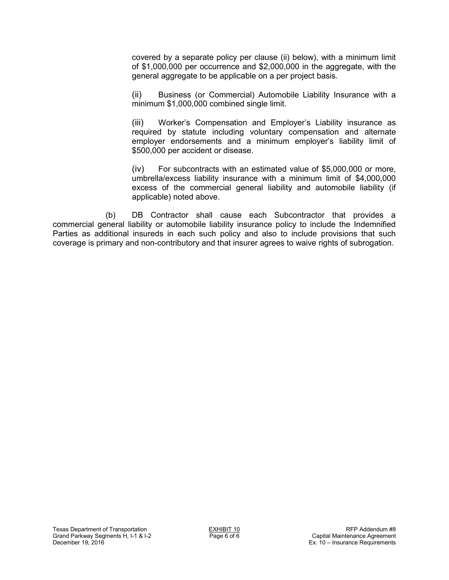covered by a separate policy per clause (ii) below), with a minimum limit of \$1,000,000 per occurrence and \$2,000,000 in the aggregate, with the general aggregate to be applicable on a per project basis.

(ii) Business (or Commercial) Automobile Liability Insurance with a minimum \$1,000,000 combined single limit.

(iii) Worker's Compensation and Employer's Liability insurance as required by statute including voluntary compensation and alternate employer endorsements and a minimum employer's liability limit of \$500,000 per accident or disease.

(iv) For subcontracts with an estimated value of \$5,000,000 or more, umbrella/excess liability insurance with a minimum limit of \$4,000,000 excess of the commercial general liability and automobile liability (if applicable) noted above.

(b) DB Contractor shall cause each Subcontractor that provides a commercial general liability or automobile liability insurance policy to include the Indemnified Parties as additional insureds in each such policy and also to include provisions that such coverage is primary and non-contributory and that insurer agrees to waive rights of subrogation.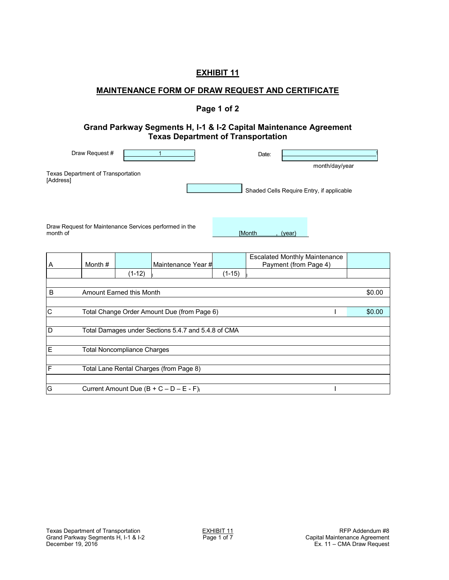# **MAINTENANCE FORM OF DRAW REQUEST AND CERTIFICATE**

## **Page 1 of 2**

#### **Grand Parkway Segments H, I-1 & I-2 Capital Maintenance Agreement Texas Department of Transportation**

| Draw Request #                                  | Date: |                                           |
|-------------------------------------------------|-------|-------------------------------------------|
| Texas Department of Transportation<br>[Address] |       | month/day/year                            |
|                                                 |       | Shaded Cells Require Entry, if applicable |

Draw Request for Maintenance Services performed in the month of **and the control of the control of the control of the control of the control of the control of the control of the control of the control of the control of the control of the control of the control of the control o** 

| A            | Month #                                     |                                    | Maintenance Year #                                  |          | <b>Escalated Monthly Maintenance</b><br>Payment (from Page 4) |  |  |
|--------------|---------------------------------------------|------------------------------------|-----------------------------------------------------|----------|---------------------------------------------------------------|--|--|
|              |                                             | $(1-12)$                           |                                                     | $(1-15)$ |                                                               |  |  |
|              |                                             |                                    |                                                     |          |                                                               |  |  |
| B            | \$0.00<br>Amount Earned this Month          |                                    |                                                     |          |                                                               |  |  |
|              |                                             |                                    |                                                     |          |                                                               |  |  |
| $\mathsf{C}$ | Total Change Order Amount Due (from Page 6) |                                    |                                                     |          |                                                               |  |  |
|              |                                             |                                    |                                                     |          |                                                               |  |  |
| D            |                                             |                                    | Total Damages under Sections 5.4.7 and 5.4.8 of CMA |          |                                                               |  |  |
|              |                                             |                                    |                                                     |          |                                                               |  |  |
| E            |                                             | <b>Total Noncompliance Charges</b> |                                                     |          |                                                               |  |  |
|              |                                             |                                    |                                                     |          |                                                               |  |  |
| F            |                                             |                                    | Total Lane Rental Charges (from Page 8)             |          |                                                               |  |  |
|              |                                             |                                    |                                                     |          |                                                               |  |  |
| G            |                                             |                                    | Current Amount Due $(B + C - D - E - F)$            |          |                                                               |  |  |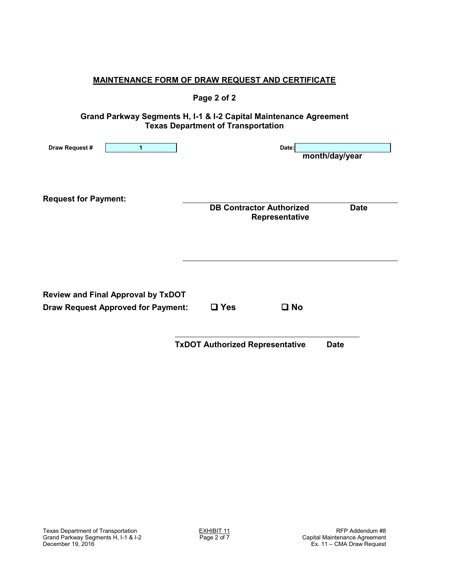|                                                                                        | <b>MAINTENANCE FORM OF DRAW REQUEST AND CERTIFICATE</b>                                                        |                |
|----------------------------------------------------------------------------------------|----------------------------------------------------------------------------------------------------------------|----------------|
|                                                                                        | Page 2 of 2                                                                                                    |                |
|                                                                                        | Grand Parkway Segments H, I-1 & I-2 Capital Maintenance Agreement<br><b>Texas Department of Transportation</b> |                |
| Draw Request #<br>$\mathbf{1}$                                                         | Date:                                                                                                          | month/day/year |
| <b>Request for Payment:</b>                                                            | <b>DB Contractor Authorized</b><br>Representative                                                              | <b>Date</b>    |
| <b>Review and Final Approval by TxDOT</b><br><b>Draw Request Approved for Payment:</b> | $\Box$ Yes<br>$\square$ No                                                                                     |                |
|                                                                                        | <b>TxDOT Authorized Representative</b>                                                                         | <b>Date</b>    |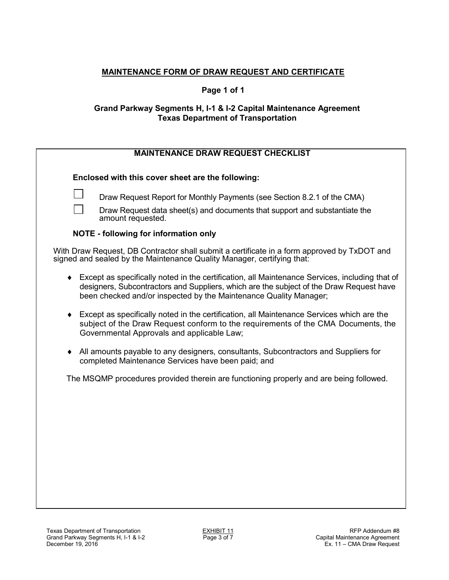# **MAINTENANCE FORM OF DRAW REQUEST AND CERTIFICATE**

## **Page 1 of 1**

## **Grand Parkway Segments H, I-1 & I-2 Capital Maintenance Agreement Texas Department of Transportation**

# **MAINTENANCE DRAW REQUEST CHECKLIST**

**Enclosed with this cover sheet are the following:** 

Draw Request Report for Monthly Payments (see Section 8.2.1 of the CMA)

 Draw Request data sheet(s) and documents that support and substantiate the amount requested.

### **NOTE - following for information only**

With Draw Request, DB Contractor shall submit a certificate in a form approved by TxDOT and signed and sealed by the Maintenance Quality Manager, certifying that:

- Except as specifically noted in the certification, all Maintenance Services, including that of designers, Subcontractors and Suppliers, which are the subject of the Draw Request have been checked and/or inspected by the Maintenance Quality Manager;
- Except as specifically noted in the certification, all Maintenance Services which are the subject of the Draw Request conform to the requirements of the CMA Documents, the Governmental Approvals and applicable Law;
- All amounts payable to any designers, consultants, Subcontractors and Suppliers for completed Maintenance Services have been paid; and

The MSQMP procedures provided therein are functioning properly and are being followed.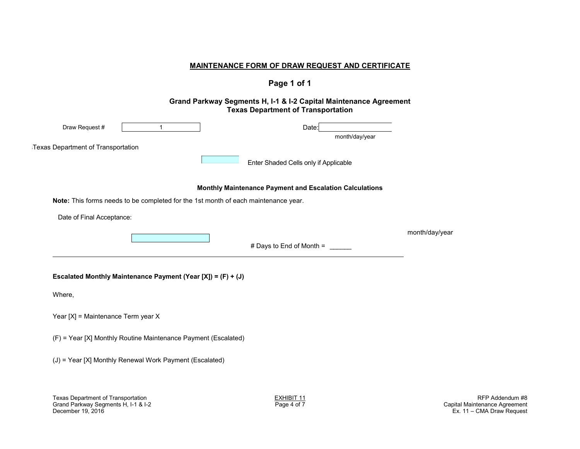#### **MAINTENANCE FORM OF DRAW REQUEST AND CERTIFICATE**

# **Page 1 of 1**

#### **Grand Parkway Segments H, I-1 & I-2 Capital Maintenance Agreement Texas Department of Transportation**

| Draw Request #<br>1                                                                | Date:<br>month/day/year                                 |                |
|------------------------------------------------------------------------------------|---------------------------------------------------------|----------------|
| <b>Texas Department of Transportation</b>                                          |                                                         |                |
|                                                                                    | Enter Shaded Cells only if Applicable                   |                |
|                                                                                    | Monthly Maintenance Payment and Escalation Calculations |                |
| Note: This forms needs to be completed for the 1st month of each maintenance year. |                                                         |                |
| Date of Final Acceptance:                                                          |                                                         |                |
|                                                                                    |                                                         | month/day/year |
|                                                                                    | # Days to End of Month = $\_\_$                         |                |
| Escalated Monthly Maintenance Payment (Year [X]) = $(F) + (J)$                     |                                                         |                |
| Where,                                                                             |                                                         |                |
| Year [X] = Maintenance Term year X                                                 |                                                         |                |
| (F) = Year [X] Monthly Routine Maintenance Payment (Escalated)                     |                                                         |                |
| (J) = Year [X] Monthly Renewal Work Payment (Escalated)                            |                                                         |                |
|                                                                                    |                                                         |                |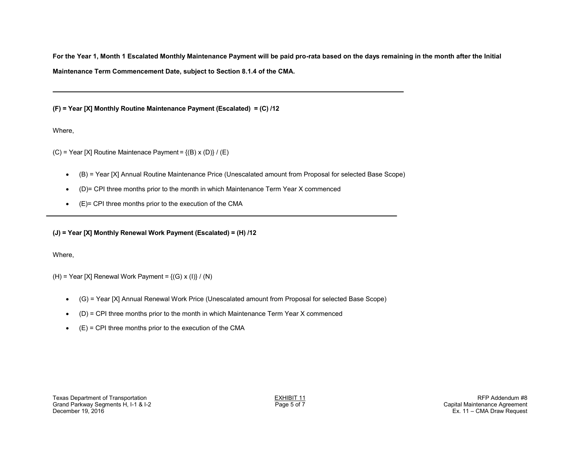**For the Year 1, Month 1 Escalated Monthly Maintenance Payment will be paid pro-rata based on the days remaining in the month after the Initial Maintenance Term Commencement Date, subject to Section 8.1.4 of the CMA.**

**(F) = Year [X] Monthly Routine Maintenance Payment (Escalated) = (C) /12** 

Where,

(C) = Year [X] Routine Maintenace Payment =  ${(B) x (D)} / (E)$ 

- (B) = Year [X] Annual Routine Maintenance Price (Unescalated amount from Proposal for selected Base Scope)
- (D)= CPI three months prior to the month in which Maintenance Term Year X commenced
- (E)= CPI three months prior to the execution of the CMA

**(J) = Year [X] Monthly Renewal Work Payment (Escalated) = (H) /12** 

Where,

(H) = Year [X] Renewal Work Payment =  ${(G) x (I)} / (N)$ 

- (G) = Year [X] Annual Renewal Work Price (Unescalated amount from Proposal for selected Base Scope)
- (D) = CPI three months prior to the month in which Maintenance Term Year X commenced
- $(E) = CPI$  three months prior to the execution of the CMA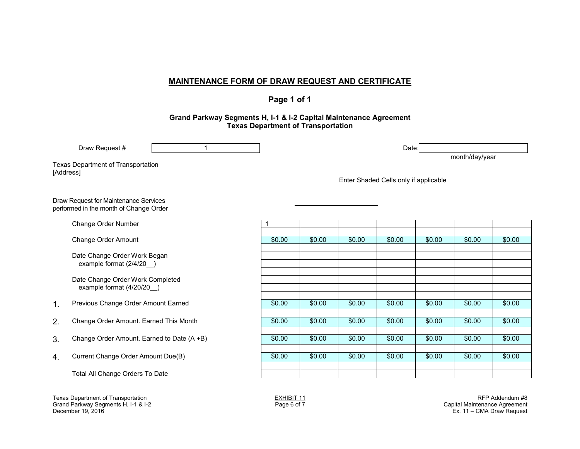#### **MAINTENANCE FORM OF DRAW REQUEST AND CERTIFICATE**

## **Page 1 of 1**

#### **Grand Parkway Segments H, I-1 & I-2 Capital Maintenance Agreement Texas Department of Transportation**

|           | Draw Request #                                                                                                                                                    | $\mathbf 1$ |                                       |        |        | Date:  |        | month/day/year |        |
|-----------|-------------------------------------------------------------------------------------------------------------------------------------------------------------------|-------------|---------------------------------------|--------|--------|--------|--------|----------------|--------|
| [Address] | Texas Department of Transportation                                                                                                                                |             | Enter Shaded Cells only if applicable |        |        |        |        |                |        |
|           | Draw Request for Maintenance Services<br>performed in the month of Change Order                                                                                   |             |                                       |        |        |        |        |                |        |
|           | Change Order Number                                                                                                                                               |             |                                       |        |        |        |        |                |        |
|           | Change Order Amount                                                                                                                                               |             | \$0.00                                | \$0.00 | \$0.00 | \$0.00 | \$0.00 | \$0.00         | \$0.00 |
|           | Date Change Order Work Began<br>example format (2/4/20)                                                                                                           |             |                                       |        |        |        |        |                |        |
|           | Date Change Order Work Completed<br>example format (4/20/20)                                                                                                      |             |                                       |        |        |        |        |                |        |
| 1.        | Previous Change Order Amount Earned                                                                                                                               |             | \$0.00                                | \$0.00 | \$0.00 | \$0.00 | \$0.00 | \$0.00         | \$0.00 |
| 2.        | Change Order Amount. Earned This Month                                                                                                                            |             | \$0.00                                | \$0.00 | \$0.00 | \$0.00 | \$0.00 | \$0.00         | \$0.00 |
| 3.        | Change Order Amount. Earned to Date (A +B)                                                                                                                        |             | \$0.00                                | \$0.00 | \$0.00 | \$0.00 | \$0.00 | \$0.00         | \$0.00 |
| 4.        | Current Change Order Amount Due(B)                                                                                                                                |             | \$0.00                                | \$0.00 | \$0.00 | \$0.00 | \$0.00 | \$0.00         | \$0.00 |
|           | Total All Change Orders To Date                                                                                                                                   |             |                                       |        |        |        |        |                |        |
|           | Texas Department of Transportation<br>RFP Addendum #8<br><b>EXHIBIT 11</b><br>Grand Parkway Segments H, I-1 & I-2<br>Page 6 of 7<br>Capital Maintenance Agreement |             |                                       |        |        |        |        |                |        |

Grand Parkway Segments H, I-1 & I-2<br>December 19, 2016

 $Ex. 11 - CMA Draw  $Request$$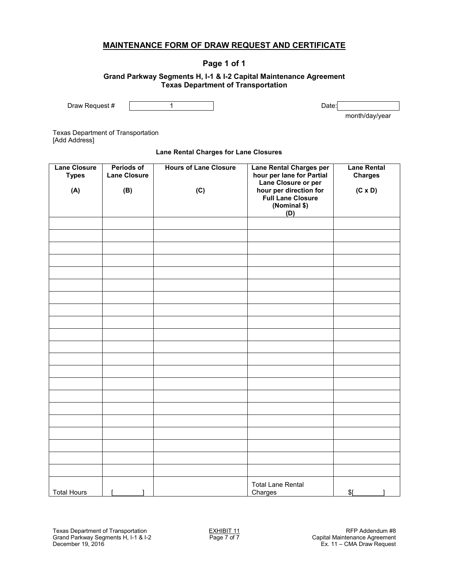### **MAINTENANCE FORM OF DRAW REQUEST AND CERTIFICATE**

# **Page 1 of 1**

#### **Grand Parkway Segments H, I-1 & I-2 Capital Maintenance Agreement Texas Department of Transportation**

Draw Request #  $\vert$  1 dexisted at  $\vert$  1 dexisted by Date:

month/day/year

Texas Department of Transportation [Add Address]

#### **Lane Rental Charges for Lane Closures**

| Lane Closure<br><b>Types</b> | <b>Periods of</b><br><b>Lane Closure</b> | <b>Hours of Lane Closure</b> | <b>Lane Rental Charges per</b><br>hour per lane for Partial                               | <b>Lane Rental</b><br><b>Charges</b> |
|------------------------------|------------------------------------------|------------------------------|-------------------------------------------------------------------------------------------|--------------------------------------|
| (A)                          | (B)                                      | (C)                          | Lane Closure or per<br>hour per direction for<br>Full Lane Closure<br>(Nominal \$)<br>(D) | $(C \times D)$                       |
|                              |                                          |                              |                                                                                           |                                      |
|                              |                                          |                              |                                                                                           |                                      |
|                              |                                          |                              |                                                                                           |                                      |
|                              |                                          |                              |                                                                                           |                                      |
|                              |                                          |                              |                                                                                           |                                      |
|                              |                                          |                              |                                                                                           |                                      |
|                              |                                          |                              |                                                                                           |                                      |
|                              |                                          |                              |                                                                                           |                                      |
|                              |                                          |                              |                                                                                           |                                      |
|                              |                                          |                              |                                                                                           |                                      |
|                              |                                          |                              |                                                                                           |                                      |
|                              |                                          |                              |                                                                                           |                                      |
|                              |                                          |                              |                                                                                           |                                      |
|                              |                                          |                              |                                                                                           |                                      |
|                              |                                          |                              |                                                                                           |                                      |
|                              |                                          |                              |                                                                                           |                                      |
|                              |                                          |                              |                                                                                           |                                      |
|                              |                                          |                              |                                                                                           |                                      |
|                              |                                          |                              |                                                                                           |                                      |
|                              |                                          |                              |                                                                                           |                                      |
|                              |                                          |                              |                                                                                           |                                      |
| <b>Total Hours</b>           | ı                                        |                              | <b>Total Lane Rental</b><br>Charges                                                       | $$$ [<br>ı                           |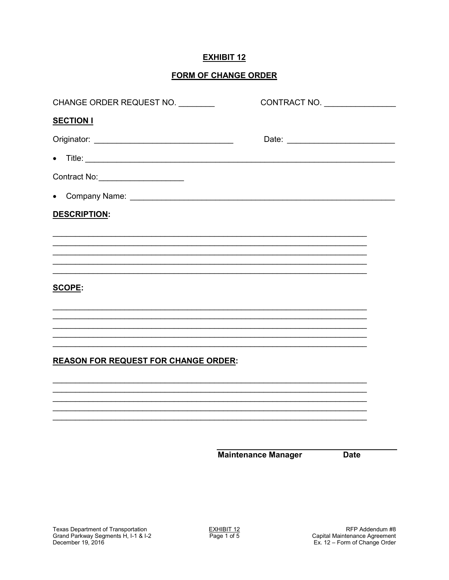# **FORM OF CHANGE ORDER**

| CHANGE ORDER REQUEST NO.                    |                            | CONTRACT NO. |
|---------------------------------------------|----------------------------|--------------|
| <b>SECTION I</b>                            |                            |              |
|                                             |                            |              |
| $\bullet$                                   |                            |              |
| Contract No: ______________________         |                            |              |
| $\bullet$                                   |                            |              |
| <b>DESCRIPTION:</b>                         |                            |              |
|                                             |                            |              |
|                                             |                            |              |
|                                             |                            |              |
| <b>SCOPE:</b>                               |                            |              |
|                                             |                            |              |
|                                             |                            |              |
|                                             |                            |              |
| <b>REASON FOR REQUEST FOR CHANGE ORDER:</b> |                            |              |
|                                             |                            |              |
|                                             |                            |              |
|                                             |                            |              |
|                                             |                            |              |
|                                             | <b>Maintenance Manager</b> | <b>Date</b>  |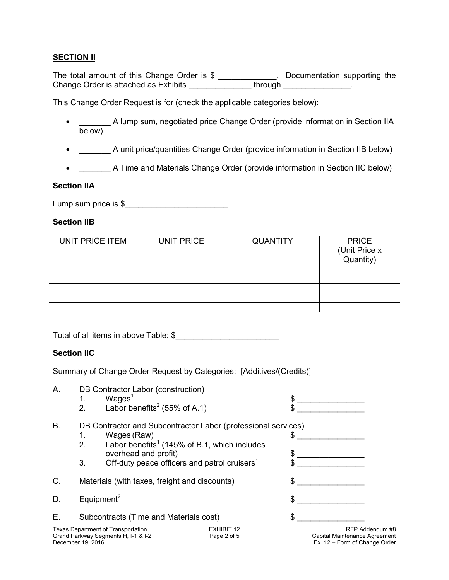# **SECTION II**

The total amount of this Change Order is \$ \_\_\_\_\_\_\_\_\_\_\_\_\_. Documentation supporting the Change Order is attached as Exhibits \_\_\_\_\_\_\_\_\_\_\_\_\_\_\_\_\_through \_\_\_\_\_\_\_\_\_\_\_\_\_\_\_\_.

This Change Order Request is for (check the applicable categories below):

- \_\_\_\_\_\_\_ A lump sum, negotiated price Change Order (provide information in Section IIA  $\frac{1}{\text{below}}$
- \_\_\_\_\_\_\_ A unit price/quantities Change Order (provide information in Section IIB below)
- \_\_\_\_\_\_\_ A Time and Materials Change Order (provide information in Section IIC below)

## **Section IIA**

Lump sum price is  $$$ 

## **Section IIB**

| UNIT PRICE ITEM | UNIT PRICE | <b>QUANTITY</b> | <b>PRICE</b><br>(Unit Price x<br>Quantity) |
|-----------------|------------|-----------------|--------------------------------------------|
|                 |            |                 |                                            |
|                 |            |                 |                                            |
|                 |            |                 |                                            |
|                 |            |                 |                                            |
|                 |            |                 |                                            |

Total of all items in above Table: \$

# **Section IIC**

Summary of Change Order Request by Categories: [Additives/(Credits)]

- A. DB Contractor Labor (construction)<br>1. Wages<sup>1</sup>
	- 1. Wages<sup>1</sup><br>2. Labor be
	- Labor benefits<sup>2</sup> (55% of A.1)



- 
- 2. Labor benefits<sup>1</sup> (145% of B.1, which includes overhead and profit) \$ \_\_\_\_\_\_\_\_\_\_\_\_\_\_\_
	- 3. Off-duty peace officers and patrol cruisers<sup>1</sup>
- C. Materials (with taxes, freight and discounts)  $\frac{1}{2}$
- D. Equipment<sup>2</sup>
- E. Subcontracts (Time and Materials cost)  $\qquad \qquad$  \$

| Texas Department of Transportation  |  |
|-------------------------------------|--|
| Grand Parkway Segments H, I-1 & I-2 |  |
| December 19, 2016                   |  |





EXHIBIT 12<br>
Page 2 of 5 Capital Maintenance Agreement Capital Maintenance Agreement Ex.  $12$  – Form of Change Order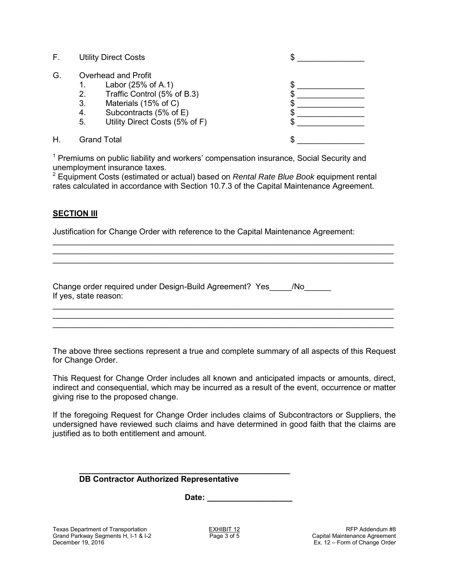| <b>Utility Direct Costs</b> |
|-----------------------------|
|-----------------------------|

| G. | Overhead and Profit |  |
|----|---------------------|--|
|    |                     |  |

- 1. Labor (25% of A.1) \$
- 2. Traffic Control (5% of B.3) \$
- 3. Materials (15% of C)  $\sim$  \$
- 4. Subcontracts (5% of E) \$
- 5. Utility Direct Costs (5% of F) \$
- H. Grand Total  $\sim$

 $\mathfrak s$ 

<sup>1</sup> Premiums on public liability and workers' compensation insurance, Social Security and unemployment insurance taxes.

2 Equipment Costs (estimated or actual) based on *Rental Rate Blue Book* equipment rental rates calculated in accordance with Section 10.7.3 of the Capital Maintenance Agreement.

\_\_\_\_\_\_\_\_\_\_\_\_\_\_\_\_\_\_\_\_\_\_\_\_\_\_\_\_\_\_\_\_\_\_\_\_\_\_\_\_\_\_\_\_\_\_\_\_\_\_\_\_\_\_\_\_\_\_\_\_\_\_\_\_\_\_\_\_\_\_\_\_\_\_\_\_ \_\_\_\_\_\_\_\_\_\_\_\_\_\_\_\_\_\_\_\_\_\_\_\_\_\_\_\_\_\_\_\_\_\_\_\_\_\_\_\_\_\_\_\_\_\_\_\_\_\_\_\_\_\_\_\_\_\_\_\_\_\_\_\_\_\_\_\_\_\_\_\_\_\_\_\_ \_\_\_\_\_\_\_\_\_\_\_\_\_\_\_\_\_\_\_\_\_\_\_\_\_\_\_\_\_\_\_\_\_\_\_\_\_\_\_\_\_\_\_\_\_\_\_\_\_\_\_\_\_\_\_\_\_\_\_\_\_\_\_\_\_\_\_\_\_\_\_\_\_\_\_\_

### **SECTION III**

Justification for Change Order with reference to the Capital Maintenance Agreement:

| Change order required under Design-Build Agreement? Yes |  |
|---------------------------------------------------------|--|
| If yes, state reason:                                   |  |

The above three sections represent a true and complete summary of all aspects of this Request for Change Order.

\_\_\_\_\_\_\_\_\_\_\_\_\_\_\_\_\_\_\_\_\_\_\_\_\_\_\_\_\_\_\_\_\_\_\_\_\_\_\_\_\_\_\_\_\_\_\_\_\_\_\_\_\_\_\_\_\_\_\_\_\_\_\_\_\_\_\_\_\_\_\_\_\_\_\_\_ \_\_\_\_\_\_\_\_\_\_\_\_\_\_\_\_\_\_\_\_\_\_\_\_\_\_\_\_\_\_\_\_\_\_\_\_\_\_\_\_\_\_\_\_\_\_\_\_\_\_\_\_\_\_\_\_\_\_\_\_\_\_\_\_\_\_\_\_\_\_\_\_\_\_\_\_ \_\_\_\_\_\_\_\_\_\_\_\_\_\_\_\_\_\_\_\_\_\_\_\_\_\_\_\_\_\_\_\_\_\_\_\_\_\_\_\_\_\_\_\_\_\_\_\_\_\_\_\_\_\_\_\_\_\_\_\_\_\_\_\_\_\_\_\_\_\_\_\_\_\_\_\_

This Request for Change Order includes all known and anticipated impacts or amounts, direct, indirect and consequential, which may be incurred as a result of the event, occurrence or matter giving rise to the proposed change.

If the foregoing Request for Change Order includes claims of Subcontractors or Suppliers, the undersigned have reviewed such claims and have determined in good faith that the claims are justified as to both entitlement and amount.

| <b>DB Contractor Authorized Representative</b> |  |
|------------------------------------------------|--|
| Date:                                          |  |
|                                                |  |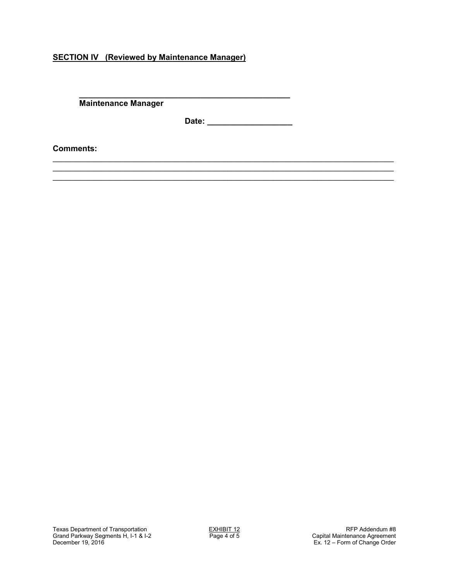# **SECTION IV (Reviewed by Maintenance Manager)**

**\_\_\_\_\_\_\_\_\_\_\_\_\_\_\_\_\_\_\_\_\_\_\_\_\_\_\_\_\_\_\_\_\_\_\_\_\_\_\_\_\_\_\_\_\_\_\_ Maintenance Manager** 

**Date: \_\_\_\_\_\_\_\_\_\_\_\_\_\_\_\_\_\_\_** 

\_\_\_\_\_\_\_\_\_\_\_\_\_\_\_\_\_\_\_\_\_\_\_\_\_\_\_\_\_\_\_\_\_\_\_\_\_\_\_\_\_\_\_\_\_\_\_\_\_\_\_\_\_\_\_\_\_\_\_\_\_\_\_\_\_\_\_\_\_\_\_\_\_\_\_\_ \_\_\_\_\_\_\_\_\_\_\_\_\_\_\_\_\_\_\_\_\_\_\_\_\_\_\_\_\_\_\_\_\_\_\_\_\_\_\_\_\_\_\_\_\_\_\_\_\_\_\_\_\_\_\_\_\_\_\_\_\_\_\_\_\_\_\_\_\_\_\_\_\_\_\_\_ \_\_\_\_\_\_\_\_\_\_\_\_\_\_\_\_\_\_\_\_\_\_\_\_\_\_\_\_\_\_\_\_\_\_\_\_\_\_\_\_\_\_\_\_\_\_\_\_\_\_\_\_\_\_\_\_\_\_\_\_\_\_\_\_\_\_\_\_\_\_\_\_\_\_\_\_

**Comments:**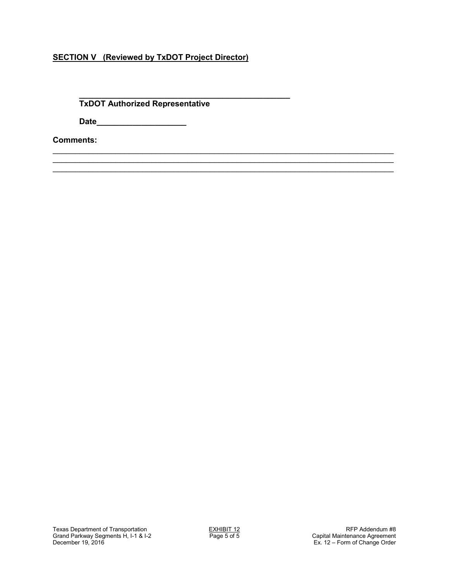# **SECTION V (Reviewed by TxDOT Project Director)**

#### **\_\_\_\_\_\_\_\_\_\_\_\_\_\_\_\_\_\_\_\_\_\_\_\_\_\_\_\_\_\_\_\_\_\_\_\_\_\_\_\_\_\_\_\_\_\_\_ TxDOT Authorized Representative**

 **Date\_\_\_\_\_\_\_\_\_\_\_\_\_\_\_\_\_\_\_\_** 

**Comments:**

\_\_\_\_\_\_\_\_\_\_\_\_\_\_\_\_\_\_\_\_\_\_\_\_\_\_\_\_\_\_\_\_\_\_\_\_\_\_\_\_\_\_\_\_\_\_\_\_\_\_\_\_\_\_\_\_\_\_\_\_\_\_\_\_\_\_\_\_\_\_\_\_\_\_\_\_ \_\_\_\_\_\_\_\_\_\_\_\_\_\_\_\_\_\_\_\_\_\_\_\_\_\_\_\_\_\_\_\_\_\_\_\_\_\_\_\_\_\_\_\_\_\_\_\_\_\_\_\_\_\_\_\_\_\_\_\_\_\_\_\_\_\_\_\_\_\_\_\_\_\_\_\_ \_\_\_\_\_\_\_\_\_\_\_\_\_\_\_\_\_\_\_\_\_\_\_\_\_\_\_\_\_\_\_\_\_\_\_\_\_\_\_\_\_\_\_\_\_\_\_\_\_\_\_\_\_\_\_\_\_\_\_\_\_\_\_\_\_\_\_\_\_\_\_\_\_\_\_\_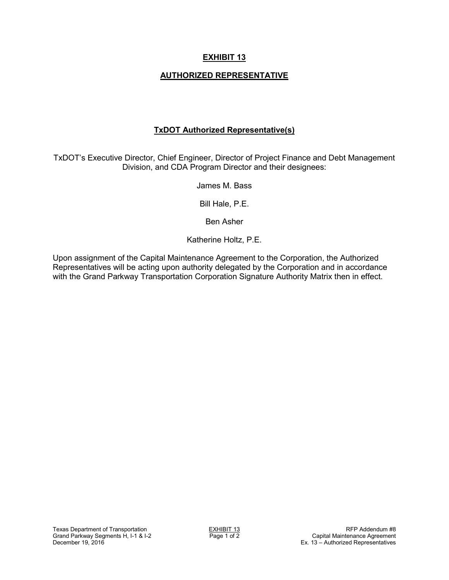# **AUTHORIZED REPRESENTATIVE**

## **TxDOT Authorized Representative(s)**

TxDOT's Executive Director, Chief Engineer, Director of Project Finance and Debt Management Division, and CDA Program Director and their designees:

James M. Bass

Bill Hale, P.E.

Ben Asher

Katherine Holtz, P.E.

Upon assignment of the Capital Maintenance Agreement to the Corporation, the Authorized Representatives will be acting upon authority delegated by the Corporation and in accordance with the Grand Parkway Transportation Corporation Signature Authority Matrix then in effect.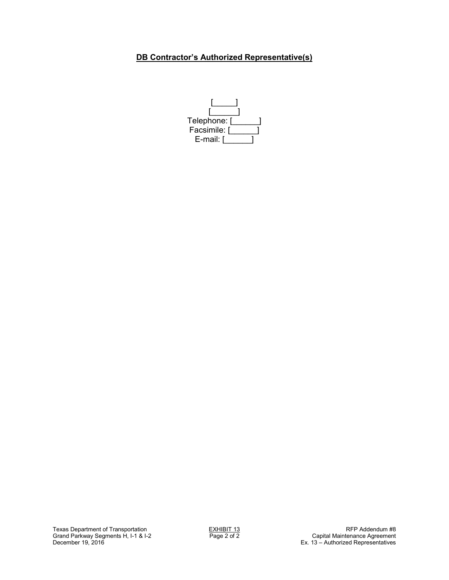# **DB Contractor's Authorized Representative(s)**

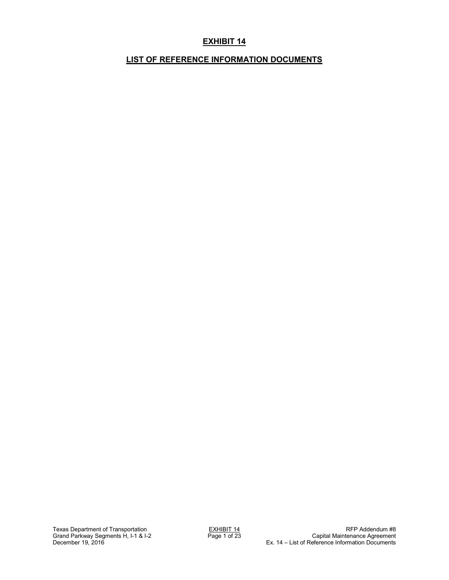# **EXHIBIT 14**

# **LIST OF REFERENCE INFORMATION DOCUMENTS**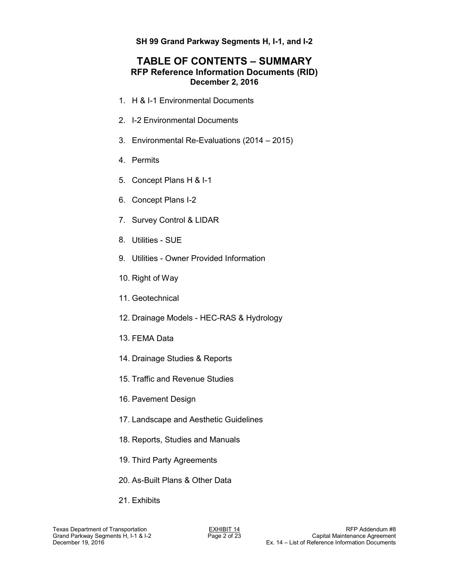# **TABLE OF CONTENTS – SUMMARY RFP Reference Information Documents (RID) December 2, 2016**

- 1. H & I-1 Environmental Documents
- 2. I-2 Environmental Documents
- 3. Environmental Re-Evaluations (2014 2015)
- 4. Permits
- 5. Concept Plans H & I-1
- 6. Concept Plans I-2
- 7. Survey Control & LIDAR
- 8. Utilities SUE
- 9. Utilities Owner Provided Information
- 10. Right of Way
- 11. Geotechnical
- 12. Drainage Models HEC-RAS & Hydrology
- 13. FEMA Data
- 14. Drainage Studies & Reports
- 15. Traffic and Revenue Studies
- 16. Pavement Design
- 17. Landscape and Aesthetic Guidelines
- 18. Reports, Studies and Manuals
- 19. Third Party Agreements
- 20. As-Built Plans & Other Data
- 21. Exhibits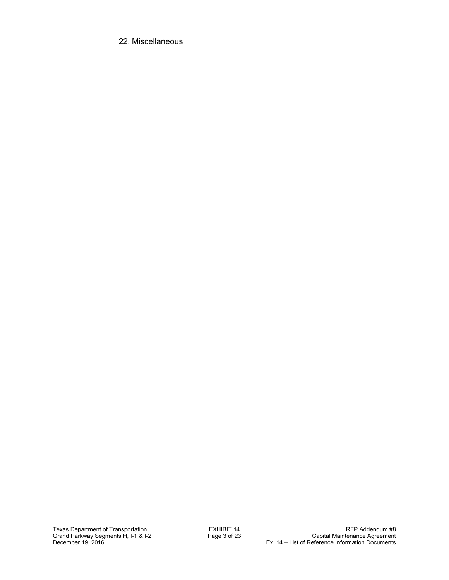22. Miscellaneous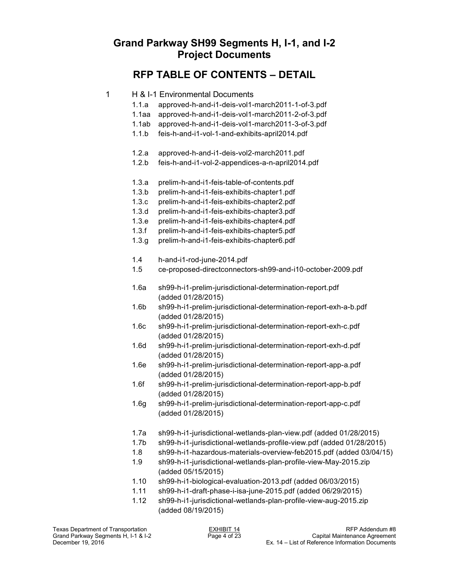# **Grand Parkway SH99 Segments H, I-1, and I-2 Project Documents**

# **RFP TABLE OF CONTENTS – DETAIL**

|  | H & I-1 Environmental Documents |  |
|--|---------------------------------|--|
|--|---------------------------------|--|

- 1.1.a approved-h-and-i1-deis-vol1-march2011-1-of-3.pdf
- 1.1aa approved-h-and-i1-deis-vol1-march2011-2-of-3.pdf
- 1.1ab approved-h-and-i1-deis-vol1-march2011-3-of-3.pdf
- 1.1.b feis-h-and-i1-vol-1-and-exhibits-april2014.pdf
- 1.2.a approved-h-and-i1-deis-vol2-march2011.pdf
- 1.2.b feis-h-and-i1-vol-2-appendices-a-n-april2014.pdf
- 1.3.a prelim-h-and-i1-feis-table-of-contents.pdf
- 1.3.b prelim-h-and-i1-feis-exhibits-chapter1.pdf
- 1.3.c prelim-h-and-i1-feis-exhibits-chapter2.pdf
- 1.3.d prelim-h-and-i1-feis-exhibits-chapter3.pdf
- 1.3.e prelim-h-and-i1-feis-exhibits-chapter4.pdf
- 1.3.f prelim-h-and-i1-feis-exhibits-chapter5.pdf
- 1.3.g prelim-h-and-i1-feis-exhibits-chapter6.pdf
- 1.4 h-and-i1-rod-june-2014.pdf
- 1.5 ce-proposed-directconnectors-sh99-and-i10-october-2009.pdf
- 1.6a sh99-h-i1-prelim-jurisdictional-determination-report.pdf (added 01/28/2015)
- 1.6b sh99-h-i1-prelim-jurisdictional-determination-report-exh-a-b.pdf (added 01/28/2015)
- 1.6c sh99-h-i1-prelim-jurisdictional-determination-report-exh-c.pdf (added 01/28/2015)
- 1.6d sh99-h-i1-prelim-jurisdictional-determination-report-exh-d.pdf (added 01/28/2015)
- 1.6e sh99-h-i1-prelim-jurisdictional-determination-report-app-a.pdf (added 01/28/2015)
- 1.6f sh99-h-i1-prelim-jurisdictional-determination-report-app-b.pdf (added 01/28/2015)
- 1.6g sh99-h-i1-prelim-jurisdictional-determination-report-app-c.pdf (added 01/28/2015)
- 1.7a sh99-h-i1-jurisdictional-wetlands-plan-view.pdf (added 01/28/2015)
- 1.7b sh99-h-i1-jurisdictional-wetlands-profile-view.pdf (added 01/28/2015)
- 1.8 sh99-h-i1-hazardous-materials-overview-feb2015.pdf (added 03/04/15)
- 1.9 sh99-h-i1-jurisdictional-wetlands-plan-profile-view-May-2015.zip (added 05/15/2015)
- 1.10 sh99-h-i1-biological-evaluation-2013.pdf (added 06/03/2015)
- 1.11 sh99-h-i1-draft-phase-i-isa-june-2015.pdf (added 06/29/2015)
- 1.12 sh99-h-i1-jurisdictional-wetlands-plan-profile-view-aug-2015.zip (added 08/19/2015)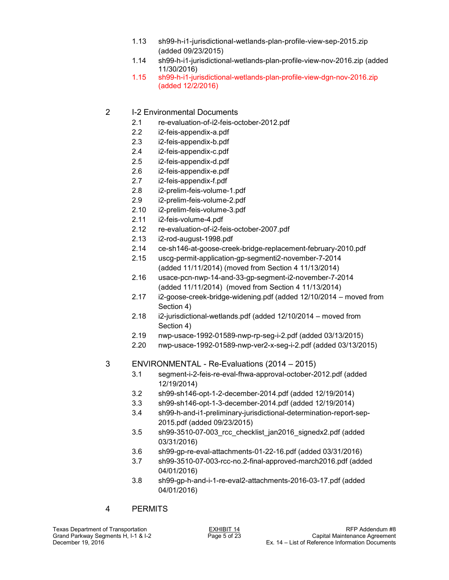- 1.13 sh99-h-i1-jurisdictional-wetlands-plan-profile-view-sep-2015.zip (added 09/23/2015)
- 1.14 sh99-h-i1-jurisdictional-wetlands-plan-profile-view-nov-2016.zip (added 11/30/2016)
- 1.15 sh99-h-i1-jurisdictional-wetlands-plan-profile-view-dgn-nov-2016.zip (added 12/2/2016)
- 2 I-2 Environmental Documents
	- 2.1 re-evaluation-of-i2-feis-october-2012.pdf
	- 2.2 i2-feis-appendix-a.pdf
	- 2.3 i2-feis-appendix-b.pdf
	- 2.4 i2-feis-appendix-c.pdf
	- 2.5 i2-feis-appendix-d.pdf
	- 2.6 i2-feis-appendix-e.pdf
	- 2.7 i2-feis-appendix-f.pdf
	- 2.8 i2-prelim-feis-volume-1.pdf
	- 2.9 i2-prelim-feis-volume-2.pdf
	- 2.10 i2-prelim-feis-volume-3.pdf
	- 2.11 i2-feis-volume-4.pdf
	- 2.12 re-evaluation-of-i2-feis-october-2007.pdf
	- 2.13 i2-rod-august-1998.pdf
	- 2.14 ce-sh146-at-goose-creek-bridge-replacement-february-2010.pdf
	- 2.15 uscg-permit-application-gp-segmenti2-november-7-2014 (added 11/11/2014) (moved from Section 4 11/13/2014)
	- 2.16 usace-pcn-nwp-14-and-33-gp-segment-i2-november-7-2014 (added 11/11/2014) (moved from Section 4 11/13/2014)
	- 2.17 i2-goose-creek-bridge-widening.pdf (added 12/10/2014 moved from Section 4)
	- 2.18 i2-jurisdictional-wetlands.pdf (added 12/10/2014 moved from Section 4)
	- 2.19 nwp-usace-1992-01589-nwp-rp-seg-i-2.pdf (added 03/13/2015)
	- 2.20 nwp-usace-1992-01589-nwp-ver2-x-seg-i-2.pdf (added 03/13/2015)
- 3 ENVIRONMENTAL Re-Evaluations (2014 2015)
	- 3.1 segment-i-2-feis-re-eval-fhwa-approval-october-2012.pdf (added 12/19/2014)
	- 3.2 sh99-sh146-opt-1-2-december-2014.pdf (added 12/19/2014)
	- 3.3 sh99-sh146-opt-1-3-december-2014.pdf (added 12/19/2014)
	- 3.4 sh99-h-and-i1-preliminary-jurisdictional-determination-report-sep-2015.pdf (added 09/23/2015)
	- 3.5 sh99-3510-07-003\_rcc\_checklist\_jan2016\_signedx2.pdf (added 03/31/2016)
	- 3.6 sh99-gp-re-eval-attachments-01-22-16.pdf (added 03/31/2016)
	- 3.7 sh99-3510-07-003-rcc-no.2-final-approved-march2016.pdf (added 04/01/2016)
	- 3.8 sh99-gp-h-and-i-1-re-eval2-attachments-2016-03-17.pdf (added 04/01/2016)

## 4 PERMITS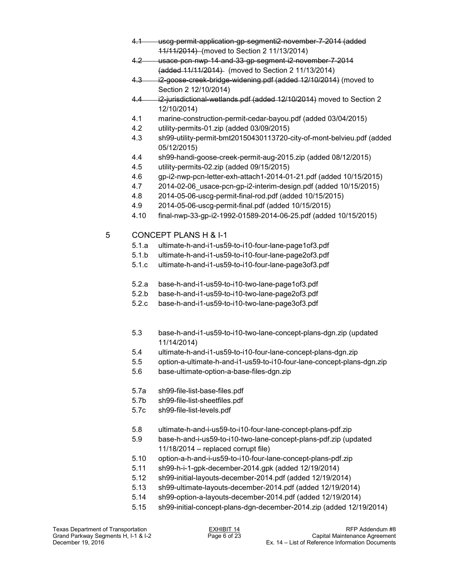- 4.1 uscg-permit-application-gp-segmenti2-november-7-2014 (added 11/11/2014) (moved to Section 2 11/13/2014)
- 4.2 usace-pcn-nwp-14-and-33-gp-segment-i2-november-7-2014 (added 11/11/2014) (moved to Section 2 11/13/2014)
- 4.3 i2-goose-creek-bridge-widening.pdf (added 12/10/2014) (moved to Section 2 12/10/2014)
- 4.4 i2-jurisdictional-wetlands.pdf (added 12/10/2014) moved to Section 2 12/10/2014)
- 4.1 marine-construction-permit-cedar-bayou.pdf (added 03/04/2015)
- 4.2 utility-permits-01.zip (added 03/09/2015)
- 4.3 sh99-utility-permit-bmt20150430113720-city-of-mont-belvieu.pdf (added 05/12/2015)
- 4.4 sh99-handi-goose-creek-permit-aug-2015.zip (added 08/12/2015)
- 4.5 utility-permits-02.zip (added 09/15/2015)
- 4.6 gp-i2-nwp-pcn-letter-exh-attach1-2014-01-21.pdf (added 10/15/2015)
- 4.7 2014-02-06\_usace-pcn-gp-i2-interim-design.pdf (added 10/15/2015)
- 4.8 2014-05-06-uscg-permit-final-rod.pdf (added 10/15/2015)
- 4.9 2014-05-06-uscg-permit-final.pdf (added 10/15/2015)
- 4.10 final-nwp-33-gp-i2-1992-01589-2014-06-25.pdf (added 10/15/2015)
- 5 CONCEPT PLANS H & I-1
	- 5.1.a ultimate-h-and-i1-us59-to-i10-four-lane-page1of3.pdf
	- 5.1.b ultimate-h-and-i1-us59-to-i10-four-lane-page2of3.pdf
	- 5.1.c ultimate-h-and-i1-us59-to-i10-four-lane-page3of3.pdf
	- 5.2.a base-h-and-i1-us59-to-i10-two-lane-page1of3.pdf
	- 5.2.b base-h-and-i1-us59-to-i10-two-lane-page2of3.pdf
	- 5.2.c base-h-and-i1-us59-to-i10-two-lane-page3of3.pdf
	- 5.3 base-h-and-i1-us59-to-i10-two-lane-concept-plans-dgn.zip (updated 11/14/2014)
	- 5.4 ultimate-h-and-i1-us59-to-i10-four-lane-concept-plans-dgn.zip
	- 5.5 option-a-ultimate-h-and-i1-us59-to-i10-four-lane-concept-plans-dgn.zip
	- 5.6 base-ultimate-option-a-base-files-dgn.zip
	- 5.7a sh99-file-list-base-files.pdf
	- 5.7b sh99-file-list-sheetfiles.pdf
	- 5.7c sh99-file-list-levels.pdf
	- 5.8 ultimate-h-and-i-us59-to-i10-four-lane-concept-plans-pdf.zip
	- 5.9 base-h-and-i-us59-to-i10-two-lane-concept-plans-pdf.zip (updated 11/18/2014 – replaced corrupt file)
	- 5.10 option-a-h-and-i-us59-to-i10-four-lane-concept-plans-pdf.zip
	- 5.11 sh99-h-i-1-gpk-december-2014.gpk (added 12/19/2014)
	- 5.12 sh99-initial-layouts-december-2014.pdf (added 12/19/2014)
	- 5.13 sh99-ultimate-layouts-december-2014.pdf (added 12/19/2014)
	- 5.14 sh99-option-a-layouts-december-2014.pdf (added 12/19/2014)
	- 5.15 sh99-initial-concept-plans-dgn-december-2014.zip (added 12/19/2014)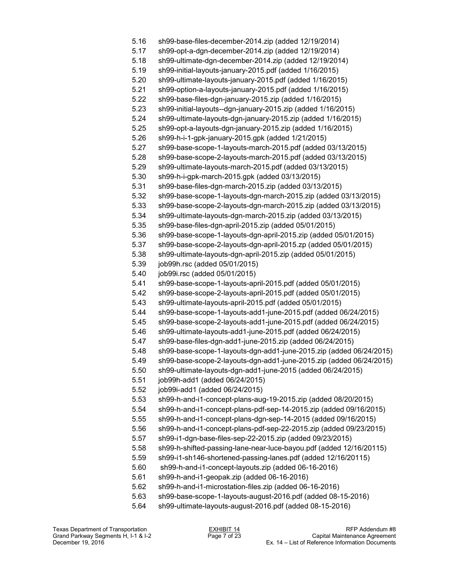5.16 sh99-base-files-december-2014.zip (added 12/19/2014) 5.17 sh99-opt-a-dgn-december-2014.zip (added 12/19/2014) 5.18 sh99-ultimate-dgn-december-2014.zip (added 12/19/2014) 5.19 sh99-initial-layouts-january-2015.pdf (added 1/16/2015) 5.20 sh99-ultimate-layouts-january-2015.pdf (added 1/16/2015) 5.21 sh99-option-a-layouts-january-2015.pdf (added 1/16/2015) 5.22 sh99-base-files-dgn-january-2015.zip (added 1/16/2015) 5.23 sh99-initial-layouts--dgn-january-2015.zip (added 1/16/2015) 5.24 sh99-ultimate-layouts-dgn-january-2015.zip (added 1/16/2015) 5.25 sh99-opt-a-layouts-dgn-january-2015.zip (added 1/16/2015) 5.26 sh99-h-i-1-gpk-january-2015.gpk (added 1/21/2015) 5.27 sh99-base-scope-1-layouts-march-2015.pdf (added 03/13/2015) 5.28 sh99-base-scope-2-layouts-march-2015.pdf (added 03/13/2015) 5.29 sh99-ultimate-layouts-march-2015.pdf (added 03/13/2015) 5.30 sh99-h-i-gpk-march-2015.gpk (added 03/13/2015) 5.31 sh99-base-files-dgn-march-2015.zip (added 03/13/2015) 5.32 sh99-base-scope-1-layouts-dgn-march-2015.zip (added 03/13/2015) 5.33 sh99-base-scope-2-layouts-dgn-march-2015.zip (added 03/13/2015) 5.34 sh99-ultimate-layouts-dgn-march-2015.zip (added 03/13/2015) 5.35 sh99-base-files-dgn-april-2015.zip (added 05/01/2015) 5.36 sh99-base-scope-1-layouts-dgn-april-2015.zip (added 05/01/2015) 5.37 sh99-base-scope-2-layouts-dgn-april-2015.zp (added 05/01/2015) 5.38 sh99-ultimate-layouts-dgn-april-2015.zip (added 05/01/2015) 5.39 job99h.rsc (added 05/01/2015) 5.40 job99i.rsc (added 05/01/2015) 5.41 sh99-base-scope-1-layouts-april-2015.pdf (added 05/01/2015) 5.42 sh99-base-scope-2-layouts-april-2015.pdf (added 05/01/2015) 5.43 sh99-ultimate-layouts-april-2015.pdf (added 05/01/2015) 5.44 sh99-base-scope-1-layouts-add1-june-2015.pdf (added 06/24/2015) 5.45 sh99-base-scope-2-layouts-add1-june-2015.pdf (added 06/24/2015) 5.46 sh99-ultimate-layouts-add1-june-2015.pdf (added 06/24/2015) 5.47 sh99-base-files-dgn-add1-june-2015.zip (added 06/24/2015) 5.48 sh99-base-scope-1-layouts-dgn-add1-june-2015.zip (added 06/24/2015) 5.49 sh99-base-scope-2-layouts-dgn-add1-june-2015.zip (added 06/24/2015) 5.50 sh99-ultimate-layouts-dgn-add1-june-2015 (added 06/24/2015) 5.51 job99h-add1 (added 06/24/2015) 5.52 job99i-add1 (added 06/24/2015) 5.53 sh99-h-and-i1-concept-plans-aug-19-2015.zip (added 08/20/2015) 5.54 sh99-h-and-i1-concept-plans-pdf-sep-14-2015.zip (added 09/16/2015) 5.55 sh99-h-and-i1-concept-plans-dgn-sep-14-2015 (added 09/16/2015) 5.56 sh99-h-and-i1-concept-plans-pdf-sep-22-2015.zip (added 09/23/2015) 5.57 sh99-i1-dgn-base-files-sep-22-2015.zip (added 09/23/2015) 5.58 sh99-h-shifted-passing-lane-near-luce-bayou.pdf (added 12/16/20115) 5.59 sh99-i1-sh146-shortened-passing-lanes.pdf (added 12/16/20115) 5.60 sh99-h-and-i1-concept-layouts.zip (added 06-16-2016) 5.61 sh99-h-and-i1-geopak.zip (added 06-16-2016) 5.62 sh99-h-and-i1-microstation-files.zip (added 06-16-2016) 5.63 sh99-base-scope-1-layouts-august-2016.pdf (added 08-15-2016) 5.64 sh99-ultimate-layouts-august-2016.pdf (added 08-15-2016)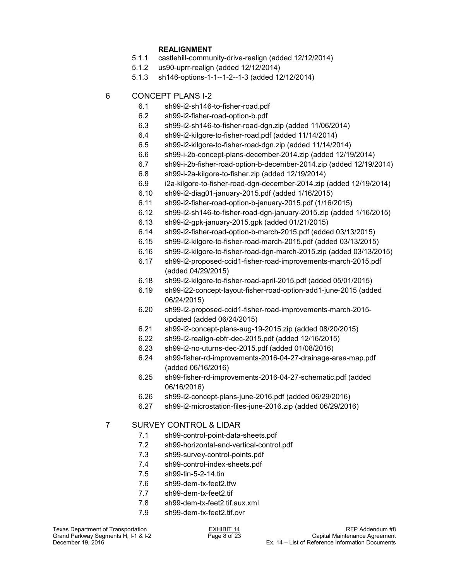- **REALIGNMENT**<br>5.1.1 castlehill-commu 5.1.1 castlehill-community-drive-realign (added 12/12/2014)
- 5.1.2 us90-uprr-realign (added 12/12/2014)
- 5.1.3 sh146-options-1-1--1-2--1-3 (added 12/12/2014)
- 6 CONCEPT PLANS I-2
	- 6.1 sh99-i2-sh146-to-fisher-road.pdf
	- 6.2 sh99-i2-fisher-road-option-b.pdf
	- 6.3 sh99-i2-sh146-to-fisher-road-dgn.zip (added 11/06/2014)
	- 6.4 sh99-i2-kilgore-to-fisher-road.pdf (added 11/14/2014)
	- 6.5 sh99-i2-kilgore-to-fisher-road-dgn.zip (added 11/14/2014)
	- 6.6 sh99-i-2b-concept-plans-december-2014.zip (added 12/19/2014)
	- 6.7 sh99-i-2b-fisher-road-option-b-december-2014.zip (added 12/19/2014)
	- 6.8 sh99-i-2a-kilgore-to-fisher.zip (added 12/19/2014)
	- 6.9 i2a-kilgore-to-fisher-road-dgn-december-2014.zip (added 12/19/2014)
	- 6.10 sh99-i2-diag01-january-2015.pdf (added 1/16/2015)
	- 6.11 sh99-i2-fisher-road-option-b-january-2015.pdf (1/16/2015)
	- 6.12 sh99-i2-sh146-to-fisher-road-dgn-january-2015.zip (added 1/16/2015)
	- 6.13 sh99-i2-gpk-january-2015.gpk (added 01/21/2015)
	- 6.14 sh99-i2-fisher-road-option-b-march-2015.pdf (added 03/13/2015)
	- 6.15 sh99-i2-kilgore-to-fisher-road-march-2015.pdf (added 03/13/2015)
	- 6.16 sh99-i2-kilgore-to-fisher-road-dgn-march-2015.zip (added 03/13/2015)
	- 6.17 sh99-i2-proposed-ccid1-fisher-road-improvements-march-2015.pdf (added 04/29/2015)
	- 6.18 sh99-i2-kilgore-to-fisher-road-april-2015.pdf (added 05/01/2015)
	- 6.19 sh99-i22-concept-layout-fisher-road-option-add1-june-2015 (added 06/24/2015)
	- 6.20 sh99-i2-proposed-ccid1-fisher-road-improvements-march-2015 updated (added 06/24/2015)
	- 6.21 sh99-i2-concept-plans-aug-19-2015.zip (added 08/20/2015)
	- 6.22 sh99-i2-realign-ebfr-dec-2015.pdf (added 12/16/2015)
	- 6.23 sh99-i2-no-uturns-dec-2015.pdf (added 01/08/2016)
	- 6.24 sh99-fisher-rd-improvements-2016-04-27-drainage-area-map.pdf (added 06/16/2016)
	- 6.25 sh99-fisher-rd-improvements-2016-04-27-schematic.pdf (added 06/16/2016)
	- 6.26 sh99-i2-concept-plans-june-2016.pdf (added 06/29/2016)
	- 6.27 sh99-i2-microstation-files-june-2016.zip (added 06/29/2016)

## 7 SURVEY CONTROL & LIDAR

- 7.1 sh99-control-point-data-sheets.pdf
- 7.2 sh99-horizontal-and-vertical-control.pdf
- 7.3 sh99-survey-control-points.pdf
- 7.4 sh99-control-index-sheets.pdf
- 7.5 sh99-tin-5-2-14.tin
- 7.6 sh99-dem-tx-feet2.tfw
- 7.7 sh99-dem-tx-feet2.tif
- 7.8 sh99-dem-tx-feet2.tif.aux.xml
- 7.9 sh99-dem-tx-feet2.tif.ovr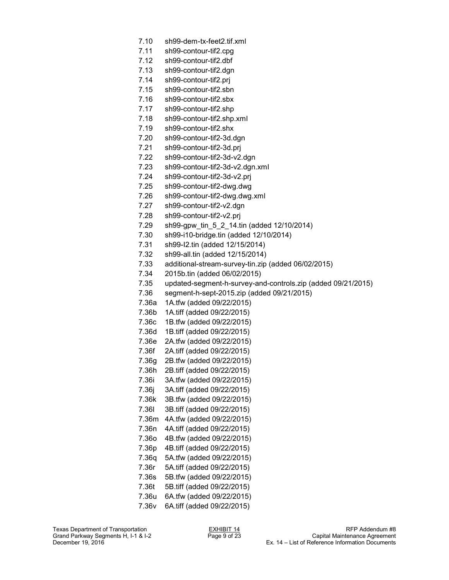- 7.10 sh99-dem-tx-feet2.tif.xml
- 7.11 sh99-contour-tif2.cpg
- 7.12 sh99-contour-tif2.dbf
- 7.13 sh99-contour-tif2.dgn
- 7.14 sh99-contour-tif2.prj
- 7.15 sh99-contour-tif2.sbn
- 7.16 sh99-contour-tif2.sbx
- 7.17 sh99-contour-tif2.shp
- 7.18 sh99-contour-tif2.shp.xml
- 7.19 sh99-contour-tif2.shx
- 7.20 sh99-contour-tif2-3d.dgn
- 7.21 sh99-contour-tif2-3d.prj
- 7.22 sh99-contour-tif2-3d-v2.dgn
- 7.23 sh99-contour-tif2-3d-v2.dgn.xml
- 7.24 sh99-contour-tif2-3d-v2.prj
- 7.25 sh99-contour-tif2-dwg.dwg
- 7.26 sh99-contour-tif2-dwg.dwg.xml
- 7.27 sh99-contour-tif2-v2.dgn
- 7.28 sh99-contour-tif2-v2.prj
- 7.29 sh99-gpw\_tin\_5\_2\_14.tin (added 12/10/2014)
- 7.30 sh99-i10-bridge.tin (added 12/10/2014)
- 7.31 sh99-I2.tin (added 12/15/2014)
- 7.32 sh99-all.tin (added 12/15/2014)
- 7.33 additional-stream-survey-tin.zip (added 06/02/2015)
- 7.34 2015b.tin (added 06/02/2015)
- 7.35 updated-segment-h-survey-and-controls.zip (added 09/21/2015)
- 7.36 segment-h-sept-2015.zip (added 09/21/2015)
- 7.36a 1A.tfw (added 09/22/2015)
- 7.36b 1A.tiff (added 09/22/2015)
- 7.36c 1B.tfw (added 09/22/2015)
- 7.36d 1B.tiff (added 09/22/2015)
- 7.36e 2A.tfw (added 09/22/2015)
- 7.36f 2A.tiff (added 09/22/2015)
- 7.36g 2B.tfw (added 09/22/2015)
- 7.36h 2B.tiff (added 09/22/2015)
- 7.36i 3A.tfw (added 09/22/2015)
- 7.36j 3A.tiff (added 09/22/2015)
- 7.36k 3B.tfw (added 09/22/2015)
- 7.36l 3B.tiff (added 09/22/2015)
- 7.36m 4A.tfw (added 09/22/2015)
- 7.36n 4A.tiff (added 09/22/2015)
- 7.36o 4B.tfw (added 09/22/2015)
- 7.36p 4B.tiff (added 09/22/2015)
- 7.36q 5A.tfw (added 09/22/2015)
- 7.36r 5A.tiff (added 09/22/2015)
- 7.36s 5B.tfw (added 09/22/2015)
- 7.36t 5B.tiff (added 09/22/2015)
- 7.36u 6A.tfw (added 09/22/2015)
- 7.36v 6A.tiff (added 09/22/2015)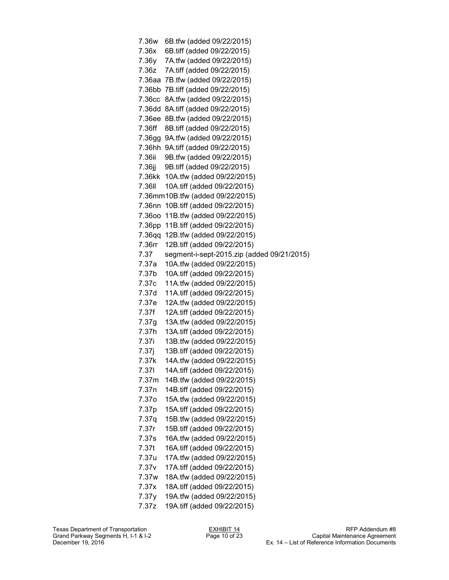7.36w 6B.tfw (added 09/22/2015) 7.36x 6B.tiff (added 09/22/2015) 7.36y 7A.tfw (added 09/22/2015) 7.36z 7A.tiff (added 09/22/2015) 7.36aa 7B.tfw (added 09/22/2015) 7.36bb 7B.tiff (added 09/22/2015) 7.36cc 8A.tfw (added 09/22/2015) 7.36dd 8A.tiff (added 09/22/2015) 7.36ee 8B.tfw (added 09/22/2015) 7.36ff 8B.tiff (added 09/22/2015) 7.36gg 9A.tfw (added 09/22/2015) 7.36hh 9A.tiff (added 09/22/2015) 7.36ii 9B.tfw (added 09/22/2015) 7.36jj 9B.tiff (added 09/22/2015) 7.36kk 10A.tfw (added 09/22/2015) 7.36ll 10A.tiff (added 09/22/2015) 7.36mm10B.tfw (added 09/22/2015) 7.36nn 10B.tiff (added 09/22/2015) 7.36oo 11B.tfw (added 09/22/2015) 7.36pp 11B.tiff (added 09/22/2015) 7.36qq 12B.tfw (added 09/22/2015) 7.36rr 12B.tiff (added 09/22/2015) 7.37 segment-i-sept-2015.zip (added 09/21/2015) 7.37a 10A.tfw (added 09/22/2015) 7.37b 10A.tiff (added 09/22/2015) 7.37c 11A.tfw (added 09/22/2015) 7.37d 11A.tiff (added 09/22/2015) 7.37e 12A.tfw (added 09/22/2015) 7.37f 12A.tiff (added 09/22/2015) 7.37g 13A.tfw (added 09/22/2015) 7.37h 13A.tiff (added 09/22/2015) 7.37i 13B.tfw (added 09/22/2015) 7.37j 13B.tiff (added 09/22/2015) 7.37k 14A.tfw (added 09/22/2015) 7.37l 14A.tiff (added 09/22/2015) 7.37m 14B.tfw (added 09/22/2015) 7.37n 14B.tiff (added 09/22/2015) 7.37o 15A.tfw (added 09/22/2015) 7.37p 15A.tiff (added 09/22/2015) 7.37q 15B.tfw (added 09/22/2015) 7.37r 15B.tiff (added 09/22/2015) 7.37s 16A.tfw (added 09/22/2015) 7.37t 16A.tiff (added 09/22/2015) 7.37u 17A.tfw (added 09/22/2015) 7.37v 17A.tiff (added 09/22/2015) 7.37w 18A.tfw (added 09/22/2015) 7.37x 18A.tiff (added 09/22/2015) 7.37y 19A.tfw (added 09/22/2015) 7.37z 19A.tiff (added 09/22/2015)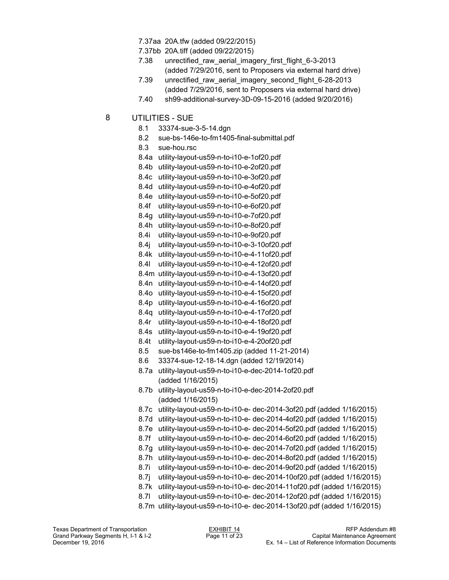- 7.37aa 20A.tfw (added 09/22/2015)
- 7.37bb 20A.tiff (added 09/22/2015)
- 7.38 unrectified\_raw\_aerial\_imagery\_first\_flight\_6-3-2013 (added 7/29/2016, sent to Proposers via external hard drive)
- 7.39 unrectified raw aerial imagery second flight 6-28-2013 (added 7/29/2016, sent to Proposers via external hard drive)
- 7.40 sh99-additional-survey-3D-09-15-2016 (added 9/20/2016)
- 8 UTILITIES SUE
	- 8.1 33374-sue-3-5-14.dgn
	- 8.2 sue-bs-146e-to-fm1405-final-submittal.pdf
	- 8.3 sue-hou.rsc
	- 8.4a utility-layout-us59-n-to-i10-e-1of20.pdf
	- 8.4b utility-layout-us59-n-to-i10-e-2of20.pdf
	- 8.4c utility-layout-us59-n-to-i10-e-3of20.pdf
	- 8.4d utility-layout-us59-n-to-i10-e-4of20.pdf
	- 8.4e utility-layout-us59-n-to-i10-e-5of20.pdf
	- 8.4f utility-layout-us59-n-to-i10-e-6of20.pdf
	- 8.4g utility-layout-us59-n-to-i10-e-7of20.pdf
	- 8.4h utility-layout-us59-n-to-i10-e-8of20.pdf
	- 8.4i utility-layout-us59-n-to-i10-e-9of20.pdf
	- 8.4j utility-layout-us59-n-to-i10-e-3-10of20.pdf
	- 8.4k utility-layout-us59-n-to-i10-e-4-11of20.pdf
	- 8.4l utility-layout-us59-n-to-i10-e-4-12of20.pdf
	- 8.4m utility-layout-us59-n-to-i10-e-4-13of20.pdf
	- 8.4n utility-layout-us59-n-to-i10-e-4-14of20.pdf
	- 8.4o utility-layout-us59-n-to-i10-e-4-15of20.pdf
	- 8.4p utility-layout-us59-n-to-i10-e-4-16of20.pdf
	- 8.4q utility-layout-us59-n-to-i10-e-4-17of20.pdf
	- 8.4r utility-layout-us59-n-to-i10-e-4-18of20.pdf
	- 8.4s utility-layout-us59-n-to-i10-e-4-19of20.pdf
	- 8.4t utility-layout-us59-n-to-i10-e-4-20of20.pdf
	- 8.5 sue-bs146e-to-fm1405.zip (added 11-21-2014)
	- 8.6 33374-sue-12-18-14.dgn (added 12/19/2014)
	- 8.7a utility-layout-us59-n-to-i10-e-dec-2014-1of20.pdf (added 1/16/2015)
	- 8.7b utility-layout-us59-n-to-i10-e-dec-2014-2of20.pdf (added 1/16/2015)
	- 8.7c utility-layout-us59-n-to-i10-e- dec-2014-3of20.pdf (added 1/16/2015)
	- 8.7d utility-layout-us59-n-to-i10-e- dec-2014-4of20.pdf (added 1/16/2015)
	- 8.7e utility-layout-us59-n-to-i10-e- dec-2014-5of20.pdf (added 1/16/2015)
	- 8.7f utility-layout-us59-n-to-i10-e- dec-2014-6of20.pdf (added 1/16/2015)
	- 8.7g utility-layout-us59-n-to-i10-e- dec-2014-7of20.pdf (added 1/16/2015)
	- 8.7h utility-layout-us59-n-to-i10-e- dec-2014-8of20.pdf (added 1/16/2015)
	- 8.7i utility-layout-us59-n-to-i10-e- dec-2014-9of20.pdf (added 1/16/2015)
	- 8.7j utility-layout-us59-n-to-i10-e- dec-2014-10of20.pdf (added 1/16/2015)
	- 8.7k utility-layout-us59-n-to-i10-e- dec-2014-11of20.pdf (added 1/16/2015)
	- 8.7l utility-layout-us59-n-to-i10-e- dec-2014-12of20.pdf (added 1/16/2015)
	- 8.7m utility-layout-us59-n-to-i10-e- dec-2014-13of20.pdf (added 1/16/2015)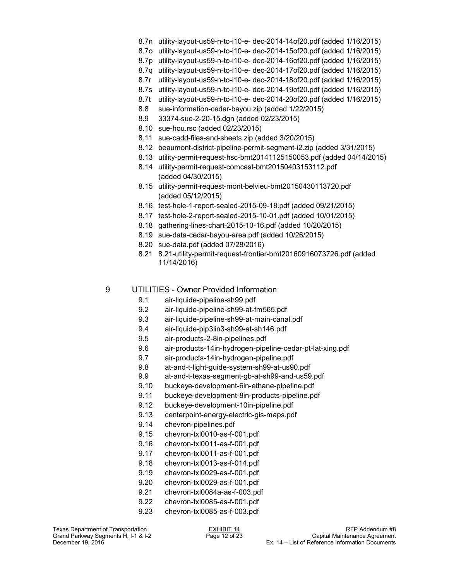- 8.7n utility-layout-us59-n-to-i10-e- dec-2014-14of20.pdf (added 1/16/2015)
- 8.7o utility-layout-us59-n-to-i10-e- dec-2014-15of20.pdf (added 1/16/2015)
- 8.7p utility-layout-us59-n-to-i10-e- dec-2014-16of20.pdf (added 1/16/2015)
- 8.7q utility-layout-us59-n-to-i10-e- dec-2014-17of20.pdf (added 1/16/2015)
- 8.7r utility-layout-us59-n-to-i10-e- dec-2014-18of20.pdf (added 1/16/2015)
- 8.7s utility-layout-us59-n-to-i10-e- dec-2014-19of20.pdf (added 1/16/2015)
- 8.7t utility-layout-us59-n-to-i10-e- dec-2014-20of20.pdf (added 1/16/2015)
- 8.8 sue-information-cedar-bayou.zip (added 1/22/2015)
- 8.9 33374-sue-2-20-15.dgn (added 02/23/2015)
- 8.10 sue-hou.rsc (added 02/23/2015)
- 8.11 sue-cadd-files-and-sheets.zip (added 3/20/2015)
- 8.12 beaumont-district-pipeline-permit-segment-i2.zip (added 3/31/2015)
- 8.13 utility-permit-request-hsc-bmt20141125150053.pdf (added 04/14/2015)
- 8.14 utility-permit-request-comcast-bmt20150403153112.pdf (added 04/30/2015)
- 8.15 utility-permit-request-mont-belvieu-bmt20150430113720.pdf (added 05/12/2015)
- 8.16 test-hole-1-report-sealed-2015-09-18.pdf (added 09/21/2015)
- 8.17 test-hole-2-report-sealed-2015-10-01.pdf (added 10/01/2015)
- 8.18 gathering-lines-chart-2015-10-16.pdf (added 10/20/2015)
- 8.19 sue-data-cedar-bayou-area.pdf (added 10/26/2015)
- 8.20 sue-data.pdf (added 07/28/2016)
- 8.21 8.21-utility-permit-request-frontier-bmt20160916073726.pdf (added 11/14/2016)

#### 9 UTILITIES - Owner Provided Information

- 9.1 air-liquide-pipeline-sh99.pdf
- 9.2 air-liquide-pipeline-sh99-at-fm565.pdf
- 9.3 air-liquide-pipeline-sh99-at-main-canal.pdf
- 9.4 air-liquide-pip3lin3-sh99-at-sh146.pdf
- 9.5 air-products-2-8in-pipelines.pdf
- 9.6 air-products-14in-hydrogen-pipeline-cedar-pt-lat-xing.pdf
- 9.7 air-products-14in-hydrogen-pipeline.pdf
- 9.8 at-and-t-light-guide-system-sh99-at-us90.pdf
- 9.9 at-and-t-texas-segment-gb-at-sh99-and-us59.pdf
- 9.10 buckeye-development-6in-ethane-pipeline.pdf
- 9.11 buckeye-development-8in-products-pipeline.pdf
- 9.12 buckeye-development-10in-pipeline.pdf
- 9.13 centerpoint-energy-electric-gis-maps.pdf
- 9.14 chevron-pipelines.pdf
- 9.15 chevron-txl0010-as-f-001.pdf
- 9.16 chevron-txl0011-as-f-001.pdf
- 9.17 chevron-txl0011-as-f-001.pdf
- 9.18 chevron-txl0013-as-f-014.pdf
- 9.19 chevron-txl0029-as-f-001.pdf
- 9.20 chevron-txl0029-as-f-001.pdf
- 9.21 chevron-txl0084a-as-f-003.pdf
- 
- 9.22 chevron-txl0085-as-f-001.pdf 9.23 chevron-txl0085-as-f-003.pdf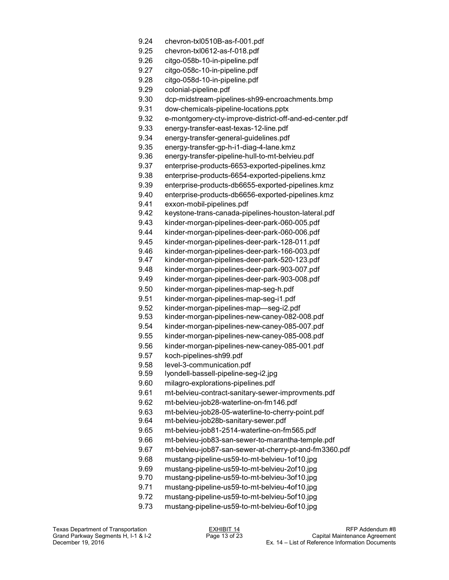- 9.24 chevron-txl0510B-as-f-001.pdf
- 9.25 chevron-txl0612-as-f-018.pdf
- 9.26 citgo-058b-10-in-pipeline.pdf
- 9.27 citgo-058c-10-in-pipeline.pdf
- 9.28 citgo-058d-10-in-pipeline.pdf
- 9.29 colonial-pipeline.pdf
- 9.30 dcp-midstream-pipelines-sh99-encroachments.bmp
- 9.31 dow-chemicals-pipeline-locations.pptx
- 9.32 e-montgomery-cty-improve-district-off-and-ed-center.pdf
- 9.33 energy-transfer-east-texas-12-line.pdf
- 9.34 energy-transfer-general-guidelines.pdf
- 9.35 energy-transfer-gp-h-i1-diag-4-lane.kmz
- 9.36 energy-transfer-pipeline-hull-to-mt-belvieu.pdf
- 9.37 enterprise-products-6653-exported-pipelines.kmz
- 9.38 enterprise-products-6654-exported-pipeliens.kmz
- 9.39 enterprise-products-db6655-exported-pipelines.kmz
- 9.40 enterprise-products-db6656-exported-pipelines.kmz
- 9.41 exxon-mobil-pipelines.pdf
- 9.42 keystone-trans-canada-pipelines-houston-lateral.pdf
- 9.43 kinder-morgan-pipelines-deer-park-060-005.pdf
- 9.44 kinder-morgan-pipelines-deer-park-060-006.pdf
- 9.45 kinder-morgan-pipelines-deer-park-128-011.pdf
- 9.46 kinder-morgan-pipelines-deer-park-166-003.pdf
- 9.47 kinder-morgan-pipelines-deer-park-520-123.pdf
- 9.48 kinder-morgan-pipelines-deer-park-903-007.pdf
- 9.49 kinder-morgan-pipelines-deer-park-903-008.pdf
- 9.50 kinder-morgan-pipelines-map-seg-h.pdf
- 9.51 kinder-morgan-pipelines-map-seg-i1.pdf
- 9.52 kinder-morgan-pipelines-map—seg-i2.pdf
- 9.53 kinder-morgan-pipelines-new-caney-082-008.pdf
- 9.54 kinder-morgan-pipelines-new-caney-085-007.pdf
- 9.55 kinder-morgan-pipelines-new-caney-085-008.pdf
- 9.56 kinder-morgan-pipelines-new-caney-085-001.pdf
- 9.57 koch-pipelines-sh99.pdf
- 9.58 level-3-communication.pdf
- 9.59 lyondell-bassell-pipeline-seg-i2.jpg
- 9.60 milagro-explorations-pipelines.pdf
- 9.61 mt-belvieu-contract-sanitary-sewer-improvments.pdf
- 9.62 mt-belvieu-job28-waterline-on-fm146.pdf
- 9.63 mt-belvieu-job28-05-waterline-to-cherry-point.pdf<br>9.64 mt-belvieu-job28b-sanitary-sewer.pdf
- mt-belvieu-job28b-sanitary-sewer.pdf
- 9.65 mt-belvieu-job81-2514-waterline-on-fm565.pdf
- 9.66 mt-belvieu-job83-san-sewer-to-marantha-temple.pdf
- 9.67 mt-belvieu-job87-san-sewer-at-cherry-pt-and-fm3360.pdf
- 9.68 mustang-pipeline-us59-to-mt-belvieu-1of10.jpg
- 9.69 mustang-pipeline-us59-to-mt-belvieu-2of10.jpg
- 9.70 mustang-pipeline-us59-to-mt-belvieu-3of10.jpg
- 9.71 mustang-pipeline-us59-to-mt-belvieu-4of10.jpg
- 9.72 mustang-pipeline-us59-to-mt-belvieu-5of10.jpg
- 9.73 mustang-pipeline-us59-to-mt-belvieu-6of10.jpg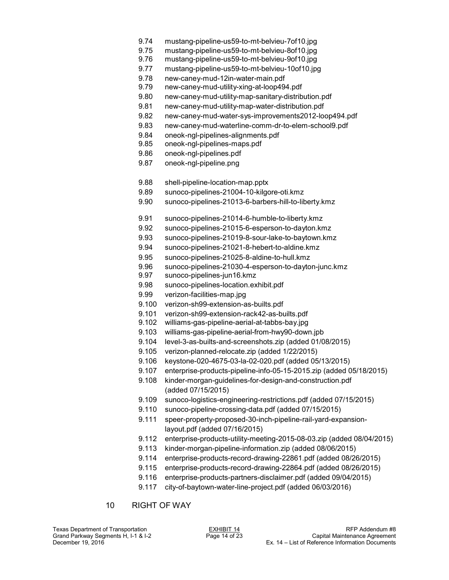- 9.74 mustang-pipeline-us59-to-mt-belvieu-7of10.jpg
- 9.75 mustang-pipeline-us59-to-mt-belvieu-8of10.jpg
- mustang-pipeline-us59-to-mt-belvieu-9of10.jpg
- 9.77 mustang-pipeline-us59-to-mt-belvieu-10of10.jpg
- 9.78 new-caney-mud-12in-water-main.pdf
- 9.79 new-caney-mud-utility-xing-at-loop494.pdf
- 9.80 new-caney-mud-utility-map-sanitary-distribution.pdf
- 9.81 new-caney-mud-utility-map-water-distribution.pdf
- 9.82 new-caney-mud-water-sys-improvements2012-loop494.pdf
- 9.83 new-caney-mud-waterline-comm-dr-to-elem-school9.pdf
- 9.84 oneok-ngl-pipelines-alignments.pdf
- 9.85 oneok-ngl-pipelines-maps.pdf
- 9.86 oneok-ngl-pipelines.pdf
- 9.87 oneok-ngl-pipeline.png
- 9.88 shell-pipeline-location-map.pptx
- 9.89 sunoco-pipelines-21004-10-kilgore-oti.kmz
- 9.90 sunoco-pipelines-21013-6-barbers-hill-to-liberty.kmz
- 9.91 sunoco-pipelines-21014-6-humble-to-liberty.kmz
- 9.92 sunoco-pipelines-21015-6-esperson-to-dayton.kmz
- 9.93 sunoco-pipelines-21019-8-sour-lake-to-baytown.kmz
- 9.94 sunoco-pipelines-21021-8-hebert-to-aldine.kmz
- 9.95 sunoco-pipelines-21025-8-aldine-to-hull.kmz
- 9.96 sunoco-pipelines-21030-4-esperson-to-dayton-junc.kmz
- 9.97 sunoco-pipelines-jun16.kmz
- 9.98 sunoco-pipelines-location.exhibit.pdf
- 9.99 verizon-facilities-map.jpg
- 9.100 verizon-sh99-extension-as-builts.pdf
- 9.101 verizon-sh99-extension-rack42-as-builts.pdf
- 9.102 williams-gas-pipeline-aerial-at-tabbs-bay.jpg
- 9.103 williams-gas-pipeline-aerial-from-hwy90-down.jpb
- 9.104 level-3-as-builts-and-screenshots.zip (added 01/08/2015)
- 9.105 verizon-planned-relocate.zip (added 1/22/2015)
- 9.106 keystone-020-4675-03-la-02-020.pdf (added 05/13/2015)
- 9.107 enterprise-products-pipeline-info-05-15-2015.zip (added 05/18/2015)
- 9.108 kinder-morgan-guidelines-for-design-and-construction.pdf (added 07/15/2015)
- 9.109 sunoco-logistics-engineering-restrictions.pdf (added 07/15/2015)
- 9.110 sunoco-pipeline-crossing-data.pdf (added 07/15/2015)
- 9.111 speer-property-proposed-30-inch-pipeline-rail-yard-expansionlayout.pdf (added 07/16/2015)
- 9.112 enterprise-products-utility-meeting-2015-08-03.zip (added 08/04/2015)
- 9.113 kinder-morgan-pipeline-information.zip (added 08/06/2015)
- 9.114 enterprise-products-record-drawing-22861.pdf (added 08/26/2015)
- 9.115 enterprise-products-record-drawing-22864.pdf (added 08/26/2015)
- 9.116 enterprise-products-partners-disclaimer.pdf (added 09/04/2015)
- 9.117 city-of-baytown-water-line-project.pdf (added 06/03/2016)
- 10 RIGHT OF WAY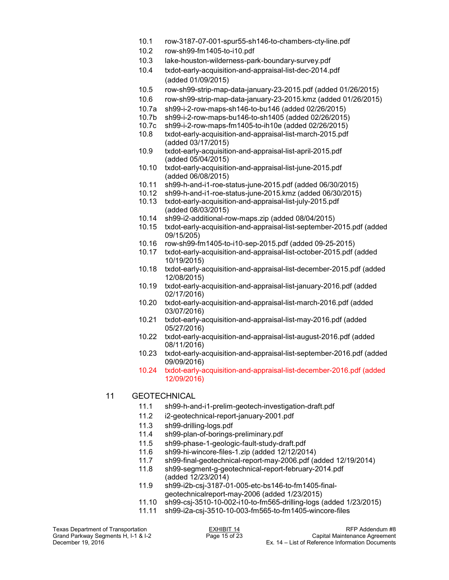- 10.1 row-3187-07-001-spur55-sh146-to-chambers-cty-line.pdf
- 10.2 row-sh99-fm1405-to-i10.pdf
- 10.3 lake-houston-wilderness-park-boundary-survey.pdf
- 10.4 txdot-early-acquisition-and-appraisal-list-dec-2014.pdf (added 01/09/2015)
- 10.5 row-sh99-strip-map-data-january-23-2015.pdf (added 01/26/2015)
- 10.6 row-sh99-strip-map-data-january-23-2015.kmz (added 01/26/2015)
- 10.7a sh99-i-2-row-maps-sh146-to-bu146 (added 02/26/2015)
- 10.7b sh99-i-2-row-maps-bu146-to-sh1405 (added 02/26/2015)
- 10.7c sh99-i-2-row-maps-fm1405-to-ih10e (added 02/26/2015)
- 10.8 txdot-early-acquisition-and-appraisal-list-march-2015.pdf (added 03/17/2015)
- 10.9 txdot-early-acquisition-and-appraisal-list-april-2015.pdf (added 05/04/2015)
- 10.10 txdot-early-acquisition-and-appraisal-list-june-2015.pdf (added 06/08/2015)
- 10.11 sh99-h-and-i1-roe-status-june-2015.pdf (added 06/30/2015)
- 10.12 sh99-h-and-i1-roe-status-june-2015.kmz (added 06/30/2015)
- 10.13 txdot-early-acquisition-and-appraisal-list-july-2015.pdf (added 08/03/2015)
- 10.14 sh99-i2-additional-row-maps.zip (added 08/04/2015)
- 10.15 txdot-early-acquisition-and-appraisal-list-september-2015.pdf (added 09/15/205)
- 10.16 row-sh99-fm1405-to-i10-sep-2015.pdf (added 09-25-2015)
- 10.17 txdot-early-acquisition-and-appraisal-list-october-2015.pdf (added 10/19/2015)
- 10.18 txdot-early-acquisition-and-appraisal-list-december-2015.pdf (added 12/08/2015)
- 10.19 txdot-early-acquisition-and-appraisal-list-january-2016.pdf (added 02/17/2016)
- 10.20 txdot-early-acquisition-and-appraisal-list-march-2016.pdf (added 03/07/2016)
- 10.21 txdot-early-acquisition-and-appraisal-list-may-2016.pdf (added 05/27/2016)
- 10.22 txdot-early-acquisition-and-appraisal-list-august-2016.pdf (added 08/11/2016)
- 10.23 txdot-early-acquisition-and-appraisal-list-september-2016.pdf (added 09/09/2016)
- 10.24 txdot-early-acquisition-and-appraisal-list-december-2016.pdf (added 12/09/2016)

## 11 GEOTECHNICAL

- 11.1 sh99-h-and-i1-prelim-geotech-investigation-draft.pdf
- 11.2 i2-geotechnical-report-january-2001.pdf
- 11.3 sh99-drilling-logs.pdf
- 11.4 sh99-plan-of-borings-preliminary.pdf
- 11.5 sh99-phase-1-geologic-fault-study-draft.pdf
- 11.6 sh99-hi-wincore-files-1.zip (added 12/12/2014)
- 11.7 sh99-final-geotechnical-report-may-2006.pdf (added 12/19/2014)
- sh99-segment-g-geotechnical-report-february-2014.pdf (added 12/23/2014)
- 11.9 sh99-i2b-csj-3187-01-005-etc-bs146-to-fm1405-finalgeotechnicalreport-may-2006 (added 1/23/2015)
- 11.10 sh99-csj-3510-10-002-i10-to-fm565-drilling-logs (added 1/23/2015)
- 11.11 sh99-i2a-csj-3510-10-003-fm565-to-fm1405-wincore-files

Grand Parkway Segments H, I-1 & I-2<br>December 19, 2016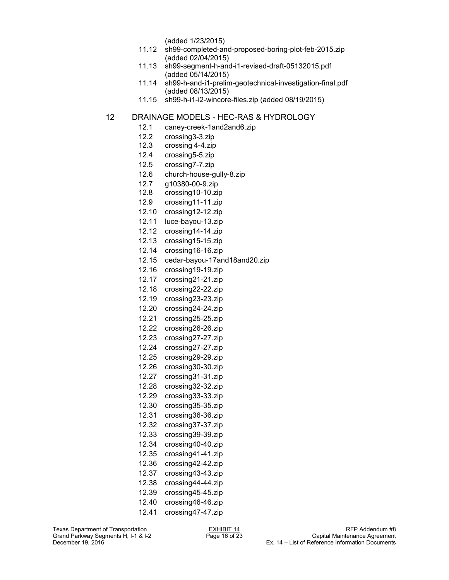(added 1/23/2015)

- 11.12 sh99-completed-and-proposed-boring-plot-feb-2015.zip (added 02/04/2015)
- 11.13 sh99-segment-h-and-i1-revised-draft-05132015.pdf (added 05/14/2015)
- 11.14 sh99-h-and-i1-prelim-geotechnical-investigation-final.pdf (added 08/13/2015)
- 11.15 sh99-h-i1-i2-wincore-files.zip (added 08/19/2015)

## 12 DRAINAGE MODELS - HEC-RAS & HYDROLOGY

- 12.1 caney-creek-1and2and6.zip
- 12.2 crossing3-3.zip
- 12.3 crossing 4-4.zip
- 12.4 crossing5-5.zip
- 12.5 crossing7-7.zip
- 12.6 church-house-gully-8.zip
- 12.7 g10380-00-9.zip
- 12.8 crossing10-10.zip
- 12.9 crossing11-11.zip
- 12.10 crossing12-12.zip
- 12.11 luce-bayou-13.zip
- 12.12 crossing14-14.zip
- 12.13 crossing15-15.zip
- 12.14 crossing16-16.zip
- 12.15 cedar-bayou-17and18and20.zip
- 12.16 crossing19-19.zip
- 12.17 crossing21-21.zip
- 12.18 crossing22-22.zip
- 12.19 crossing23-23.zip
- 12.20 crossing24-24.zip
- 12.21 crossing25-25.zip
- 12.22 crossing26-26.zip
- 12.23 crossing27-27.zip
- 12.24 crossing27-27.zip
- 12.25 crossing29-29.zip
- 12.26 crossing30-30.zip
- 12.27 crossing31-31.zip
- 12.28 crossing32-32.zip
- 12.29 crossing33-33.zip
- 12.30 crossing35-35.zip
- 12.31 crossing36-36.zip
- 12.32 crossing37-37.zip
- 12.33 crossing39-39.zip
- 12.34 crossing40-40.zip
- 12.35 crossing41-41.zip
- 12.36 crossing42-42.zip
- 12.37 crossing43-43.zip
- 12.38 crossing44-44.zip
- 12.39 crossing45-45.zip
- 12.40 crossing46-46.zip 12.41 crossing47-47.zip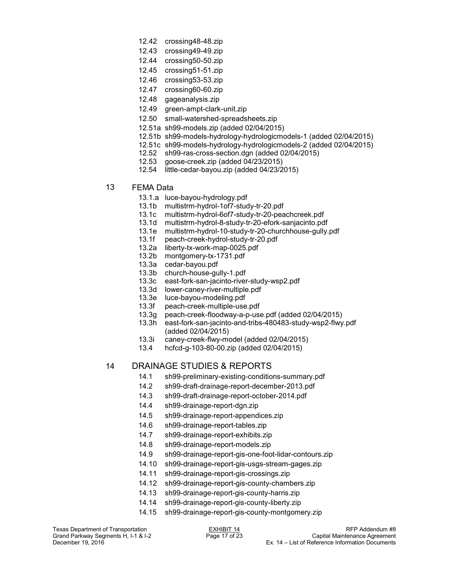- 12.42 crossing48-48.zip
- 12.43 crossing49-49.zip
- 12.44 crossing50-50.zip
- 12.45 crossing51-51.zip
- 12.46 crossing53-53.zip
- 12.47 crossing60-60.zip
- 12.48 gageanalysis.zip
- 12.49 green-ampt-clark-unit.zip
- 12.50 small-watershed-spreadsheets.zip
- 12.51a sh99-models.zip (added 02/04/2015)
- 12.51b sh99-models-hydrology-hydrologicmodels-1 (added 02/04/2015)
- 12.51c sh99-models-hydrology-hydrologicmodels-2 (added 02/04/2015)
- 12.52 sh99-ras-cross-section.dgn (added 02/04/2015)
- 12.53 goose-creek.zip (added 04/23/2015)
- 12.54 little-cedar-bayou.zip (added 04/23/2015)
- 13 FEMA Data
	- 13.1.a luce-bayou-hydrology.pdf
	- 13.1b multistrm-hydrol-1of7-study-tr-20.pdf
	- 13.1c multistrm-hydrol-6of7-study-tr-20-peachcreek.pdf
	- 13.1d multistrm-hydrol-8-study-tr-20-efork-sanjacinto.pdf
	- 13.1e multistrm-hydrol-10-study-tr-20-churchhouse-gully.pdf
	- 13.1f peach-creek-hydrol-study-tr-20.pdf
	- 13.2a liberty-tx-work-map-0025.pdf
	- 13.2b montgomery-tx-1731.pdf
	- 13.3a cedar-bayou.pdf
	- 13.3b church-house-gully-1.pdf
	- 13.3c east-fork-san-jacinto-river-study-wsp2.pdf
	- 13.3d lower-caney-river-multiple.pdf
	-
	- 13.3e luce-bayou-modeling.pdf peach-creek-multiple-use.pdf
	- 13.3g peach-creek-floodway-a-p-use.pdf (added 02/04/2015)
	- 13.3h east-fork-san-jacinto-and-tribs-480483-study-wsp2-flwy.pdf (added 02/04/2015)
	- 13.3i caney-creek-flwy-model (added 02/04/2015)
	- 13.4 hcfcd-g-103-80-00.zip (added 02/04/2015)

# 14 DRAINAGE STUDIES & REPORTS

- 14.1 sh99-preliminary-existing-conditions-summary.pdf
- 14.2 sh99-draft-drainage-report-december-2013.pdf
- 14.3 sh99-draft-drainage-report-october-2014.pdf
- 14.4 sh99-drainage-report-dgn.zip
- 14.5 sh99-drainage-report-appendices.zip
- 14.6 sh99-drainage-report-tables.zip
- 14.7 sh99-drainage-report-exhibits.zip
- 14.8 sh99-drainage-report-models.zip
- 14.9 sh99-drainage-report-gis-one-foot-lidar-contours.zip
- 14.10 sh99-drainage-report-gis-usgs-stream-gages.zip
- 14.11 sh99-drainage-report-gis-crossings.zip
- 14.12 sh99-drainage-report-gis-county-chambers.zip
- 14.13 sh99-drainage-report-gis-county-harris.zip
- 14.14 sh99-drainage-report-gis-county-liberty.zip
- 14.15 sh99-drainage-report-gis-county-montgomery.zip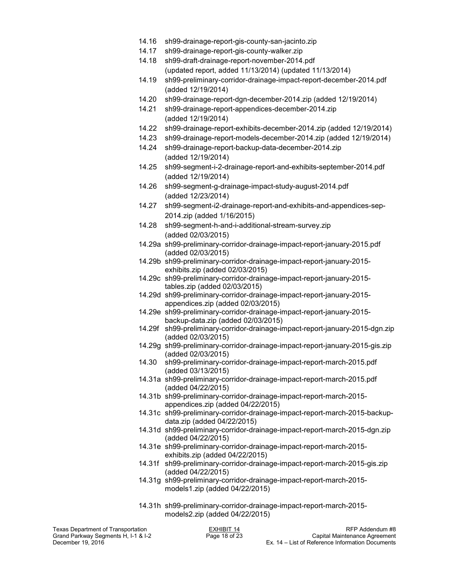- 14.16 sh99-drainage-report-gis-county-san-jacinto.zip
- 14.17 sh99-drainage-report-gis-county-walker.zip
- 14.18 sh99-draft-drainage-report-november-2014.pdf (updated report, added 11/13/2014) (updated 11/13/2014)
- 14.19 sh99-preliminary-corridor-drainage-impact-report-december-2014.pdf (added 12/19/2014)
- 14.20 sh99-drainage-report-dgn-december-2014.zip (added 12/19/2014)
- 14.21 sh99-drainage-report-appendices-december-2014.zip (added 12/19/2014)
- 14.22 sh99-drainage-report-exhibits-december-2014.zip (added 12/19/2014)
- 14.23 sh99-drainage-report-models-december-2014.zip (added 12/19/2014)
- 14.24 sh99-drainage-report-backup-data-december-2014.zip (added 12/19/2014)
- 14.25 sh99-segment-i-2-drainage-report-and-exhibits-september-2014.pdf (added 12/19/2014)
- 14.26 sh99-segment-g-drainage-impact-study-august-2014.pdf (added 12/23/2014)
- 14.27 sh99-segment-i2-drainage-report-and-exhibits-and-appendices-sep-2014.zip (added 1/16/2015)
- 14.28 sh99-segment-h-and-i-additional-stream-survey.zip (added 02/03/2015)
- 14.29a sh99-preliminary-corridor-drainage-impact-report-january-2015.pdf (added 02/03/2015)
- 14.29b sh99-preliminary-corridor-drainage-impact-report-january-2015 exhibits.zip (added 02/03/2015)
- 14.29c sh99-preliminary-corridor-drainage-impact-report-january-2015 tables.zip (added 02/03/2015)
- 14.29d sh99-preliminary-corridor-drainage-impact-report-january-2015 appendices.zip (added 02/03/2015)
- 14.29e sh99-preliminary-corridor-drainage-impact-report-january-2015 backup-data.zip (added 02/03/2015)
- 14.29f sh99-preliminary-corridor-drainage-impact-report-january-2015-dgn.zip (added 02/03/2015)
- 14.29g sh99-preliminary-corridor-drainage-impact-report-january-2015-gis.zip (added 02/03/2015)
- 14.30 sh99-preliminary-corridor-drainage-impact-report-march-2015.pdf (added 03/13/2015)
- 14.31a sh99-preliminary-corridor-drainage-impact-report-march-2015.pdf (added 04/22/2015)
- 14.31b sh99-preliminary-corridor-drainage-impact-report-march-2015 appendices.zip (added 04/22/2015)
- 14.31c sh99-preliminary-corridor-drainage-impact-report-march-2015-backupdata.zip (added 04/22/2015)
- 14.31d sh99-preliminary-corridor-drainage-impact-report-march-2015-dgn.zip (added 04/22/2015)
- 14.31e sh99-preliminary-corridor-drainage-impact-report-march-2015 exhibits.zip (added 04/22/2015)
- 14.31f sh99-preliminary-corridor-drainage-impact-report-march-2015-gis.zip (added 04/22/2015)
- 14.31g sh99-preliminary-corridor-drainage-impact-report-march-2015 models1.zip (added 04/22/2015)
- 14.31h sh99-preliminary-corridor-drainage-impact-report-march-2015 models2.zip (added 04/22/2015)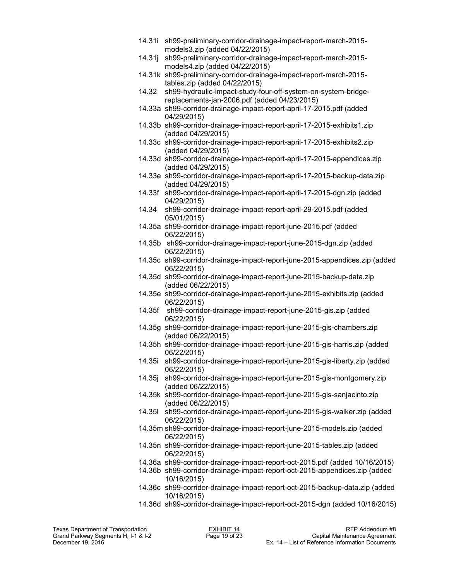- 14.31i sh99-preliminary-corridor-drainage-impact-report-march-2015 models3.zip (added 04/22/2015)
- 14.31j sh99-preliminary-corridor-drainage-impact-report-march-2015 models4.zip (added 04/22/2015)
- 14.31k sh99-preliminary-corridor-drainage-impact-report-march-2015 tables.zip (added 04/22/2015)
- 14.32 sh99-hydraulic-impact-study-four-off-system-on-system-bridgereplacements-jan-2006.pdf (added 04/23/2015)
- 14.33a sh99-corridor-drainage-impact-report-april-17-2015.pdf (added 04/29/2015)
- 14.33b sh99-corridor-drainage-impact-report-april-17-2015-exhibits1.zip (added 04/29/2015)
- 14.33c sh99-corridor-drainage-impact-report-april-17-2015-exhibits2.zip (added 04/29/2015)
- 14.33d sh99-corridor-drainage-impact-report-april-17-2015-appendices.zip (added 04/29/2015)
- 14.33e sh99-corridor-drainage-impact-report-april-17-2015-backup-data.zip (added 04/29/2015)
- 14.33f sh99-corridor-drainage-impact-report-april-17-2015-dgn.zip (added 04/29/2015)
- 14.34 sh99-corridor-drainage-impact-report-april-29-2015.pdf (added 05/01/2015)
- 14.35a sh99-corridor-drainage-impact-report-june-2015.pdf (added 06/22/2015)
- 14.35b sh99-corridor-drainage-impact-report-june-2015-dgn.zip (added 06/22/2015)
- 14.35c sh99-corridor-drainage-impact-report-june-2015-appendices.zip (added 06/22/2015)
- 14.35d sh99-corridor-drainage-impact-report-june-2015-backup-data.zip (added 06/22/2015)
- 14.35e sh99-corridor-drainage-impact-report-june-2015-exhibits.zip (added 06/22/2015)
- 14.35f sh99-corridor-drainage-impact-report-june-2015-gis.zip (added 06/22/2015)
- 14.35g sh99-corridor-drainage-impact-report-june-2015-gis-chambers.zip (added 06/22/2015)
- 14.35h sh99-corridor-drainage-impact-report-june-2015-gis-harris.zip (added 06/22/2015)
- 14.35i sh99-corridor-drainage-impact-report-june-2015-gis-liberty.zip (added 06/22/2015)
- 14.35j sh99-corridor-drainage-impact-report-june-2015-gis-montgomery.zip (added 06/22/2015)
- 14.35k sh99-corridor-drainage-impact-report-june-2015-gis-sanjacinto.zip (added 06/22/2015)
- 14.35l sh99-corridor-drainage-impact-report-june-2015-gis-walker.zip (added 06/22/2015)
- 14.35m sh99-corridor-drainage-impact-report-june-2015-models.zip (added 06/22/2015)
- 14.35n sh99-corridor-drainage-impact-report-june-2015-tables.zip (added 06/22/2015)
- 14.36a sh99-corridor-drainage-impact-report-oct-2015.pdf (added 10/16/2015)
- 14.36b sh99-corridor-drainage-impact-report-oct-2015-appendices.zip (added 10/16/2015)
- 14.36c sh99-corridor-drainage-impact-report-oct-2015-backup-data.zip (added 10/16/2015)
- 14.36d sh99-corridor-drainage-impact-report-oct-2015-dgn (added 10/16/2015)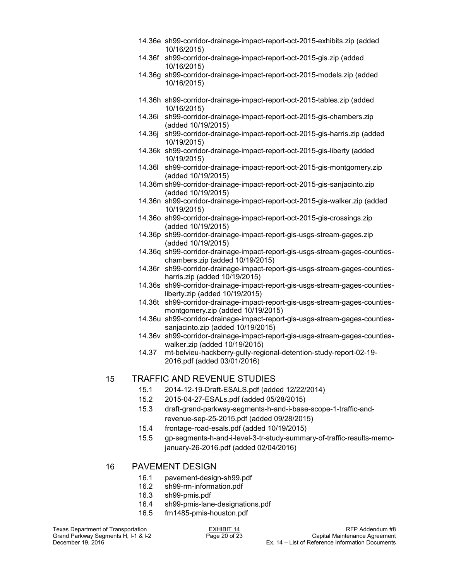- 14.36e sh99-corridor-drainage-impact-report-oct-2015-exhibits.zip (added 10/16/2015)
- 14.36f sh99-corridor-drainage-impact-report-oct-2015-gis.zip (added 10/16/2015)
- 14.36g sh99-corridor-drainage-impact-report-oct-2015-models.zip (added 10/16/2015)
- 14.36h sh99-corridor-drainage-impact-report-oct-2015-tables.zip (added 10/16/2015)
- 14.36i sh99-corridor-drainage-impact-report-oct-2015-gis-chambers.zip (added 10/19/2015)
- 14.36j sh99-corridor-drainage-impact-report-oct-2015-gis-harris.zip (added 10/19/2015)
- 14.36k sh99-corridor-drainage-impact-report-oct-2015-gis-liberty (added 10/19/2015)
- 14.36l sh99-corridor-drainage-impact-report-oct-2015-gis-montgomery.zip (added 10/19/2015)
- 14.36m sh99-corridor-drainage-impact-report-oct-2015-gis-sanjacinto.zip (added 10/19/2015)
- 14.36n sh99-corridor-drainage-impact-report-oct-2015-gis-walker.zip (added 10/19/2015)
- 14.36o sh99-corridor-drainage-impact-report-oct-2015-gis-crossings.zip (added 10/19/2015)
- 14.36p sh99-corridor-drainage-impact-report-gis-usgs-stream-gages.zip (added 10/19/2015)
- 14.36q sh99-corridor-drainage-impact-report-gis-usgs-stream-gages-countieschambers.zip (added 10/19/2015)
- 14.36r sh99-corridor-drainage-impact-report-gis-usgs-stream-gages-countiesharris.zip (added 10/19/2015)
- 14.36s sh99-corridor-drainage-impact-report-gis-usgs-stream-gages-countiesliberty.zip (added 10/19/2015)
- 14.36t sh99-corridor-drainage-impact-report-gis-usgs-stream-gages-countiesmontgomery.zip (added 10/19/2015)
- 14.36u sh99-corridor-drainage-impact-report-gis-usgs-stream-gages-countiessanjacinto.zip (added 10/19/2015)
- 14.36v sh99-corridor-drainage-impact-report-gis-usgs-stream-gages-countieswalker.zip (added 10/19/2015)
- 14.37 mt-belvieu-hackberry-gully-regional-detention-study-report-02-19- 2016.pdf (added 03/01/2016)

# 15 TRAFFIC AND REVENUE STUDIES

- 15.1 2014-12-19-Draft-ESALS.pdf (added 12/22/2014)
- 15.2 2015-04-27-ESALs.pdf (added 05/28/2015)
- 15.3 draft-grand-parkway-segments-h-and-i-base-scope-1-traffic-andrevenue-sep-25-2015.pdf (added 09/28/2015)
- 15.4 frontage-road-esals.pdf (added 10/19/2015)
- 15.5 gp-segments-h-and-i-level-3-tr-study-summary-of-traffic-results-memojanuary-26-2016.pdf (added 02/04/2016)

## 16 PAVEMENT DESIGN

- 16.1 pavement-design-sh99.pdf
- 16.2 sh99-rm-information.pdf
- 16.3 sh99-pmis.pdf
- 16.4 sh99-pmis-lane-designations.pdf
- 16.5 fm1485-pmis-houston.pdf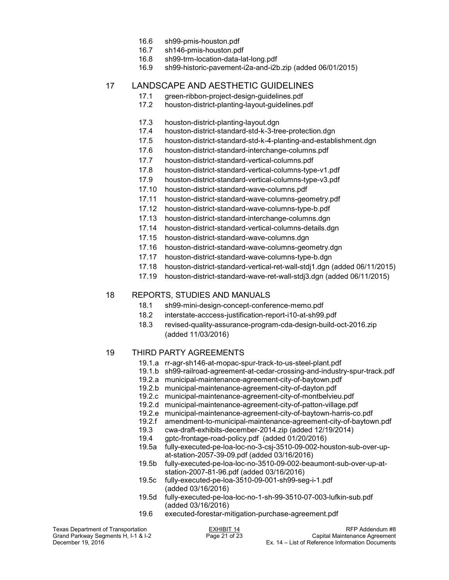- 16.6 sh99-pmis-houston.pdf
- 16.7 sh146-pmis-houston.pdf
- 16.8 sh99-trm-location-data-lat-long.pdf
- 16.9 sh99-historic-pavement-i2a-and-i2b.zip (added 06/01/2015)

## 17 LANDSCAPE AND AESTHETIC GUIDELINES

- 17.1 green-ribbon-project-design-guidelines.pdf
- 17.2 houston-district-planting-layout-guidelines.pdf
- 17.3 houston-district-planting-layout.dgn
- 17.4 houston-district-standard-std-k-3-tree-protection.dgn
- 17.5 houston-district-standard-std-k-4-planting-and-establishment.dgn
- 17.6 houston-district-standard-interchange-columns.pdf
- 17.7 houston-district-standard-vertical-columns.pdf
- 17.8 houston-district-standard-vertical-columns-type-v1.pdf
- 17.9 houston-district-standard-vertical-columns-type-v3.pdf
- 17.10 houston-district-standard-wave-columns.pdf
- 17.11 houston-district-standard-wave-columns-geometry.pdf
- 17.12 houston-district-standard-wave-columns-type-b.pdf
- 17.13 houston-district-standard-interchange-columns.dgn
- 17.14 houston-district-standard-vertical-columns-details.dgn
- 17.15 houston-district-standard-wave-columns.dgn
- 17.16 houston-district-standard-wave-columns-geometry.dgn
- 17.17 houston-district-standard-wave-columns-type-b.dgn
- 17.18 houston-district-standard-vertical-ret-wall-stdj1.dgn (added 06/11/2015)
- 17.19 houston-district-standard-wave-ret-wall-stdj3.dgn (added 06/11/2015)

## 18 REPORTS, STUDIES AND MANUALS

- 18.1 sh99-mini-design-concept-conference-memo.pdf
- 18.2 interstate-acccess-justification-report-i10-at-sh99.pdf
- 18.3 revised-quality-assurance-program-cda-design-build-oct-2016.zip (added 11/03/2016)

## 19 THIRD PARTY AGREEMENTS

- 19.1.a rr-agr-sh146-at-mopac-spur-track-to-us-steel-plant.pdf
- 19.1.b sh99-railroad-agreement-at-cedar-crossing-and-industry-spur-track.pdf
- 19.2.a municipal-maintenance-agreement-city-of-baytown.pdf
- 19.2.b municipal-maintenance-agreement-city-of-dayton.pdf
- 19.2.c municipal-maintenance-agreement-city-of-montbelvieu.pdf
- 19.2.d municipal-maintenance-agreement-city-of-patton-village.pdf
- 19.2.e municipal-maintenance-agreement-city-of-baytown-harris-co.pdf
- 19.2.f amendment-to-municipal-maintenance-agreement-city-of-baytown.pdf
- 19.3 cwa-draft-exhibits-december-2014.zip (added 12/19/2014)
- 19.4 gptc-frontage-road-policy.pdf (added 01/20/2016)
- fully-executed-pe-loa-loc-no-3-csj-3510-09-002-houston-sub-over-upat-station-2057-39-09.pdf (added 03/16/2016)
- 19.5b fully-executed-pe-loa-loc-no-3510-09-002-beaumont-sub-over-up-atstation-2007-81-96.pdf (added 03/16/2016)
- 19.5c fully-executed-pe-loa-3510-09-001-sh99-seg-i-1.pdf (added 03/16/2016)
- 19.5d fully-executed-pe-loa-loc-no-1-sh-99-3510-07-003-lufkin-sub.pdf (added 03/16/2016)<br>19.6 executed-forestar-m
- executed-forestar-mitigation-purchase-agreement.pdf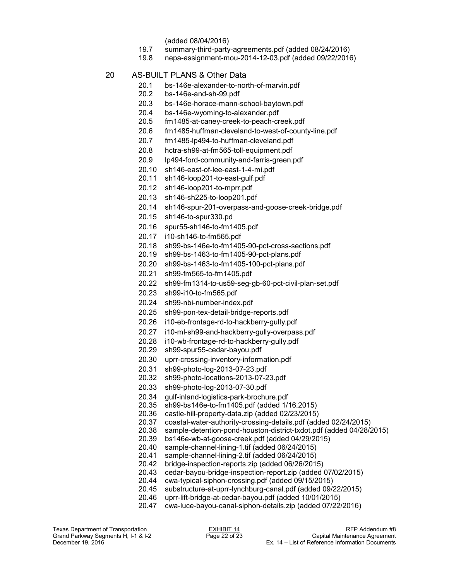- (added 08/04/2016)
- 19.7 summary-third-party-agreements.pdf (added 08/24/2016)
- 19.8 nepa-assignment-mou-2014-12-03.pdf (added 09/22/2016)
- 20 AS-BUILT PLANS & Other Data
	- 20.1 bs-146e-alexander-to-north-of-marvin.pdf<br>20.2 bs-146e-and-sh-99 pdf
	- bs-146e-and-sh-99.pdf
	- 20.3 bs-146e-horace-mann-school-baytown.pdf
	- 20.4 bs-146e-wyoming-to-alexander.pdf
	- 20.5 fm1485-at-caney-creek-to-peach-creek.pdf
	- 20.6 fm1485-huffman-cleveland-to-west-of-county-line.pdf
	- 20.7 fm1485-lp494-to-huffman-cleveland.pdf
	- 20.8 hctra-sh99-at-fm565-toll-equipment.pdf
	- 20.9 lp494-ford-community-and-farris-green.pdf
	- 20.10 sh146-east-of-lee-east-1-4-mi.pdf
	- 20.11 sh146-loop201-to-east-gulf.pdf
	- 20.12 sh146-loop201-to-mprr.pdf
	- 20.13 sh146-sh225-to-loop201.pdf
	- 20.14 sh146-spur-201-overpass-and-goose-creek-bridge.pdf
	- 20.15 sh146-to-spur330.pd
	- 20.16 spur55-sh146-to-fm1405.pdf
	- 20.17 i10-sh146-to-fm565.pdf
	- 20.18 sh99-bs-146e-to-fm1405-90-pct-cross-sections.pdf
	- 20.19 sh99-bs-1463-to-fm1405-90-pct-plans.pdf
	- 20.20 sh99-bs-1463-to-fm1405-100-pct-plans.pdf
	- 20.21 sh99-fm565-to-fm1405.pdf
	- 20.22 sh99-fm1314-to-us59-seg-gb-60-pct-civil-plan-set.pdf
	- 20.23 sh99-i10-to-fm565.pdf
	- 20.24 sh99-nbi-number-index.pdf
	- 20.25 sh99-pon-tex-detail-bridge-reports.pdf
	- 20.26 i10-eb-frontage-rd-to-hackberry-gully.pdf
	- 20.27 i10-ml-sh99-and-hackberry-gully-overpass.pdf
	- 20.28 i10-wb-frontage-rd-to-hackberry-gully.pdf
	- 20.29 sh99-spur55-cedar-bayou.pdf
	- 20.30 uprr-crossing-inventory-information.pdf
	- 20.31 sh99-photo-log-2013-07-23.pdf
	- 20.32 sh99-photo-locations-2013-07-23.pdf
	- 20.33 sh99-photo-log-2013-07-30.pdf
	- 20.34 gulf-inland-logistics-park-brochure.pdf
	- 20.35 sh99-bs146e-to-fm1405.pdf (added 1/16.2015)
	- 20.36 castle-hill-property-data.zip (added 02/23/2015)
	- 20.37 coastal-water-authority-crossing-details.pdf (added 02/24/2015)
	- sample-detention-pond-houston-district-txdot.pdf (added 04/28/2015)
	- 20.39 bs146e-wb-at-goose-creek.pdf (added 04/29/2015)
	- 20.40 sample-channel-lining-1.tif (added 06/24/2015)
	- sample-channel-lining-2.tif (added 06/24/2015)
	- 20.42 bridge-inspection-reports.zip (added 06/26/2015)
	- 20.43 cedar-bayou-bridge-inspection-report.zip (added 07/02/2015)
	- 20.44 cwa-typical-siphon-crossing.pdf (added 09/15/2015)
	- 20.45 substructure-at-uprr-lynchburg-canal.pdf (added 09/22/2015)
	- 20.46 uprr-lift-bridge-at-cedar-bayou.pdf (added 10/01/2015)
	- 20.47 cwa-luce-bayou-canal-siphon-details.zip (added 07/22/2016)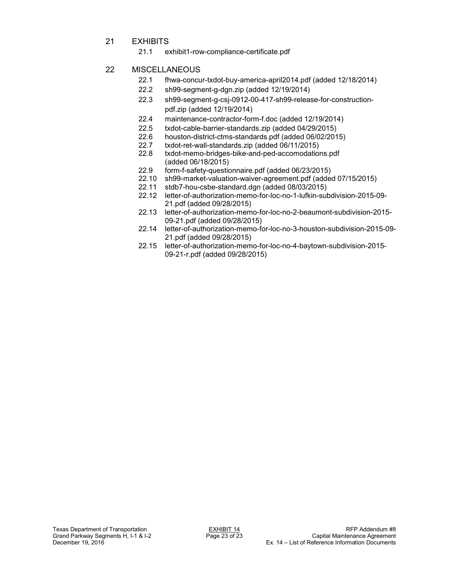- 21 EXHIBITS
	- 21.1 exhibit1-row-compliance-certificate.pdf

# 22 MISCELLANEOUS

- 22.1 fhwa-concur-txdot-buy-america-april2014.pdf (added 12/18/2014)
- 22.2 sh99-segment-g-dgn.zip (added 12/19/2014)
- 22.3 sh99-segment-g-csj-0912-00-417-sh99-release-for-constructionpdf.zip (added 12/19/2014)
- 22.4 maintenance-contractor-form-f.doc (added 12/19/2014)
- 22.5 txdot-cable-barrier-standards.zip (added 04/29/2015)
- 22.6 houston-district-ctms-standards.pdf (added 06/02/2015)<br>22.7 txdot-ret-wall-standards.zip (added 06/11/2015)
- 22.7 txdot-ret-wall-standards.zip (added 06/11/2015)
- txdot-memo-bridges-bike-and-ped-accomodations.pdf (added 06/18/2015)
- 22.9 form-f-safety-questionnaire.pdf (added 06/23/2015)
- 22.10 sh99-market-valuation-waiver-agreement.pdf (added 07/15/2015)<br>22.11 stdb7-hou-csbe-standard.dgn (added 08/03/2015)
- stdb7-hou-csbe-standard.dgn (added 08/03/2015)
- 22.12 letter-of-authorization-memo-for-loc-no-1-lufkin-subdivision-2015-09- 21.pdf (added 09/28/2015)
- 22.13 letter-of-authorization-memo-for-loc-no-2-beaumont-subdivision-2015- 09-21.pdf (added 09/28/2015)
- 22.14 letter-of-authorization-memo-for-loc-no-3-houston-subdivision-2015-09- 21.pdf (added 09/28/2015)
- 22.15 letter-of-authorization-memo-for-loc-no-4-baytown-subdivision-2015- 09-21-r.pdf (added 09/28/2015)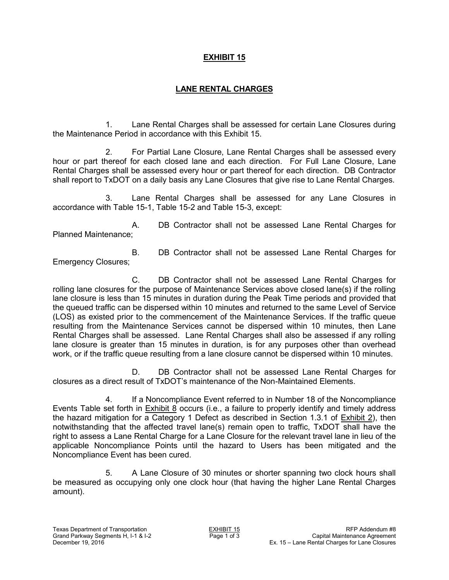# **EXHIBIT 15**

# **LANE RENTAL CHARGES**

1. Lane Rental Charges shall be assessed for certain Lane Closures during the Maintenance Period in accordance with this Exhibit 15.

2. For Partial Lane Closure, Lane Rental Charges shall be assessed every hour or part thereof for each closed lane and each direction. For Full Lane Closure, Lane Rental Charges shall be assessed every hour or part thereof for each direction. DB Contractor shall report to TxDOT on a daily basis any Lane Closures that give rise to Lane Rental Charges.

Lane Rental Charges shall be assessed for any Lane Closures in accordance with Table 15-1, Table 15-2 and Table 15-3, except:

A. DB Contractor shall not be assessed Lane Rental Charges for Planned Maintenance;

Emergency Closures;

B. DB Contractor shall not be assessed Lane Rental Charges for

C. DB Contractor shall not be assessed Lane Rental Charges for rolling lane closures for the purpose of Maintenance Services above closed lane(s) if the rolling lane closure is less than 15 minutes in duration during the Peak Time periods and provided that the queued traffic can be dispersed within 10 minutes and returned to the same Level of Service (LOS) as existed prior to the commencement of the Maintenance Services. If the traffic queue resulting from the Maintenance Services cannot be dispersed within 10 minutes, then Lane Rental Charges shall be assessed. Lane Rental Charges shall also be assessed if any rolling lane closure is greater than 15 minutes in duration, is for any purposes other than overhead work, or if the traffic queue resulting from a lane closure cannot be dispersed within 10 minutes.

D. DB Contractor shall not be assessed Lane Rental Charges for closures as a direct result of TxDOT's maintenance of the Non-Maintained Elements.

4. If a Noncompliance Event referred to in Number 18 of the Noncompliance Events Table set forth in Exhibit 8 occurs (i.e., a failure to properly identify and timely address the hazard mitigation for a Category 1 Defect as described in Section 1.3.1 of  $\frac{\text{Exhibit 2}}{\text{Exhibit 2}}$ notwithstanding that the affected travel lane(s) remain open to traffic, TxDOT shall have the right to assess a Lane Rental Charge for a Lane Closure for the relevant travel lane in lieu of the applicable Noncompliance Points until the hazard to Users has been mitigated and the Noncompliance Event has been cured.

5. A Lane Closure of 30 minutes or shorter spanning two clock hours shall be measured as occupying only one clock hour (that having the higher Lane Rental Charges amount).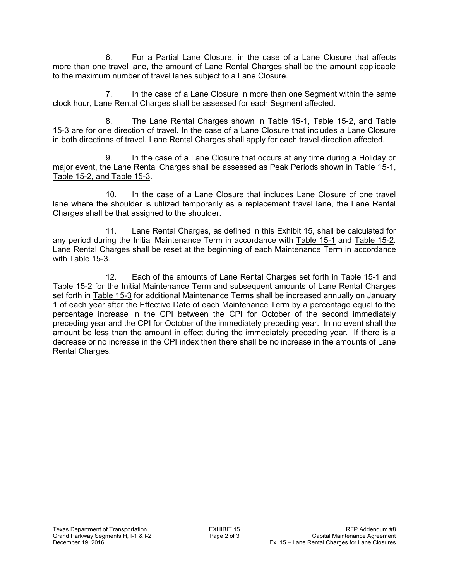6. For a Partial Lane Closure, in the case of a Lane Closure that affects more than one travel lane, the amount of Lane Rental Charges shall be the amount applicable to the maximum number of travel lanes subject to a Lane Closure.

7. In the case of a Lane Closure in more than one Segment within the same clock hour, Lane Rental Charges shall be assessed for each Segment affected.

8. The Lane Rental Charges shown in Table 15-1, Table 15-2, and Table 15-3 are for one direction of travel. In the case of a Lane Closure that includes a Lane Closure in both directions of travel, Lane Rental Charges shall apply for each travel direction affected.

9. In the case of a Lane Closure that occurs at any time during a Holiday or major event, the Lane Rental Charges shall be assessed as Peak Periods shown in Table 15-1, Table 15-2, and Table 15-3.

10. In the case of a Lane Closure that includes Lane Closure of one travel lane where the shoulder is utilized temporarily as a replacement travel lane, the Lane Rental Charges shall be that assigned to the shoulder.

11. Lane Rental Charges, as defined in this Exhibit 15, shall be calculated for any period during the Initial Maintenance Term in accordance with Table 15-1 and Table 15-2. Lane Rental Charges shall be reset at the beginning of each Maintenance Term in accordance with Table 15-3.

12. Each of the amounts of Lane Rental Charges set forth in Table 15-1 and Table 15-2 for the Initial Maintenance Term and subsequent amounts of Lane Rental Charges set forth in Table 15-3 for additional Maintenance Terms shall be increased annually on January 1 of each year after the Effective Date of each Maintenance Term by a percentage equal to the percentage increase in the CPI between the CPI for October of the second immediately preceding year and the CPI for October of the immediately preceding year. In no event shall the amount be less than the amount in effect during the immediately preceding year. If there is a decrease or no increase in the CPI index then there shall be no increase in the amounts of Lane Rental Charges.